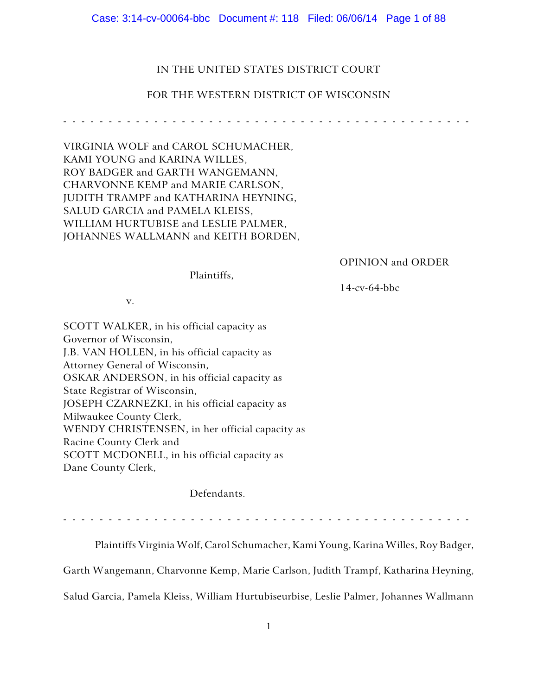Case: 3:14-cv-00064-bbc Document #: 118 Filed: 06/06/14 Page 1 of 88

### IN THE UNITED STATES DISTRICT COURT

### FOR THE WESTERN DISTRICT OF WISCONSIN

------------- ---------------- ----------------

VIRGINIA WOLF and CAROL SCHUMACHER, KAMI YOUNG and KARINA WILLES, ROY BADGER and GARTH WANGEMANN, CHARVONNE KEMP and MARIE CARLSON, JUDITH TRAMPF and KATHARINA HEYNING, SALUD GARCIA and PAMELA KLEISS, WILLIAM HURTUBISE and LESLIE PALMER, JOHANNES WALLMANN and KEITH BORDEN,

OPINION and ORDER

Plaintiffs,

14-cv-64-bbc

v.

SCOTT WALKER, in his official capacity as Governor of Wisconsin, J.B. VAN HOLLEN, in his official capacity as Attorney General of Wisconsin, OSKAR ANDERSON, in his official capacity as State Registrar of Wisconsin, JOSEPH CZARNEZKI, in his official capacity as Milwaukee County Clerk, WENDY CHRISTENSEN, in her official capacity as Racine County Clerk and SCOTT MCDONELL, in his official capacity as Dane County Clerk,

Defendants.

------------- ---------------- ----------------

Plaintiffs Virginia Wolf, Carol Schumacher, Kami Young, Karina Willes, Roy Badger,

Garth Wangemann, Charvonne Kemp, Marie Carlson, Judith Trampf, Katharina Heyning,

Salud Garcia, Pamela Kleiss, William Hurtubiseurbise, Leslie Palmer, Johannes Wallmann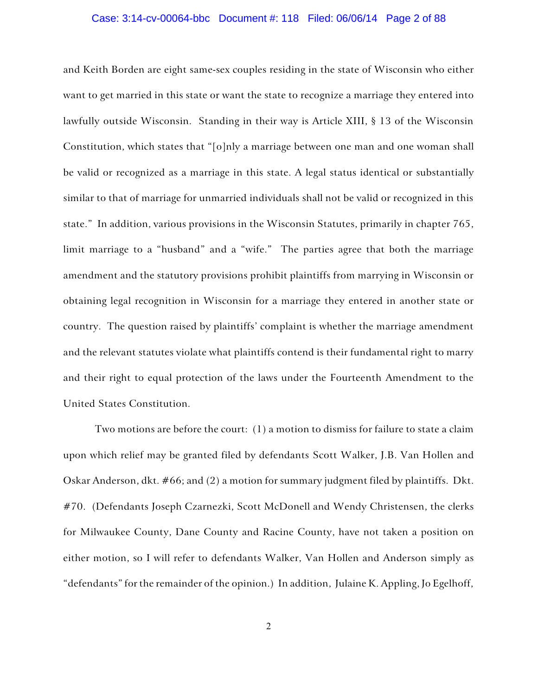### Case: 3:14-cv-00064-bbc Document #: 118 Filed: 06/06/14 Page 2 of 88

and Keith Borden are eight same-sex couples residing in the state of Wisconsin who either want to get married in this state or want the state to recognize a marriage they entered into lawfully outside Wisconsin. Standing in their way is Article XIII, § 13 of the Wisconsin Constitution, which states that "[o]nly a marriage between one man and one woman shall be valid or recognized as a marriage in this state. A legal status identical or substantially similar to that of marriage for unmarried individuals shall not be valid or recognized in this state." In addition, various provisions in the Wisconsin Statutes, primarily in chapter 765, limit marriage to a "husband" and a "wife." The parties agree that both the marriage amendment and the statutory provisions prohibit plaintiffs from marrying in Wisconsin or obtaining legal recognition in Wisconsin for a marriage they entered in another state or country. The question raised by plaintiffs' complaint is whether the marriage amendment and the relevant statutes violate what plaintiffs contend is their fundamental right to marry and their right to equal protection of the laws under the Fourteenth Amendment to the United States Constitution.

Two motions are before the court: (1) a motion to dismiss for failure to state a claim upon which relief may be granted filed by defendants Scott Walker, J.B. Van Hollen and Oskar Anderson, dkt. #66; and (2) a motion for summary judgment filed by plaintiffs. Dkt. #70. (Defendants Joseph Czarnezki, Scott McDonell and Wendy Christensen, the clerks for Milwaukee County, Dane County and Racine County, have not taken a position on either motion, so I will refer to defendants Walker, Van Hollen and Anderson simply as "defendants" for the remainder of the opinion.) In addition, Julaine K. Appling, Jo Egelhoff,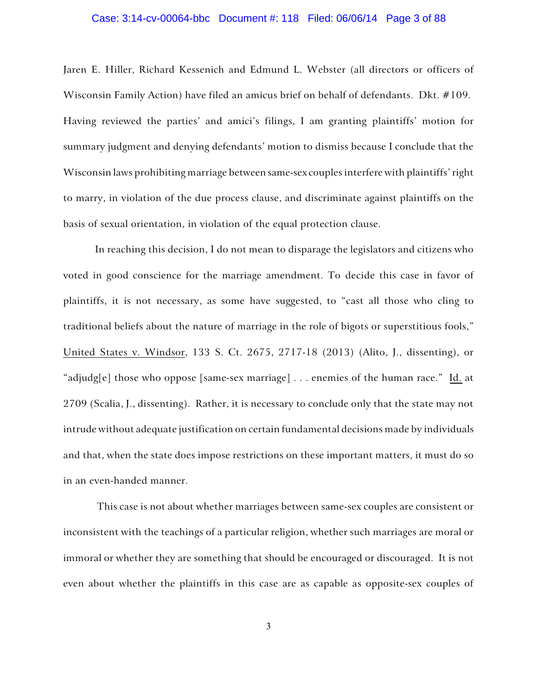### Case: 3:14-cv-00064-bbc Document #: 118 Filed: 06/06/14 Page 3 of 88

Jaren E. Hiller, Richard Kessenich and Edmund L. Webster (all directors or officers of Wisconsin Family Action) have filed an amicus brief on behalf of defendants. Dkt. #109. Having reviewed the parties' and amici's filings, I am granting plaintiffs' motion for summary judgment and denying defendants' motion to dismiss because I conclude that the Wisconsin laws prohibiting marriage between same-sex couples interfere with plaintiffs' right to marry, in violation of the due process clause, and discriminate against plaintiffs on the basis of sexual orientation, in violation of the equal protection clause.

In reaching this decision, I do not mean to disparage the legislators and citizens who voted in good conscience for the marriage amendment. To decide this case in favor of plaintiffs, it is not necessary, as some have suggested, to "cast all those who cling to traditional beliefs about the nature of marriage in the role of bigots or superstitious fools," United States v. Windsor, 133 S. Ct. 2675, 2717-18 (2013) (Alito, J., dissenting), or "adjudg[e] those who oppose [same-sex marriage] . . . enemies of the human race." Id. at 2709 (Scalia, J., dissenting). Rather, it is necessary to conclude only that the state may not intrude without adequate justification on certain fundamental decisions made by individuals and that, when the state does impose restrictions on these important matters, it must do so in an even-handed manner.

This case is not about whether marriages between same-sex couples are consistent or inconsistent with the teachings of a particular religion, whether such marriages are moral or immoral or whether they are something that should be encouraged or discouraged. It is not even about whether the plaintiffs in this case are as capable as opposite-sex couples of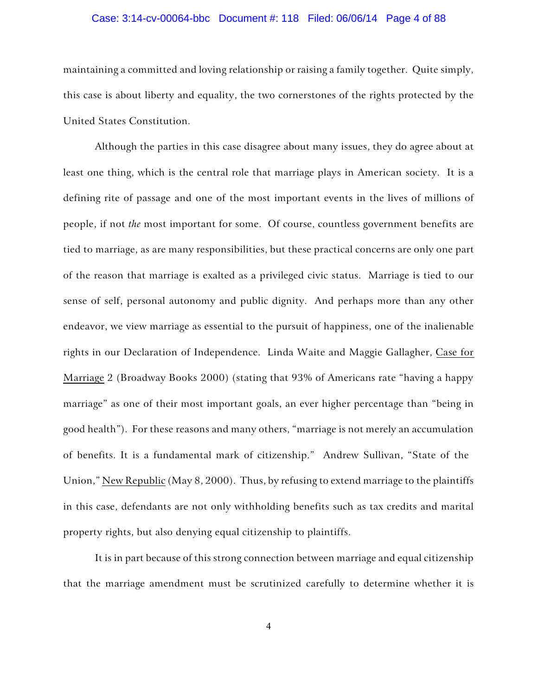### Case: 3:14-cv-00064-bbc Document #: 118 Filed: 06/06/14 Page 4 of 88

maintaining a committed and loving relationship or raising a family together. Quite simply, this case is about liberty and equality, the two cornerstones of the rights protected by the United States Constitution.

Although the parties in this case disagree about many issues, they do agree about at least one thing, which is the central role that marriage plays in American society. It is a defining rite of passage and one of the most important events in the lives of millions of people, if not *the* most important for some. Of course, countless government benefits are tied to marriage, as are many responsibilities, but these practical concerns are only one part of the reason that marriage is exalted as a privileged civic status. Marriage is tied to our sense of self, personal autonomy and public dignity. And perhaps more than any other endeavor, we view marriage as essential to the pursuit of happiness, one of the inalienable rights in our Declaration of Independence. Linda Waite and Maggie Gallagher, Case for Marriage 2 (Broadway Books 2000) (stating that 93% of Americans rate "having a happy marriage" as one of their most important goals, an ever higher percentage than "being in good health"). For these reasons and many others, "marriage is not merely an accumulation of benefits. It is a fundamental mark of citizenship." Andrew Sullivan, "State of the Union," New Republic (May 8, 2000). Thus, by refusing to extend marriage to the plaintiffs in this case, defendants are not only withholding benefits such as tax credits and marital property rights, but also denying equal citizenship to plaintiffs.

It is in part because of this strong connection between marriage and equal citizenship that the marriage amendment must be scrutinized carefully to determine whether it is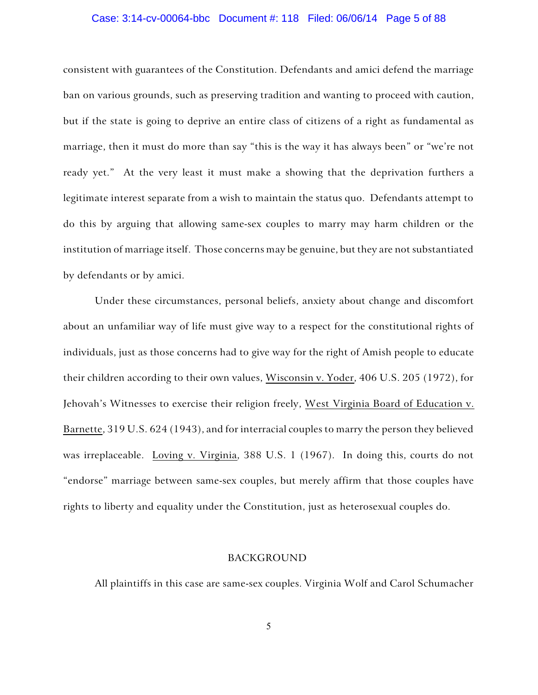### Case: 3:14-cv-00064-bbc Document #: 118 Filed: 06/06/14 Page 5 of 88

consistent with guarantees of the Constitution. Defendants and amici defend the marriage ban on various grounds, such as preserving tradition and wanting to proceed with caution, but if the state is going to deprive an entire class of citizens of a right as fundamental as marriage, then it must do more than say "this is the way it has always been" or "we're not ready yet." At the very least it must make a showing that the deprivation furthers a legitimate interest separate from a wish to maintain the status quo. Defendants attempt to do this by arguing that allowing same-sex couples to marry may harm children or the institution of marriage itself. Those concerns may be genuine, but they are not substantiated by defendants or by amici.

Under these circumstances, personal beliefs, anxiety about change and discomfort about an unfamiliar way of life must give way to a respect for the constitutional rights of individuals, just as those concerns had to give way for the right of Amish people to educate their children according to their own values, Wisconsin v. Yoder, 406 U.S. 205 (1972), for Jehovah's Witnesses to exercise their religion freely, West Virginia Board of Education v. Barnette, 319 U.S. 624 (1943), and for interracial couples to marry the person they believed was irreplaceable. Loving v. Virginia, 388 U.S. 1 (1967). In doing this, courts do not "endorse" marriage between same-sex couples, but merely affirm that those couples have rights to liberty and equality under the Constitution, just as heterosexual couples do.

### BACKGROUND

All plaintiffs in this case are same-sex couples. Virginia Wolf and Carol Schumacher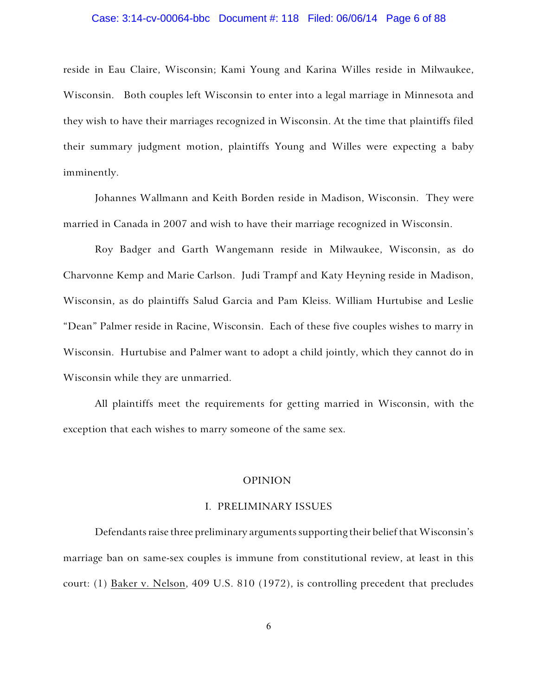### Case: 3:14-cv-00064-bbc Document #: 118 Filed: 06/06/14 Page 6 of 88

reside in Eau Claire, Wisconsin; Kami Young and Karina Willes reside in Milwaukee, Wisconsin. Both couples left Wisconsin to enter into a legal marriage in Minnesota and they wish to have their marriages recognized in Wisconsin. At the time that plaintiffs filed their summary judgment motion, plaintiffs Young and Willes were expecting a baby imminently.

Johannes Wallmann and Keith Borden reside in Madison, Wisconsin. They were married in Canada in 2007 and wish to have their marriage recognized in Wisconsin.

Roy Badger and Garth Wangemann reside in Milwaukee, Wisconsin, as do Charvonne Kemp and Marie Carlson. Judi Trampf and Katy Heyning reside in Madison, Wisconsin, as do plaintiffs Salud Garcia and Pam Kleiss. William Hurtubise and Leslie "Dean" Palmer reside in Racine, Wisconsin. Each of these five couples wishes to marry in Wisconsin. Hurtubise and Palmer want to adopt a child jointly, which they cannot do in Wisconsin while they are unmarried.

All plaintiffs meet the requirements for getting married in Wisconsin, with the exception that each wishes to marry someone of the same sex.

### OPINION

### I. PRELIMINARY ISSUES

Defendants raise three preliminary arguments supporting their belief that Wisconsin's marriage ban on same-sex couples is immune from constitutional review, at least in this court: (1) Baker v. Nelson, 409 U.S. 810 (1972), is controlling precedent that precludes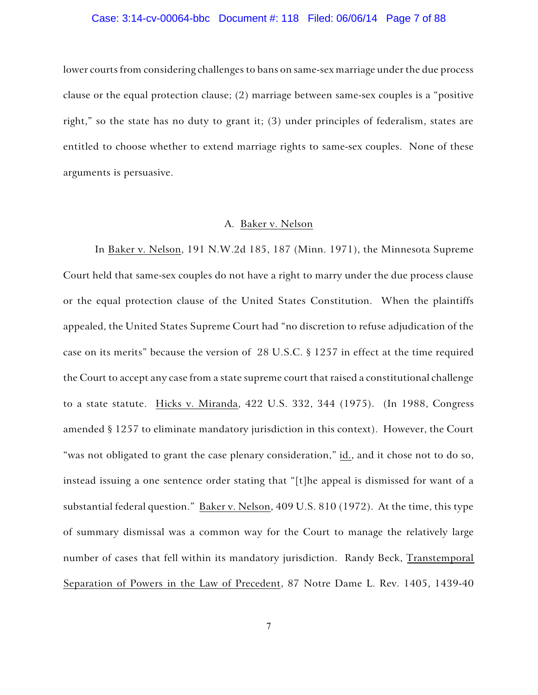### Case: 3:14-cv-00064-bbc Document #: 118 Filed: 06/06/14 Page 7 of 88

lower courts from considering challenges to bans on same-sex marriage under the due process clause or the equal protection clause; (2) marriage between same-sex couples is a "positive right," so the state has no duty to grant it; (3) under principles of federalism, states are entitled to choose whether to extend marriage rights to same-sex couples. None of these arguments is persuasive.

### A. Baker v. Nelson

In Baker v. Nelson, 191 N.W.2d 185, 187 (Minn. 1971), the Minnesota Supreme Court held that same-sex couples do not have a right to marry under the due process clause or the equal protection clause of the United States Constitution. When the plaintiffs appealed, the United States Supreme Court had "no discretion to refuse adjudication of the case on its merits" because the version of 28 U.S.C. § 1257 in effect at the time required the Court to accept any case from a state supreme court that raised a constitutional challenge to a state statute. Hicks v. Miranda, 422 U.S. 332, 344 (1975). (In 1988, Congress amended § 1257 to eliminate mandatory jurisdiction in this context). However, the Court "was not obligated to grant the case plenary consideration," id., and it chose not to do so, instead issuing a one sentence order stating that "[t]he appeal is dismissed for want of a substantial federal question." Baker v. Nelson, 409 U.S. 810 (1972). At the time, this type of summary dismissal was a common way for the Court to manage the relatively large number of cases that fell within its mandatory jurisdiction. Randy Beck, Transtemporal Separation of Powers in the Law of Precedent, 87 Notre Dame L. Rev. 1405, 1439-40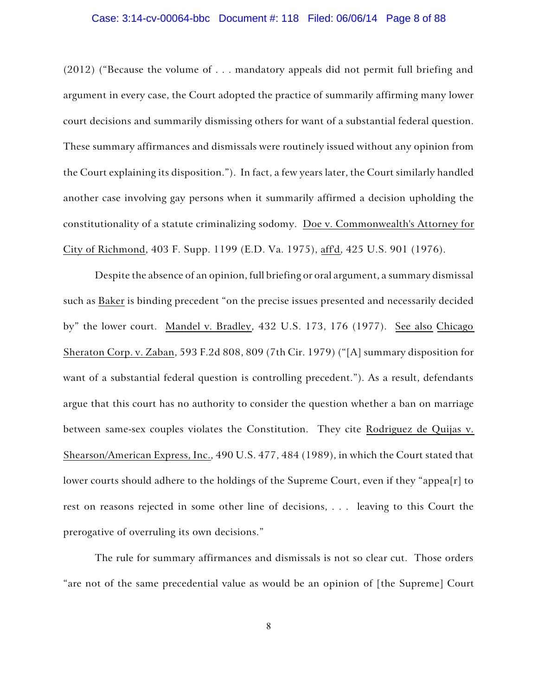### Case: 3:14-cv-00064-bbc Document #: 118 Filed: 06/06/14 Page 8 of 88

(2012) ("Because the volume of . . . mandatory appeals did not permit full briefing and argument in every case, the Court adopted the practice of summarily affirming many lower court decisions and summarily dismissing others for want of a substantial federal question. These summary affirmances and dismissals were routinely issued without any opinion from the Court explaining its disposition."). In fact, a few years later, the Court similarly handled another case involving gay persons when it summarily affirmed a decision upholding the constitutionality of a statute criminalizing sodomy. Doe v. Commonwealth's Attorney for City of Richmond, 403 F. Supp. 1199 (E.D. Va. 1975), aff'd, 425 U.S. 901 (1976).

Despite the absence of an opinion, full briefing or oral argument, a summary dismissal such as Baker is binding precedent "on the precise issues presented and necessarily decided by" the lower court. Mandel v. Bradley, 432 U.S. 173, 176 (1977). See also Chicago Sheraton Corp. v. Zaban, 593 F.2d 808, 809 (7th Cir. 1979) ("[A] summary disposition for want of a substantial federal question is controlling precedent."). As a result, defendants argue that this court has no authority to consider the question whether a ban on marriage between same-sex couples violates the Constitution. They cite Rodriguez de Quijas v. Shearson/American Express, Inc., 490 U.S. 477, 484 (1989), in which the Court stated that lower courts should adhere to the holdings of the Supreme Court, even if they "appea[r] to rest on reasons rejected in some other line of decisions, . . . leaving to this Court the prerogative of overruling its own decisions."

The rule for summary affirmances and dismissals is not so clear cut. Those orders "are not of the same precedential value as would be an opinion of [the Supreme] Court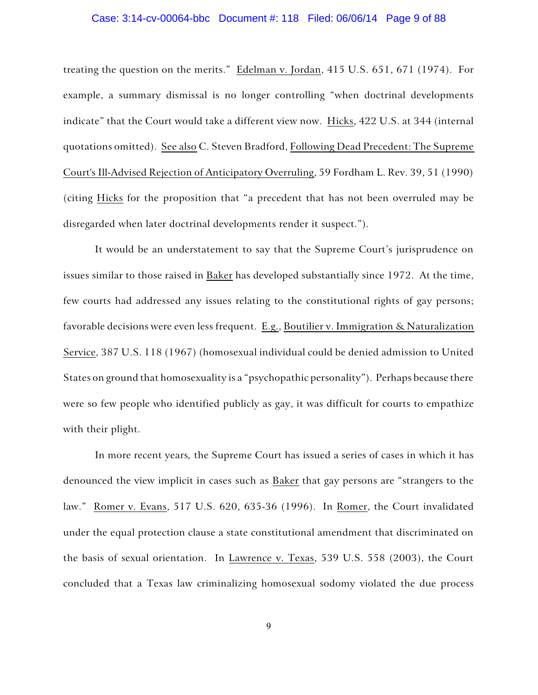### Case: 3:14-cv-00064-bbc Document #: 118 Filed: 06/06/14 Page 9 of 88

treating the question on the merits." Edelman v. Jordan, 415 U.S. 651, 671 (1974). For example, a summary dismissal is no longer controlling "when doctrinal developments indicate" that the Court would take a different view now. Hicks, 422 U.S. at 344 (internal quotations omitted). See also C. Steven Bradford, Following Dead Precedent: The Supreme Court's Ill-Advised Rejection of Anticipatory Overruling, 59 Fordham L. Rev. 39, 51 (1990) (citing Hicks for the proposition that "a precedent that has not been overruled may be disregarded when later doctrinal developments render it suspect.").

It would be an understatement to say that the Supreme Court's jurisprudence on issues similar to those raised in Baker has developed substantially since 1972. At the time, few courts had addressed any issues relating to the constitutional rights of gay persons; favorable decisions were even less frequent. E.g., Boutilier v. Immigration & Naturalization Service, 387 U.S. 118 (1967) (homosexual individual could be denied admission to United States on ground that homosexuality is a "psychopathic personality"). Perhaps because there were so few people who identified publicly as gay, it was difficult for courts to empathize with their plight.

In more recent years*,* the Supreme Court has issued a series of cases in which it has denounced the view implicit in cases such as Baker that gay persons are "strangers to the law." Romer v. Evans, 517 U.S. 620, 635-36 (1996). In Romer, the Court invalidated under the equal protection clause a state constitutional amendment that discriminated on the basis of sexual orientation. In Lawrence v. Texas, 539 U.S. 558 (2003), the Court concluded that a Texas law criminalizing homosexual sodomy violated the due process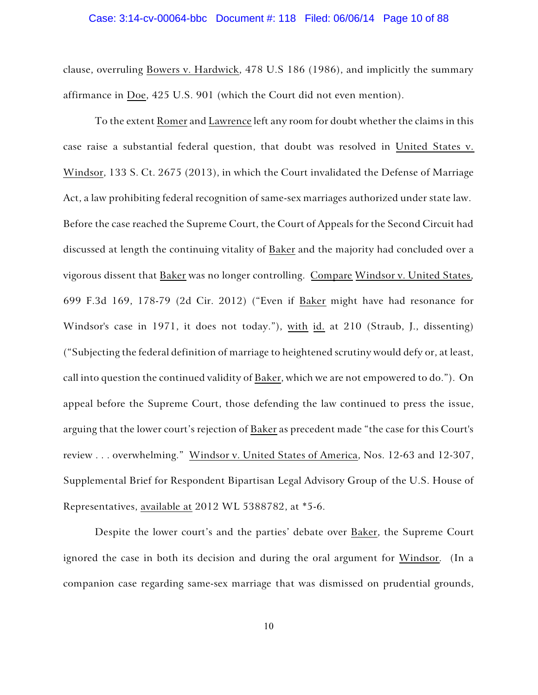### Case: 3:14-cv-00064-bbc Document #: 118 Filed: 06/06/14 Page 10 of 88

clause, overruling Bowers v. Hardwick, 478 U.S 186 (1986), and implicitly the summary affirmance in Doe, 425 U.S. 901 (which the Court did not even mention).

To the extent Romer and Lawrence left any room for doubt whether the claims in this case raise a substantial federal question, that doubt was resolved in United States v. Windsor, 133 S. Ct. 2675 (2013), in which the Court invalidated the Defense of Marriage Act, a law prohibiting federal recognition of same-sex marriages authorized under state law. Before the case reached the Supreme Court, the Court of Appeals for the Second Circuit had discussed at length the continuing vitality of Baker and the majority had concluded over a vigorous dissent that Baker was no longer controlling. Compare Windsor v. United States, 699 F.3d 169, 178-79 (2d Cir. 2012) ("Even if Baker might have had resonance for Windsor's case in 1971, it does not today."), with id. at 210 (Straub, J., dissenting) ("Subjecting the federal definition of marriage to heightened scrutiny would defy or, at least, call into question the continued validity of Baker, which we are not empowered to do."). On appeal before the Supreme Court, those defending the law continued to press the issue, arguing that the lower court's rejection of Baker as precedent made "the case for this Court's review . . . overwhelming." Windsor v. United States of America, Nos. 12-63 and 12-307, Supplemental Brief for Respondent Bipartisan Legal Advisory Group of the U.S. House of Representatives, available at 2012 WL 5388782, at \*5-6.

Despite the lower court's and the parties' debate over Baker, the Supreme Court ignored the case in both its decision and during the oral argument for Windsor. (In a companion case regarding same-sex marriage that was dismissed on prudential grounds,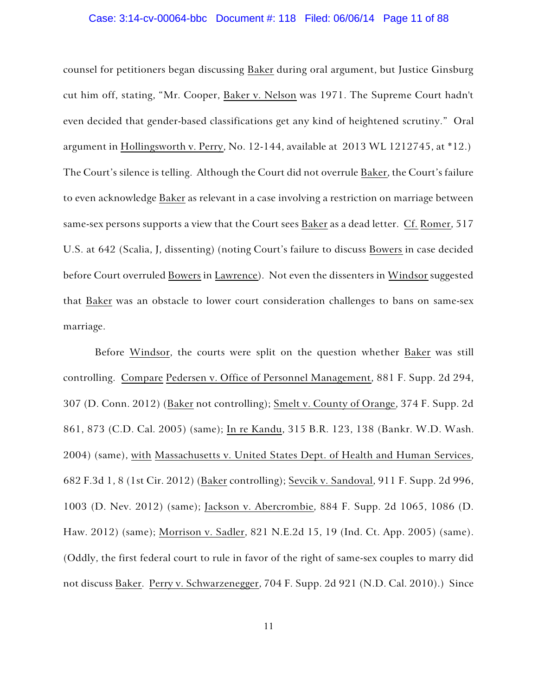### Case: 3:14-cv-00064-bbc Document #: 118 Filed: 06/06/14 Page 11 of 88

counsel for petitioners began discussing Baker during oral argument, but Justice Ginsburg cut him off, stating, "Mr. Cooper, Baker v. Nelson was 1971. The Supreme Court hadn't even decided that gender-based classifications get any kind of heightened scrutiny." Oral argument in Hollingsworth v. Perry, No. 12-144, available at 2013 WL 1212745, at \*12.) The Court's silence is telling. Although the Court did not overrule Baker, the Court's failure to even acknowledge Baker as relevant in a case involving a restriction on marriage between same-sex persons supports a view that the Court sees Baker as a dead letter. Cf. Romer, 517 U.S. at 642 (Scalia, J, dissenting) (noting Court's failure to discuss Bowers in case decided before Court overruled Bowers in Lawrence). Not even the dissenters in Windsor suggested that Baker was an obstacle to lower court consideration challenges to bans on same-sex marriage.

Before Windsor, the courts were split on the question whether Baker was still controlling. Compare Pedersen v. Office of Personnel Management, 881 F. Supp. 2d 294, 307 (D. Conn. 2012) (Baker not controlling); Smelt v. County of Orange, 374 F. Supp. 2d 861, 873 (C.D. Cal. 2005) (same); In re Kandu, 315 B.R. 123, 138 (Bankr. W.D. Wash. 2004) (same), with Massachusetts v. United States Dept. of Health and Human Services, 682 F.3d 1, 8 (1st Cir. 2012) (Baker controlling); Sevcik v. Sandoval, 911 F. Supp. 2d 996, 1003 (D. Nev. 2012) (same); Jackson v. Abercrombie, 884 F. Supp. 2d 1065, 1086 (D. Haw. 2012) (same); Morrison v. Sadler, 821 N.E.2d 15, 19 (Ind. Ct. App. 2005) (same). (Oddly, the first federal court to rule in favor of the right of same-sex couples to marry did not discuss Baker. Perry v. Schwarzenegger, 704 F. Supp. 2d 921 (N.D. Cal. 2010).) Since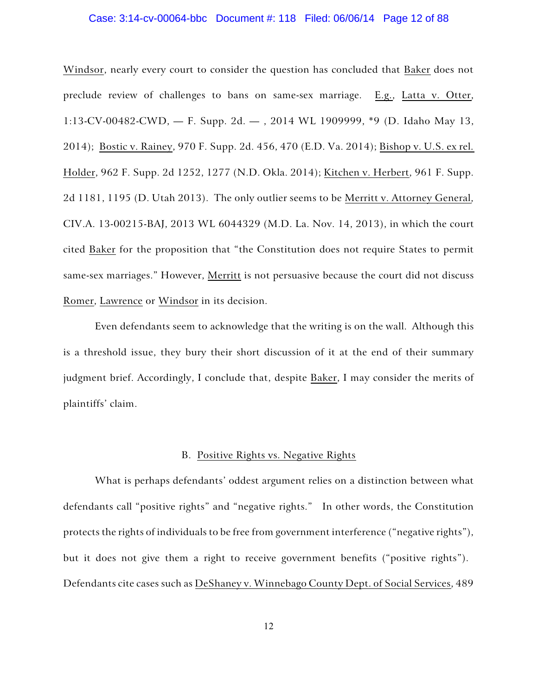### Case: 3:14-cv-00064-bbc Document #: 118 Filed: 06/06/14 Page 12 of 88

Windsor, nearly every court to consider the question has concluded that Baker does not preclude review of challenges to bans on same-sex marriage. E.g., Latta v. Otter, 1:13-CV-00482-CWD, — F. Supp. 2d. — , 2014 WL 1909999, \*9 (D. Idaho May 13, 2014); Bostic v. Rainey, 970 F. Supp. 2d. 456, 470 (E.D. Va. 2014); Bishop v. U.S. ex rel. Holder, 962 F. Supp. 2d 1252, 1277 (N.D. Okla. 2014); Kitchen v. Herbert, 961 F. Supp. 2d 1181, 1195 (D. Utah 2013). The only outlier seems to be Merritt v. Attorney General, CIV.A. 13-00215-BAJ, 2013 WL 6044329 (M.D. La. Nov. 14, 2013), in which the court cited Baker for the proposition that "the Constitution does not require States to permit same-sex marriages." However, Merritt is not persuasive because the court did not discuss Romer, Lawrence or Windsor in its decision.

Even defendants seem to acknowledge that the writing is on the wall. Although this is a threshold issue, they bury their short discussion of it at the end of their summary judgment brief. Accordingly, I conclude that, despite Baker, I may consider the merits of plaintiffs' claim.

### B. Positive Rights vs. Negative Rights

What is perhaps defendants' oddest argument relies on a distinction between what defendants call "positive rights" and "negative rights." In other words, the Constitution protects the rights of individuals to be free from government interference ("negative rights"), but it does not give them a right to receive government benefits ("positive rights"). Defendants cite cases such as DeShaney v. Winnebago County Dept. of Social Services, 489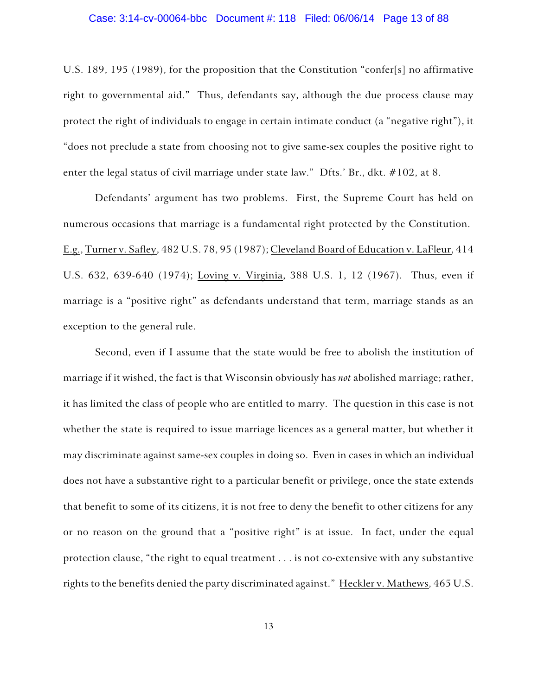# Case: 3:14-cv-00064-bbc Document #: 118 Filed: 06/06/14 Page 13 of 88

U.S. 189, 195 (1989), for the proposition that the Constitution "confer[s] no affirmative right to governmental aid." Thus, defendants say, although the due process clause may protect the right of individuals to engage in certain intimate conduct (a "negative right"), it "does not preclude a state from choosing not to give same-sex couples the positive right to enter the legal status of civil marriage under state law." Dfts.' Br., dkt. #102, at 8.

Defendants' argument has two problems. First, the Supreme Court has held on numerous occasions that marriage is a fundamental right protected by the Constitution. E.g., Turner v. Safley, 482 U.S. 78, 95 (1987); Cleveland Board of Education v. LaFleur, 414 U.S. 632, 639-640 (1974); Loving v. Virginia, 388 U.S. 1, 12 (1967). Thus, even if marriage is a "positive right" as defendants understand that term, marriage stands as an exception to the general rule.

Second, even if I assume that the state would be free to abolish the institution of marriage if it wished, the fact is that Wisconsin obviously has *not* abolished marriage; rather, it has limited the class of people who are entitled to marry. The question in this case is not whether the state is required to issue marriage licences as a general matter, but whether it may discriminate against same-sex couples in doing so. Even in cases in which an individual does not have a substantive right to a particular benefit or privilege, once the state extends that benefit to some of its citizens, it is not free to deny the benefit to other citizens for any or no reason on the ground that a "positive right" is at issue. In fact, under the equal protection clause, "the right to equal treatment . . . is not co-extensive with any substantive rights to the benefits denied the party discriminated against." Heckler v. Mathews, 465 U.S.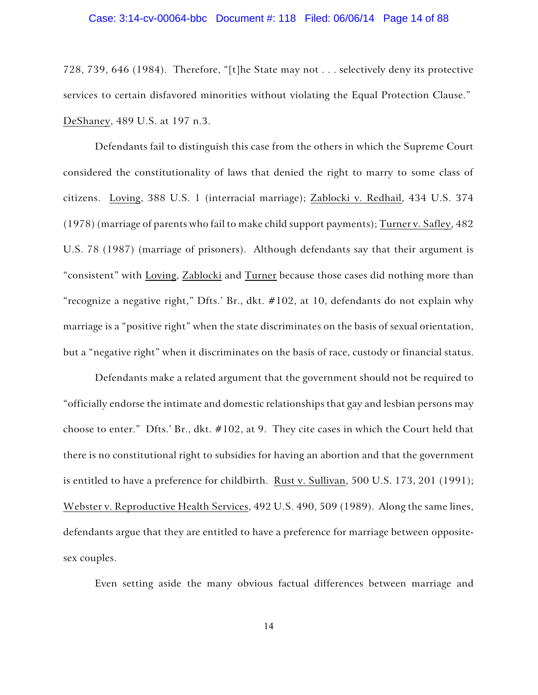### Case: 3:14-cv-00064-bbc Document #: 118 Filed: 06/06/14 Page 14 of 88

728, 739, 646 (1984). Therefore, "[t]he State may not . . . selectively deny its protective services to certain disfavored minorities without violating the Equal Protection Clause." DeShaney, 489 U.S. at 197 n.3.

Defendants fail to distinguish this case from the others in which the Supreme Court considered the constitutionality of laws that denied the right to marry to some class of citizens. Loving, 388 U.S. 1 (interracial marriage); Zablocki v. Redhail, 434 U.S. 374 (1978) (marriage of parents who fail to make child support payments); Turner v. Safley, 482 U.S. 78 (1987) (marriage of prisoners). Although defendants say that their argument is "consistent" with Loving, Zablocki and Turner because those cases did nothing more than "recognize a negative right," Dfts.' Br., dkt. #102, at 10, defendants do not explain why marriage is a "positive right" when the state discriminates on the basis of sexual orientation, but a "negative right" when it discriminates on the basis of race, custody or financial status.

Defendants make a related argument that the government should not be required to "officially endorse the intimate and domestic relationships that gay and lesbian persons may choose to enter." Dfts.' Br., dkt. #102, at 9. They cite cases in which the Court held that there is no constitutional right to subsidies for having an abortion and that the government is entitled to have a preference for childbirth. Rust v. Sullivan, 500 U.S. 173, 201 (1991); Webster v. Reproductive Health Services, 492 U.S. 490, 509 (1989). Along the same lines, defendants argue that they are entitled to have a preference for marriage between oppositesex couples.

Even setting aside the many obvious factual differences between marriage and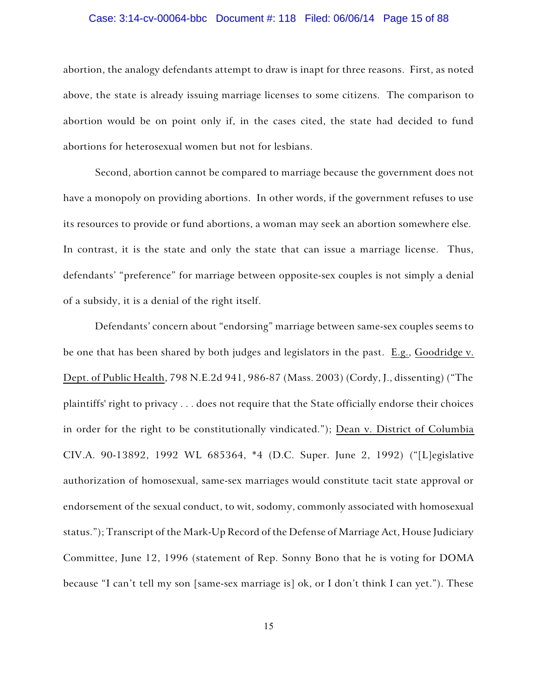### Case: 3:14-cv-00064-bbc Document #: 118 Filed: 06/06/14 Page 15 of 88

abortion, the analogy defendants attempt to draw is inapt for three reasons. First, as noted above, the state is already issuing marriage licenses to some citizens. The comparison to abortion would be on point only if, in the cases cited, the state had decided to fund abortions for heterosexual women but not for lesbians.

Second, abortion cannot be compared to marriage because the government does not have a monopoly on providing abortions. In other words, if the government refuses to use its resources to provide or fund abortions, a woman may seek an abortion somewhere else. In contrast, it is the state and only the state that can issue a marriage license. Thus, defendants' "preference" for marriage between opposite-sex couples is not simply a denial of a subsidy, it is a denial of the right itself.

Defendants' concern about "endorsing" marriage between same-sex couples seems to be one that has been shared by both judges and legislators in the past. E.g., Goodridge v. Dept. of Public Health, 798 N.E.2d 941, 986-87 (Mass. 2003) (Cordy, J., dissenting) ("The plaintiffs' right to privacy . . . does not require that the State officially endorse their choices in order for the right to be constitutionally vindicated."); Dean v. District of Columbia CIV.A. 90-13892, 1992 WL 685364, \*4 (D.C. Super. June 2, 1992) ("[L]egislative authorization of homosexual, same-sex marriages would constitute tacit state approval or endorsement of the sexual conduct, to wit, sodomy, commonly associated with homosexual status."); Transcript of the Mark-Up Record of the Defense of Marriage Act, House Judiciary Committee, June 12, 1996 (statement of Rep. Sonny Bono that he is voting for DOMA because "I can't tell my son [same-sex marriage is] ok, or I don't think I can yet."). These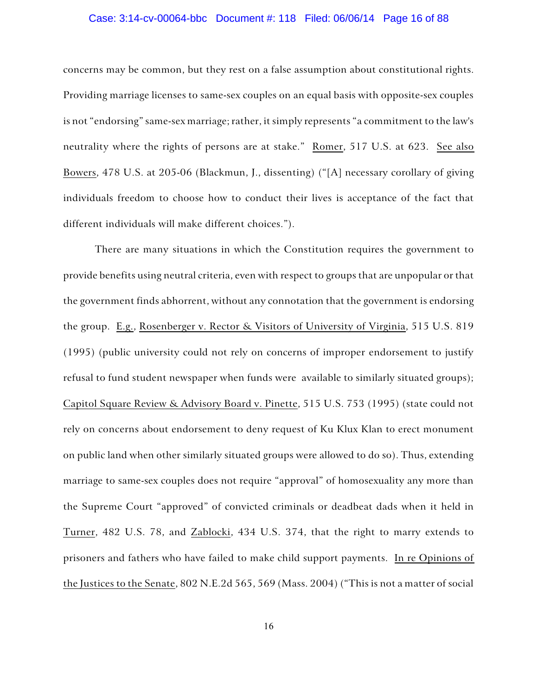### Case: 3:14-cv-00064-bbc Document #: 118 Filed: 06/06/14 Page 16 of 88

concerns may be common, but they rest on a false assumption about constitutional rights. Providing marriage licenses to same-sex couples on an equal basis with opposite-sex couples is not "endorsing" same-sex marriage; rather, it simply represents "a commitment to the law's neutrality where the rights of persons are at stake." Romer, 517 U.S. at 623. See also Bowers, 478 U.S. at 205-06 (Blackmun, J., dissenting) ("[A] necessary corollary of giving individuals freedom to choose how to conduct their lives is acceptance of the fact that different individuals will make different choices.").

There are many situations in which the Constitution requires the government to provide benefits using neutral criteria, even with respect to groups that are unpopular or that the government finds abhorrent, without any connotation that the government is endorsing the group. E.g., Rosenberger v. Rector & Visitors of University of Virginia, 515 U.S. 819 (1995) (public university could not rely on concerns of improper endorsement to justify refusal to fund student newspaper when funds were available to similarly situated groups); Capitol Square Review & Advisory Board v. Pinette, 515 U.S. 753 (1995) (state could not rely on concerns about endorsement to deny request of Ku Klux Klan to erect monument on public land when other similarly situated groups were allowed to do so). Thus, extending marriage to same-sex couples does not require "approval" of homosexuality any more than the Supreme Court "approved" of convicted criminals or deadbeat dads when it held in Turner, 482 U.S. 78, and Zablocki, 434 U.S. 374, that the right to marry extends to prisoners and fathers who have failed to make child support payments. In re Opinions of the Justices to the Senate, 802 N.E.2d 565, 569 (Mass. 2004) ("This is not a matter of social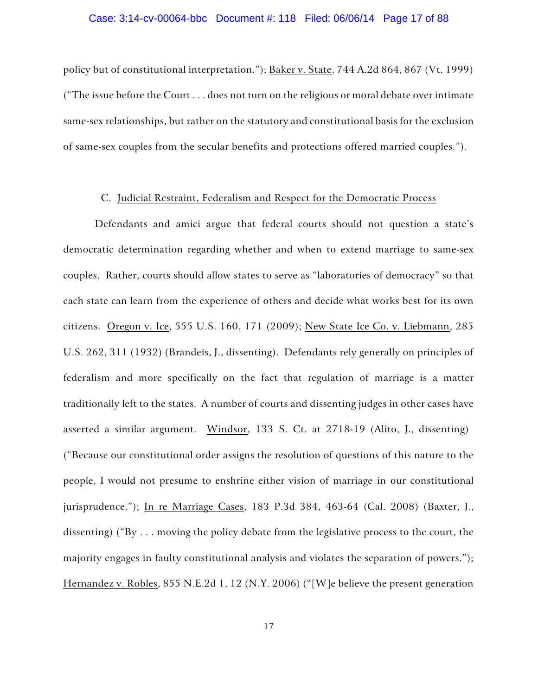## Case: 3:14-cv-00064-bbc Document #: 118 Filed: 06/06/14 Page 17 of 88

policy but of constitutional interpretation."); Baker v. State, 744 A.2d 864, 867 (Vt. 1999) ("The issue before the Court . . . does not turn on the religious or moral debate over intimate same-sex relationships, but rather on the statutory and constitutional basis for the exclusion of same-sex couples from the secular benefits and protections offered married couples.").

### C. Judicial Restraint, Federalism and Respect for the Democratic Process

Defendants and amici argue that federal courts should not question a state's democratic determination regarding whether and when to extend marriage to same-sex couples. Rather, courts should allow states to serve as "laboratories of democracy" so that each state can learn from the experience of others and decide what works best for its own citizens. Oregon v. Ice, 555 U.S. 160, 171 (2009); New State Ice Co. v. Liebmann, 285 U.S. 262, 311 (1932) (Brandeis, J., dissenting). Defendants rely generally on principles of federalism and more specifically on the fact that regulation of marriage is a matter traditionally left to the states. A number of courts and dissenting judges in other cases have asserted a similar argument. Windsor, 133 S. Ct. at 2718-19 (Alito, J., dissenting) ("Because our constitutional order assigns the resolution of questions of this nature to the people, I would not presume to enshrine either vision of marriage in our constitutional jurisprudence."); In re Marriage Cases, 183 P.3d 384, 463-64 (Cal. 2008) (Baxter, J., dissenting) ("By . . . moving the policy debate from the legislative process to the court, the majority engages in faulty constitutional analysis and violates the separation of powers."); Hernandez v. Robles, 855 N.E.2d 1, 12 (N.Y. 2006) ("[W]e believe the present generation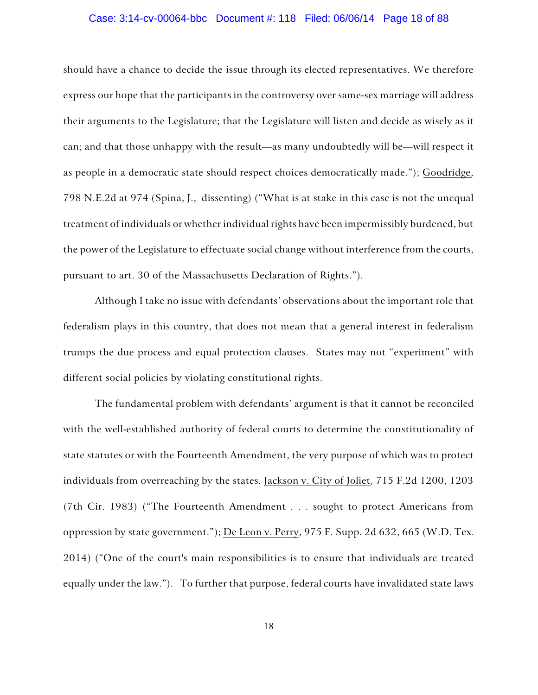### Case: 3:14-cv-00064-bbc Document #: 118 Filed: 06/06/14 Page 18 of 88

should have a chance to decide the issue through its elected representatives. We therefore express our hope that the participants in the controversy over same-sex marriage will address their arguments to the Legislature; that the Legislature will listen and decide as wisely as it can; and that those unhappy with the result—as many undoubtedly will be—will respect it as people in a democratic state should respect choices democratically made."); Goodridge, 798 N.E.2d at 974 (Spina, J., dissenting) ("What is at stake in this case is not the unequal treatment of individuals or whether individual rights have been impermissibly burdened, but the power of the Legislature to effectuate social change without interference from the courts, pursuant to art. 30 of the Massachusetts Declaration of Rights.").

Although I take no issue with defendants' observations about the important role that federalism plays in this country, that does not mean that a general interest in federalism trumps the due process and equal protection clauses. States may not "experiment" with different social policies by violating constitutional rights.

The fundamental problem with defendants' argument is that it cannot be reconciled with the well-established authority of federal courts to determine the constitutionality of state statutes or with the Fourteenth Amendment, the very purpose of which was to protect individuals from overreaching by the states. Jackson v. City of Joliet, 715 F.2d 1200, 1203 (7th Cir. 1983) ("The Fourteenth Amendment . . . sought to protect Americans from oppression by state government."); De Leon v. Perry, 975 F. Supp. 2d 632, 665 (W.D. Tex. 2014) ("One of the court's main responsibilities is to ensure that individuals are treated equally under the law."). To further that purpose, federal courts have invalidated state laws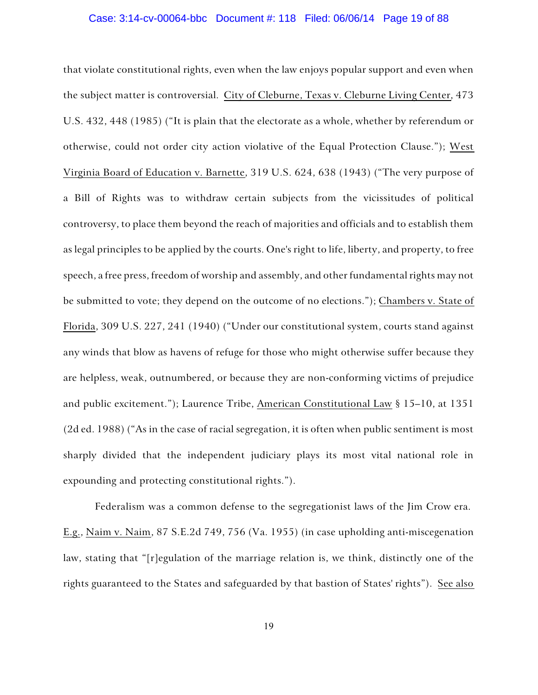## Case: 3:14-cv-00064-bbc Document #: 118 Filed: 06/06/14 Page 19 of 88

that violate constitutional rights, even when the law enjoys popular support and even when the subject matter is controversial. City of Cleburne, Texas v. Cleburne Living Center, 473 U.S. 432, 448 (1985) ("It is plain that the electorate as a whole, whether by referendum or otherwise, could not order city action violative of the Equal Protection Clause."); West Virginia Board of Education v. Barnette, 319 U.S. 624, 638 (1943) ("The very purpose of a Bill of Rights was to withdraw certain subjects from the vicissitudes of political controversy, to place them beyond the reach of majorities and officials and to establish them as legal principles to be applied by the courts. One's right to life, liberty, and property, to free speech, a free press, freedom of worship and assembly, and other fundamental rights may not be submitted to vote; they depend on the outcome of no elections."); Chambers v. State of Florida, 309 U.S. 227, 241 (1940) ("Under our constitutional system, courts stand against any winds that blow as havens of refuge for those who might otherwise suffer because they are helpless, weak, outnumbered, or because they are non-conforming victims of prejudice and public excitement."); Laurence Tribe, American Constitutional Law § 15–10, at 1351 (2d ed. 1988) ("As in the case of racial segregation, it is often when public sentiment is most sharply divided that the independent judiciary plays its most vital national role in expounding and protecting constitutional rights.").

Federalism was a common defense to the segregationist laws of the Jim Crow era. E.g., Naim v. Naim, 87 S.E.2d 749, 756 (Va. 1955) (in case upholding anti-miscegenation law, stating that "[r]egulation of the marriage relation is, we think, distinctly one of the rights guaranteed to the States and safeguarded by that bastion of States' rights"). See also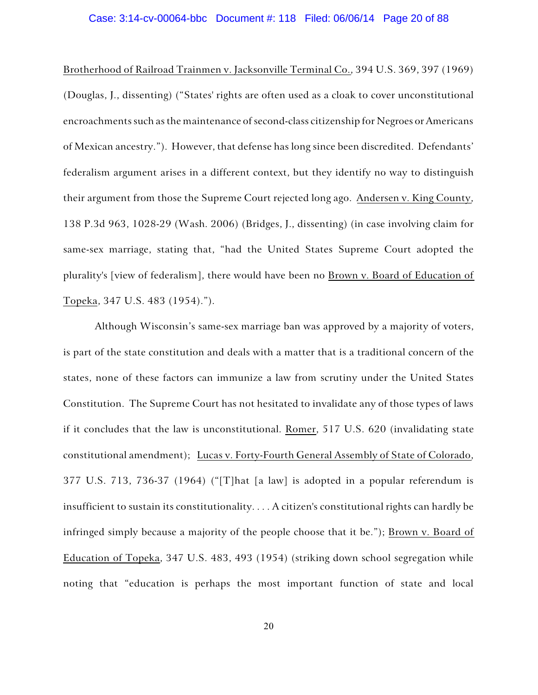### Case: 3:14-cv-00064-bbc Document #: 118 Filed: 06/06/14 Page 20 of 88

Brotherhood of Railroad Trainmen v. Jacksonville Terminal Co., 394 U.S. 369, 397 (1969) (Douglas, J., dissenting) ("States' rights are often used as a cloak to cover unconstitutional encroachments such as the maintenance of second-class citizenship for Negroes or Americans of Mexican ancestry."). However, that defense has long since been discredited. Defendants' federalism argument arises in a different context, but they identify no way to distinguish their argument from those the Supreme Court rejected long ago. Andersen v. King County, 138 P.3d 963, 1028-29 (Wash. 2006) (Bridges, J., dissenting) (in case involving claim for same-sex marriage, stating that, "had the United States Supreme Court adopted the plurality's [view of federalism], there would have been no Brown v. Board of Education of Topeka, 347 U.S. 483 (1954).").

Although Wisconsin's same-sex marriage ban was approved by a majority of voters, is part of the state constitution and deals with a matter that is a traditional concern of the states, none of these factors can immunize a law from scrutiny under the United States Constitution. The Supreme Court has not hesitated to invalidate any of those types of laws if it concludes that the law is unconstitutional. Romer, 517 U.S. 620 (invalidating state constitutional amendment); Lucas v. Forty-Fourth General Assembly of State of Colorado, 377 U.S. 713, 736-37 (1964) ("[T]hat [a law] is adopted in a popular referendum is insufficient to sustain its constitutionality. . . . A citizen's constitutional rights can hardly be infringed simply because a majority of the people choose that it be."); Brown v. Board of Education of Topeka, 347 U.S. 483, 493 (1954) (striking down school segregation while noting that "education is perhaps the most important function of state and local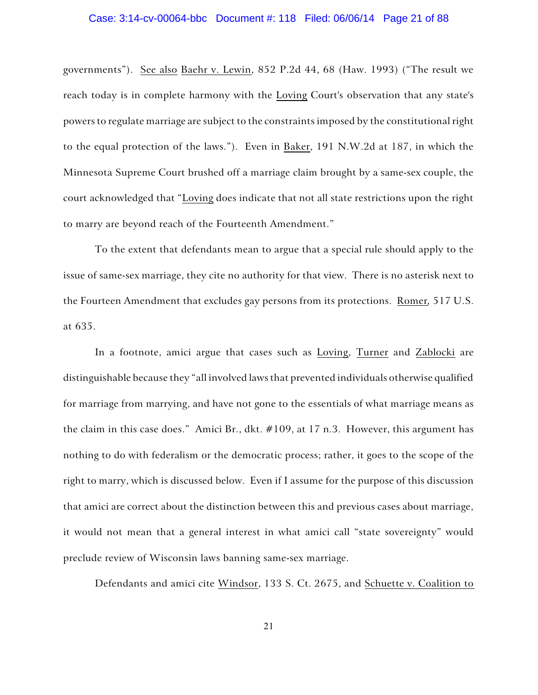### Case: 3:14-cv-00064-bbc Document #: 118 Filed: 06/06/14 Page 21 of 88

governments"). See also Baehr v. Lewin, 852 P.2d 44, 68 (Haw. 1993) ("The result we reach today is in complete harmony with the Loving Court's observation that any state's powers to regulate marriage are subject to the constraints imposed by the constitutional right to the equal protection of the laws."). Even in Baker, 191 N.W.2d at 187, in which the Minnesota Supreme Court brushed off a marriage claim brought by a same-sex couple, the court acknowledged that "Loving does indicate that not all state restrictions upon the right to marry are beyond reach of the Fourteenth Amendment."

To the extent that defendants mean to argue that a special rule should apply to the issue of same-sex marriage, they cite no authority for that view. There is no asterisk next to the Fourteen Amendment that excludes gay persons from its protections. Romer*,* 517 U.S. at 635.

In a footnote, amici argue that cases such as Loving, Turner and Zablocki are distinguishable because they "all involved laws that prevented individuals otherwise qualified for marriage from marrying, and have not gone to the essentials of what marriage means as the claim in this case does." Amici Br., dkt. #109, at 17 n.3. However, this argument has nothing to do with federalism or the democratic process; rather, it goes to the scope of the right to marry, which is discussed below. Even if I assume for the purpose of this discussion that amici are correct about the distinction between this and previous cases about marriage, it would not mean that a general interest in what amici call "state sovereignty" would preclude review of Wisconsin laws banning same-sex marriage.

Defendants and amici cite Windsor, 133 S. Ct. 2675, and Schuette v. Coalition to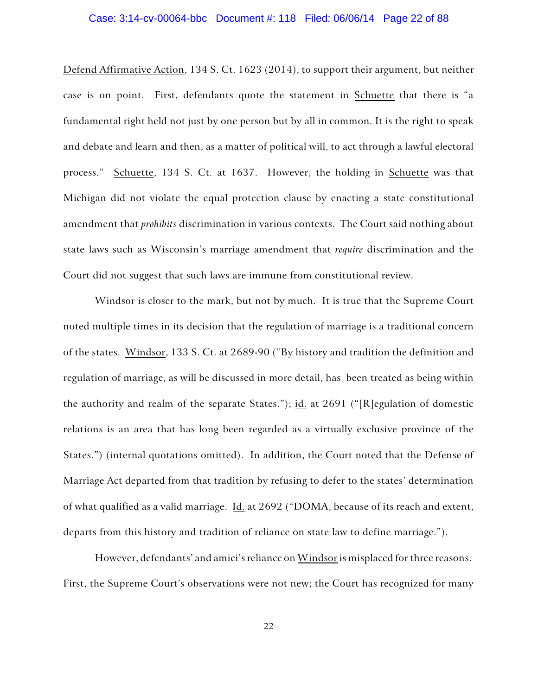# Case: 3:14-cv-00064-bbc Document #: 118 Filed: 06/06/14 Page 22 of 88

Defend Affirmative Action, 134 S. Ct. 1623 (2014), to support their argument, but neither case is on point. First, defendants quote the statement in Schuette that there is "a fundamental right held not just by one person but by all in common. It is the right to speak and debate and learn and then, as a matter of political will, to act through a lawful electoral process." Schuette, 134 S. Ct. at 1637. However, the holding in Schuette was that Michigan did not violate the equal protection clause by enacting a state constitutional amendment that *prohibits* discrimination in various contexts. The Court said nothing about state laws such as Wisconsin's marriage amendment that *require* discrimination and the Court did not suggest that such laws are immune from constitutional review.

Windsor is closer to the mark, but not by much. It is true that the Supreme Court noted multiple times in its decision that the regulation of marriage is a traditional concern of the states. Windsor, 133 S. Ct. at 2689-90 ("By history and tradition the definition and regulation of marriage, as will be discussed in more detail, has been treated as being within the authority and realm of the separate States."); id. at 2691 ("[R]egulation of domestic relations is an area that has long been regarded as a virtually exclusive province of the States.") (internal quotations omitted). In addition, the Court noted that the Defense of Marriage Act departed from that tradition by refusing to defer to the states' determination of what qualified as a valid marriage. Id. at 2692 ("DOMA, because of its reach and extent, departs from this history and tradition of reliance on state law to define marriage.").

However, defendants' and amici's reliance on Windsor is misplaced for three reasons. First, the Supreme Court's observations were not new; the Court has recognized for many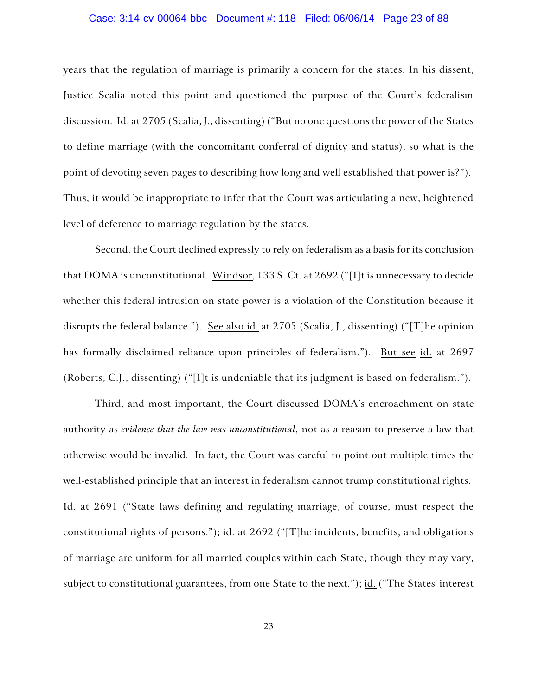### Case: 3:14-cv-00064-bbc Document #: 118 Filed: 06/06/14 Page 23 of 88

years that the regulation of marriage is primarily a concern for the states. In his dissent, Justice Scalia noted this point and questioned the purpose of the Court's federalism discussion. Id. at 2705 (Scalia, J., dissenting) ("But no one questions the power of the States to define marriage (with the concomitant conferral of dignity and status), so what is the point of devoting seven pages to describing how long and well established that power is?"). Thus, it would be inappropriate to infer that the Court was articulating a new, heightened level of deference to marriage regulation by the states.

Second, the Court declined expressly to rely on federalism as a basis for its conclusion that DOMA is unconstitutional. Windsor, 133 S. Ct. at 2692 ("[I]t is unnecessary to decide whether this federal intrusion on state power is a violation of the Constitution because it disrupts the federal balance."). See also id. at 2705 (Scalia, J., dissenting) ("[T]he opinion has formally disclaimed reliance upon principles of federalism."). But see id. at 2697 (Roberts, C.J., dissenting) ("[I]t is undeniable that its judgment is based on federalism.").

Third, and most important, the Court discussed DOMA's encroachment on state authority as *evidence that the law was unconstitutional*, not as a reason to preserve a law that otherwise would be invalid. In fact, the Court was careful to point out multiple times the well-established principle that an interest in federalism cannot trump constitutional rights. Id. at 2691 ("State laws defining and regulating marriage, of course, must respect the constitutional rights of persons."); id. at 2692 ("[T]he incidents, benefits, and obligations of marriage are uniform for all married couples within each State, though they may vary, subject to constitutional guarantees, from one State to the next."); id. ("The States' interest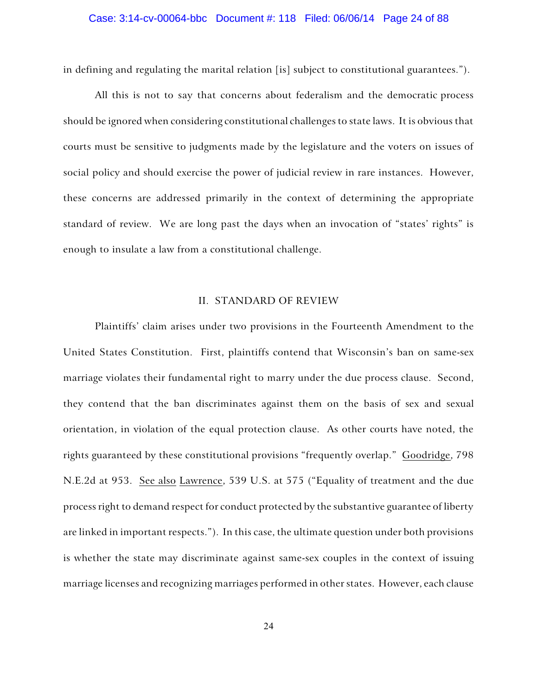## Case: 3:14-cv-00064-bbc Document #: 118 Filed: 06/06/14 Page 24 of 88

in defining and regulating the marital relation [is] subject to constitutional guarantees.").

All this is not to say that concerns about federalism and the democratic process should be ignored when considering constitutional challenges to state laws. It is obvious that courts must be sensitive to judgments made by the legislature and the voters on issues of social policy and should exercise the power of judicial review in rare instances. However, these concerns are addressed primarily in the context of determining the appropriate standard of review. We are long past the days when an invocation of "states' rights" is enough to insulate a law from a constitutional challenge.

### II. STANDARD OF REVIEW

Plaintiffs' claim arises under two provisions in the Fourteenth Amendment to the United States Constitution. First, plaintiffs contend that Wisconsin's ban on same-sex marriage violates their fundamental right to marry under the due process clause. Second, they contend that the ban discriminates against them on the basis of sex and sexual orientation, in violation of the equal protection clause. As other courts have noted, the rights guaranteed by these constitutional provisions "frequently overlap." Goodridge, 798 N.E.2d at 953. See also Lawrence, 539 U.S. at 575 ("Equality of treatment and the due process right to demand respect for conduct protected by the substantive guarantee of liberty are linked in important respects."). In this case, the ultimate question under both provisions is whether the state may discriminate against same-sex couples in the context of issuing marriage licenses and recognizing marriages performed in other states. However, each clause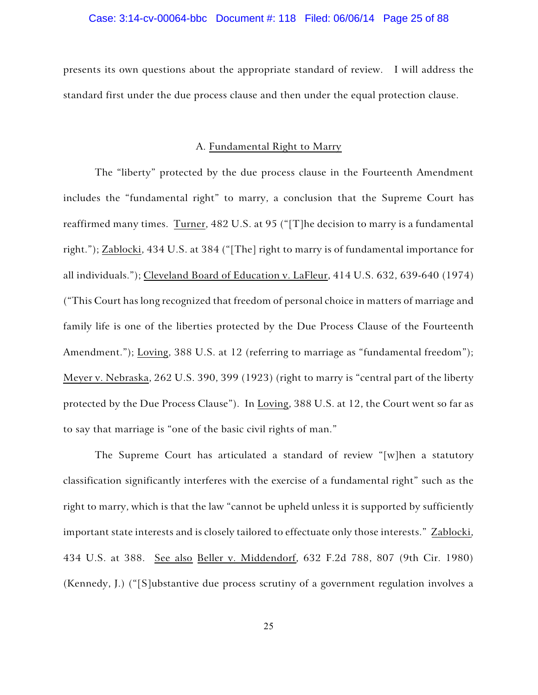### Case: 3:14-cv-00064-bbc Document #: 118 Filed: 06/06/14 Page 25 of 88

presents its own questions about the appropriate standard of review. I will address the standard first under the due process clause and then under the equal protection clause.

### A. Fundamental Right to Marry

The "liberty" protected by the due process clause in the Fourteenth Amendment includes the "fundamental right" to marry, a conclusion that the Supreme Court has reaffirmed many times. Turner, 482 U.S. at 95 ("[T]he decision to marry is a fundamental right."); Zablocki, 434 U.S. at 384 ("[The] right to marry is of fundamental importance for all individuals."); Cleveland Board of Education v. LaFleur, 414 U.S. 632, 639-640 (1974) ("This Court has long recognized that freedom of personal choice in matters of marriage and family life is one of the liberties protected by the Due Process Clause of the Fourteenth Amendment."); Loving, 388 U.S. at 12 (referring to marriage as "fundamental freedom"); Meyer v. Nebraska, 262 U.S. 390, 399 (1923) (right to marry is "central part of the liberty protected by the Due Process Clause"). In Loving, 388 U.S. at 12, the Court went so far as to say that marriage is "one of the basic civil rights of man."

The Supreme Court has articulated a standard of review "[w]hen a statutory classification significantly interferes with the exercise of a fundamental right" such as the right to marry, which is that the law "cannot be upheld unless it is supported by sufficiently important state interests and is closely tailored to effectuate only those interests." Zablocki, 434 U.S. at 388. See also Beller v. Middendorf, 632 F.2d 788, 807 (9th Cir. 1980) (Kennedy, J.) ("[S]ubstantive due process scrutiny of a government regulation involves a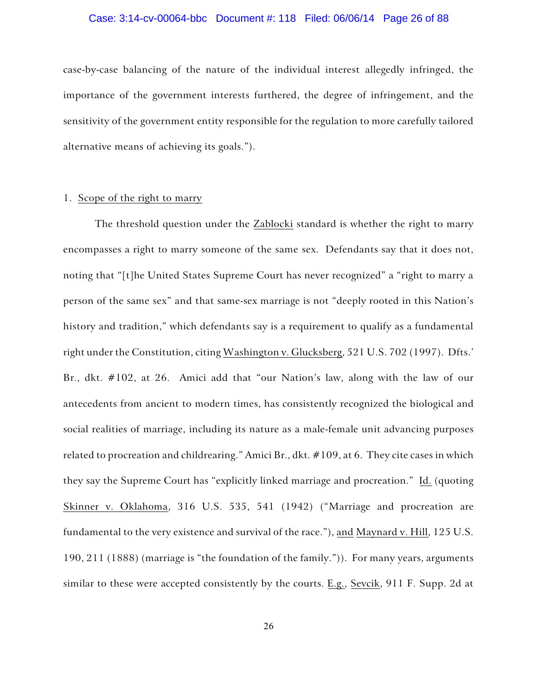### Case: 3:14-cv-00064-bbc Document #: 118 Filed: 06/06/14 Page 26 of 88

case-by-case balancing of the nature of the individual interest allegedly infringed, the importance of the government interests furthered, the degree of infringement, and the sensitivity of the government entity responsible for the regulation to more carefully tailored alternative means of achieving its goals.").

### 1. Scope of the right to marry

The threshold question under the Zablocki standard is whether the right to marry encompasses a right to marry someone of the same sex. Defendants say that it does not, noting that "[t]he United States Supreme Court has never recognized" a "right to marry a person of the same sex" and that same-sex marriage is not "deeply rooted in this Nation's history and tradition," which defendants say is a requirement to qualify as a fundamental right under the Constitution, citing Washington v. Glucksberg, 521 U.S. 702 (1997). Dfts.' Br., dkt. #102, at 26. Amici add that "our Nation's law, along with the law of our antecedents from ancient to modern times, has consistently recognized the biological and social realities of marriage, including its nature as a male-female unit advancing purposes related to procreation and childrearing." Amici Br., dkt. #109, at 6. They cite cases in which they say the Supreme Court has "explicitly linked marriage and procreation." Id. (quoting Skinner v. Oklahoma, 316 U.S. 535, 541 (1942) ("Marriage and procreation are fundamental to the very existence and survival of the race."), and Maynard v. Hill, 125 U.S. 190, 211 (1888) (marriage is "the foundation of the family.")). For many years, arguments similar to these were accepted consistently by the courts. E.g., Sevcik, 911 F. Supp. 2d at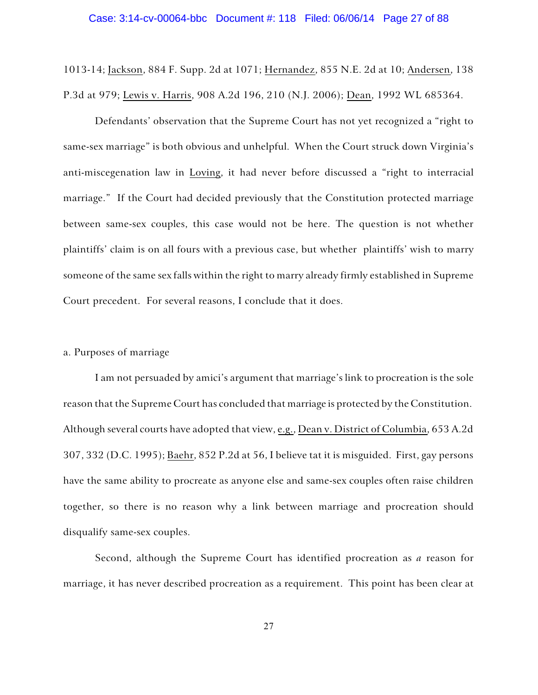## Case: 3:14-cv-00064-bbc Document #: 118 Filed: 06/06/14 Page 27 of 88

1013-14; Jackson, 884 F. Supp. 2d at 1071; Hernandez, 855 N.E. 2d at 10; Andersen, 138 P.3d at 979; Lewis v. Harris, 908 A.2d 196, 210 (N.J. 2006); Dean, 1992 WL 685364.

Defendants' observation that the Supreme Court has not yet recognized a "right to same-sex marriage" is both obvious and unhelpful. When the Court struck down Virginia's anti-miscegenation law in Loving, it had never before discussed a "right to interracial marriage." If the Court had decided previously that the Constitution protected marriage between same-sex couples, this case would not be here. The question is not whether plaintiffs' claim is on all fours with a previous case, but whether plaintiffs' wish to marry someone of the same sex falls within the right to marry already firmly established in Supreme Court precedent. For several reasons, I conclude that it does.

### a. Purposes of marriage

I am not persuaded by amici's argument that marriage's link to procreation is the sole reason that the Supreme Court has concluded that marriage is protected by the Constitution. Although several courts have adopted that view, e.g., Dean v. District of Columbia, 653 A.2d 307, 332 (D.C. 1995); Baehr, 852 P.2d at 56, I believe tat it is misguided. First, gay persons have the same ability to procreate as anyone else and same-sex couples often raise children together, so there is no reason why a link between marriage and procreation should disqualify same-sex couples.

Second, although the Supreme Court has identified procreation as *a* reason for marriage, it has never described procreation as a requirement. This point has been clear at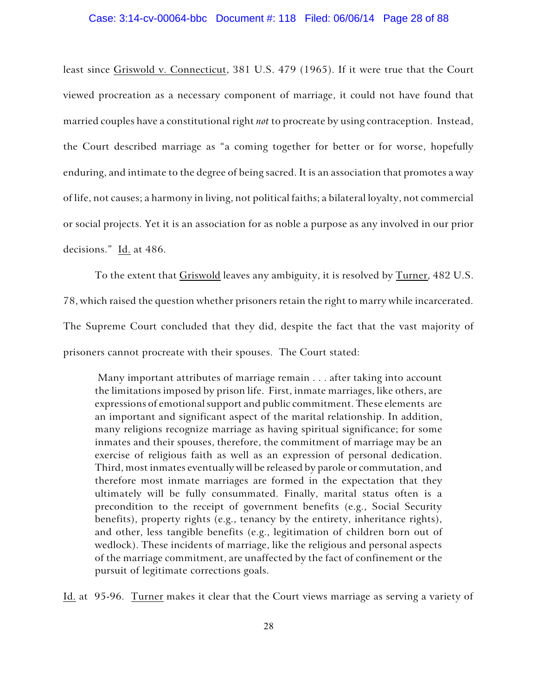### Case: 3:14-cv-00064-bbc Document #: 118 Filed: 06/06/14 Page 28 of 88

least since Griswold v. Connecticut, 381 U.S. 479 (1965). If it were true that the Court viewed procreation as a necessary component of marriage, it could not have found that married couples have a constitutional right *not* to procreate by using contraception. Instead, the Court described marriage as "a coming together for better or for worse, hopefully enduring, and intimate to the degree of being sacred. It is an association that promotes a way of life, not causes; a harmony in living, not political faiths; a bilateral loyalty, not commercial or social projects. Yet it is an association for as noble a purpose as any involved in our prior decisions." Id. at 486.

To the extent that Griswold leaves any ambiguity, it is resolved by Turner, 482 U.S.

78, which raised the question whether prisoners retain the right to marry while incarcerated. The Supreme Court concluded that they did, despite the fact that the vast majority of prisoners cannot procreate with their spouses. The Court stated:

 Many important attributes of marriage remain . . . after taking into account the limitations imposed by prison life. First, inmate marriages, like others, are expressions of emotional support and public commitment. These elements are an important and significant aspect of the marital relationship. In addition, many religions recognize marriage as having spiritual significance; for some inmates and their spouses, therefore, the commitment of marriage may be an exercise of religious faith as well as an expression of personal dedication. Third, most inmates eventually will be released by parole or commutation, and therefore most inmate marriages are formed in the expectation that they ultimately will be fully consummated. Finally, marital status often is a precondition to the receipt of government benefits (e.g., Social Security benefits), property rights (e.g., tenancy by the entirety, inheritance rights), and other, less tangible benefits (e.g., legitimation of children born out of wedlock). These incidents of marriage, like the religious and personal aspects of the marriage commitment, are unaffected by the fact of confinement or the pursuit of legitimate corrections goals.

Id. at 95-96. Turner makes it clear that the Court views marriage as serving a variety of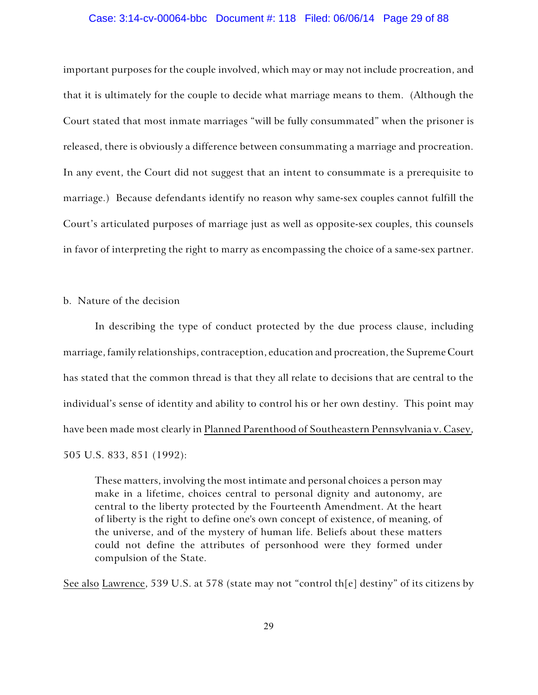### Case: 3:14-cv-00064-bbc Document #: 118 Filed: 06/06/14 Page 29 of 88

important purposes for the couple involved, which may or may not include procreation, and that it is ultimately for the couple to decide what marriage means to them. (Although the Court stated that most inmate marriages "will be fully consummated" when the prisoner is released, there is obviously a difference between consummating a marriage and procreation. In any event, the Court did not suggest that an intent to consummate is a prerequisite to marriage.) Because defendants identify no reason why same-sex couples cannot fulfill the Court's articulated purposes of marriage just as well as opposite-sex couples, this counsels in favor of interpreting the right to marry as encompassing the choice of a same-sex partner.

### b. Nature of the decision

In describing the type of conduct protected by the due process clause, including marriage, family relationships, contraception, education and procreation, the Supreme Court has stated that the common thread is that they all relate to decisions that are central to the individual's sense of identity and ability to control his or her own destiny. This point may have been made most clearly in Planned Parenthood of Southeastern Pennsylvania v. Casey, 505 U.S. 833, 851 (1992):

These matters, involving the most intimate and personal choices a person may make in a lifetime, choices central to personal dignity and autonomy, are central to the liberty protected by the Fourteenth Amendment. At the heart of liberty is the right to define one's own concept of existence, of meaning, of the universe, and of the mystery of human life. Beliefs about these matters could not define the attributes of personhood were they formed under compulsion of the State.

See also Lawrence, 539 U.S. at 578 (state may not "control th[e] destiny" of its citizens by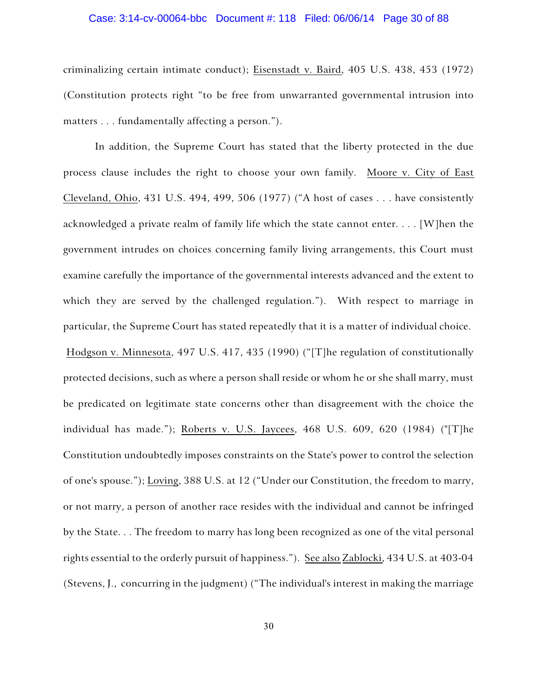## Case: 3:14-cv-00064-bbc Document #: 118 Filed: 06/06/14 Page 30 of 88

criminalizing certain intimate conduct); Eisenstadt v. Baird, 405 U.S. 438, 453 (1972) (Constitution protects right "to be free from unwarranted governmental intrusion into matters . . . fundamentally affecting a person.").

In addition, the Supreme Court has stated that the liberty protected in the due process clause includes the right to choose your own family. Moore v. City of East Cleveland, Ohio, 431 U.S. 494, 499, 506 (1977) ("A host of cases . . . have consistently acknowledged a private realm of family life which the state cannot enter. . . . [W]hen the government intrudes on choices concerning family living arrangements, this Court must examine carefully the importance of the governmental interests advanced and the extent to which they are served by the challenged regulation."). With respect to marriage in particular, the Supreme Court has stated repeatedly that it is a matter of individual choice. Hodgson v. Minnesota, 497 U.S. 417, 435 (1990) ("[T]he regulation of constitutionally protected decisions, such as where a person shall reside or whom he or she shall marry, must be predicated on legitimate state concerns other than disagreement with the choice the individual has made."); Roberts v. U.S. Jaycees, 468 U.S. 609, 620 (1984) ("[T]he Constitution undoubtedly imposes constraints on the State's power to control the selection of one's spouse."); Loving, 388 U.S. at 12 ("Under our Constitution, the freedom to marry, or not marry, a person of another race resides with the individual and cannot be infringed by the State. . . The freedom to marry has long been recognized as one of the vital personal rights essential to the orderly pursuit of happiness."). See also Zablocki, 434 U.S. at 403-04 (Stevens, J., concurring in the judgment) ("The individual's interest in making the marriage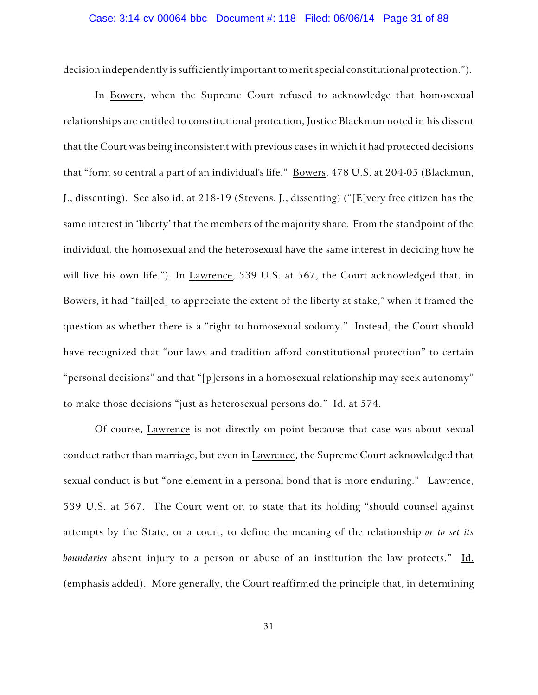# Case: 3:14-cv-00064-bbc Document #: 118 Filed: 06/06/14 Page 31 of 88

decision independently is sufficiently important to merit special constitutional protection.").

In Bowers, when the Supreme Court refused to acknowledge that homosexual relationships are entitled to constitutional protection, Justice Blackmun noted in his dissent that the Court was being inconsistent with previous cases in which it had protected decisions that "form so central a part of an individual's life." Bowers, 478 U.S. at 204-05 (Blackmun, J., dissenting). See also id. at 218-19 (Stevens, J., dissenting) ("[E]very free citizen has the same interest in 'liberty' that the members of the majority share. From the standpoint of the individual, the homosexual and the heterosexual have the same interest in deciding how he will live his own life."). In Lawrence, 539 U.S. at 567, the Court acknowledged that, in Bowers, it had "fail[ed] to appreciate the extent of the liberty at stake," when it framed the question as whether there is a "right to homosexual sodomy." Instead, the Court should have recognized that "our laws and tradition afford constitutional protection" to certain "personal decisions" and that "[p]ersons in a homosexual relationship may seek autonomy" to make those decisions "just as heterosexual persons do." Id. at 574.

Of course, Lawrence is not directly on point because that case was about sexual conduct rather than marriage, but even in Lawrence, the Supreme Court acknowledged that sexual conduct is but "one element in a personal bond that is more enduring." Lawrence, 539 U.S. at 567. The Court went on to state that its holding "should counsel against attempts by the State, or a court, to define the meaning of the relationship *or to set its boundaries* absent injury to a person or abuse of an institution the law protects." Id. (emphasis added). More generally, the Court reaffirmed the principle that, in determining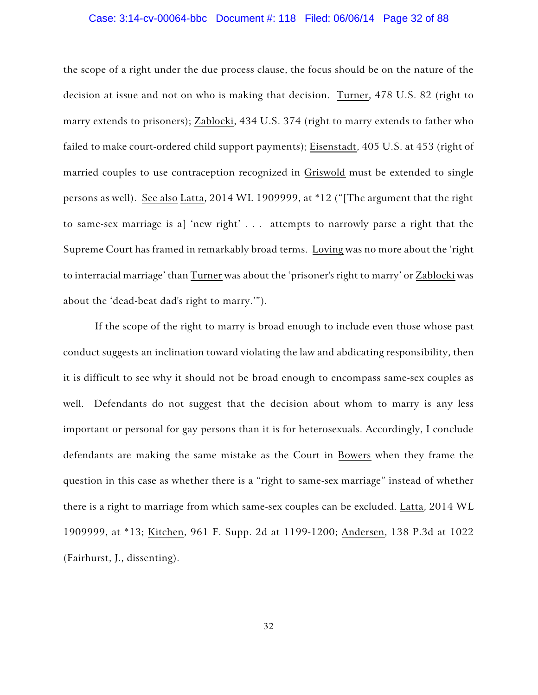### Case: 3:14-cv-00064-bbc Document #: 118 Filed: 06/06/14 Page 32 of 88

the scope of a right under the due process clause, the focus should be on the nature of the decision at issue and not on who is making that decision. Turner, 478 U.S. 82 (right to marry extends to prisoners); Zablocki, 434 U.S. 374 (right to marry extends to father who failed to make court-ordered child support payments); Eisenstadt, 405 U.S. at 453 (right of married couples to use contraception recognized in Griswold must be extended to single persons as well). See also Latta, 2014 WL 1909999, at \*12 ("[The argument that the right to same-sex marriage is a] 'new right' . . . attempts to narrowly parse a right that the Supreme Court has framed in remarkably broad terms. Loving was no more about the 'right to interracial marriage' than Turner was about the 'prisoner's right to marry' or Zablocki was about the 'dead-beat dad's right to marry.'").

If the scope of the right to marry is broad enough to include even those whose past conduct suggests an inclination toward violating the law and abdicating responsibility, then it is difficult to see why it should not be broad enough to encompass same-sex couples as well. Defendants do not suggest that the decision about whom to marry is any less important or personal for gay persons than it is for heterosexuals. Accordingly, I conclude defendants are making the same mistake as the Court in Bowers when they frame the question in this case as whether there is a "right to same-sex marriage" instead of whether there is a right to marriage from which same-sex couples can be excluded. Latta, 2014 WL 1909999, at \*13; Kitchen, 961 F. Supp. 2d at 1199-1200; Andersen, 138 P.3d at 1022 (Fairhurst, J., dissenting).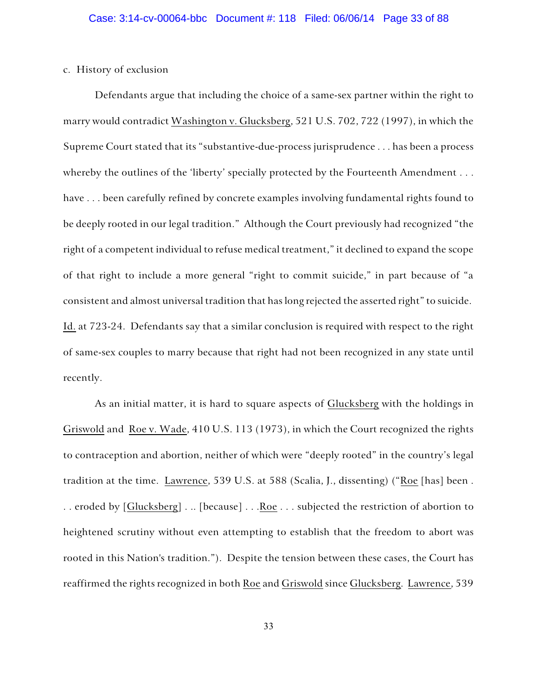### c. History of exclusion

Defendants argue that including the choice of a same-sex partner within the right to marry would contradict Washington v. Glucksberg, 521 U.S. 702, 722 (1997), in which the Supreme Court stated that its "substantive-due-process jurisprudence . . . has been a process whereby the outlines of the 'liberty' specially protected by the Fourteenth Amendment . . . have . . . been carefully refined by concrete examples involving fundamental rights found to be deeply rooted in our legal tradition." Although the Court previously had recognized "the right of a competent individual to refuse medical treatment," it declined to expand the scope of that right to include a more general "right to commit suicide," in part because of "a consistent and almost universal tradition that has long rejected the asserted right" to suicide. Id. at 723-24. Defendants say that a similar conclusion is required with respect to the right of same-sex couples to marry because that right had not been recognized in any state until recently.

As an initial matter, it is hard to square aspects of Glucksberg with the holdings in Griswold and Roe v. Wade, 410 U.S. 113 (1973), in which the Court recognized the rights to contraception and abortion, neither of which were "deeply rooted" in the country's legal tradition at the time. Lawrence, 539 U.S. at 588 (Scalia, J., dissenting) ("Roe [has] been . . . eroded by [Glucksberg] . .. [because] . . . Roe . . . subjected the restriction of abortion to heightened scrutiny without even attempting to establish that the freedom to abort was rooted in this Nation's tradition."). Despite the tension between these cases, the Court has reaffirmed the rights recognized in both Roe and Griswold since Glucksberg. Lawrence, 539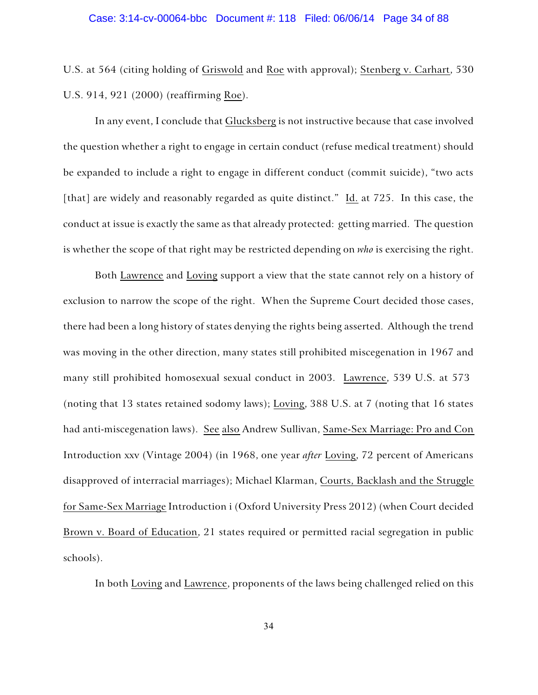# Case: 3:14-cv-00064-bbc Document #: 118 Filed: 06/06/14 Page 34 of 88

U.S. at 564 (citing holding of Griswold and Roe with approval); Stenberg v. Carhart, 530 U.S. 914, 921 (2000) (reaffirming Roe).

In any event, I conclude that Glucksberg is not instructive because that case involved the question whether a right to engage in certain conduct (refuse medical treatment) should be expanded to include a right to engage in different conduct (commit suicide), "two acts [that] are widely and reasonably regarded as quite distinct." Id. at 725. In this case, the conduct at issue is exactly the same as that already protected: getting married. The question is whether the scope of that right may be restricted depending on *who* is exercising the right.

Both Lawrence and Loving support a view that the state cannot rely on a history of exclusion to narrow the scope of the right. When the Supreme Court decided those cases, there had been a long history of states denying the rights being asserted. Although the trend was moving in the other direction, many states still prohibited miscegenation in 1967 and many still prohibited homosexual sexual conduct in 2003. Lawrence, 539 U.S. at 573 (noting that 13 states retained sodomy laws); Loving, 388 U.S. at 7 (noting that 16 states had anti-miscegenation laws). See also Andrew Sullivan, Same-Sex Marriage: Pro and Con Introduction xxv (Vintage 2004) (in 1968, one year *after* Loving, 72 percent of Americans disapproved of interracial marriages); Michael Klarman, Courts, Backlash and the Struggle for Same-Sex Marriage Introduction i (Oxford University Press 2012) (when Court decided Brown v. Board of Education, 21 states required or permitted racial segregation in public schools).

In both Loving and Lawrence, proponents of the laws being challenged relied on this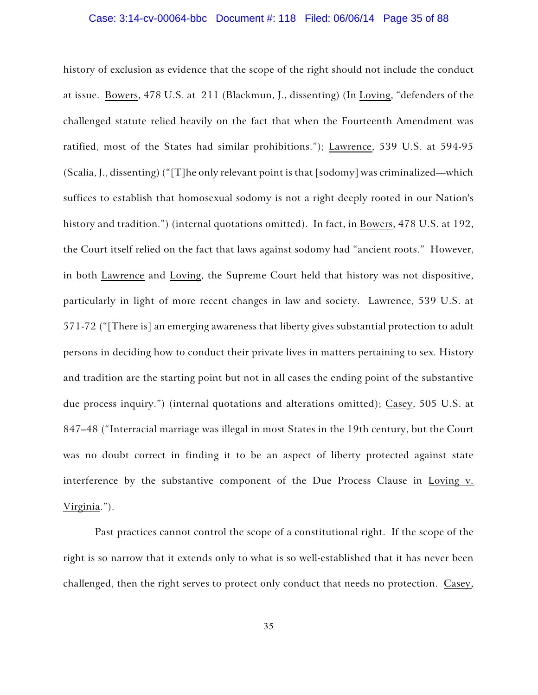### Case: 3:14-cv-00064-bbc Document #: 118 Filed: 06/06/14 Page 35 of 88

history of exclusion as evidence that the scope of the right should not include the conduct at issue. Bowers, 478 U.S. at 211 (Blackmun, J., dissenting) (In Loving, "defenders of the challenged statute relied heavily on the fact that when the Fourteenth Amendment was ratified, most of the States had similar prohibitions."); Lawrence, 539 U.S. at 594-95 (Scalia, J., dissenting) ("[T]he only relevant point is that [sodomy] was criminalized—which suffices to establish that homosexual sodomy is not a right deeply rooted in our Nation's history and tradition.") (internal quotations omitted). In fact, in Bowers, 478 U.S. at 192, the Court itself relied on the fact that laws against sodomy had "ancient roots." However, in both Lawrence and Loving, the Supreme Court held that history was not dispositive, particularly in light of more recent changes in law and society. Lawrence, 539 U.S. at 571-72 ("[There is] an emerging awareness that liberty gives substantial protection to adult persons in deciding how to conduct their private lives in matters pertaining to sex. History and tradition are the starting point but not in all cases the ending point of the substantive due process inquiry.") (internal quotations and alterations omitted); Casey, 505 U.S. at 847–48 ("Interracial marriage was illegal in most States in the 19th century, but the Court was no doubt correct in finding it to be an aspect of liberty protected against state interference by the substantive component of the Due Process Clause in Loving v. Virginia.").

Past practices cannot control the scope of a constitutional right. If the scope of the right is so narrow that it extends only to what is so well-established that it has never been challenged, then the right serves to protect only conduct that needs no protection. Casey,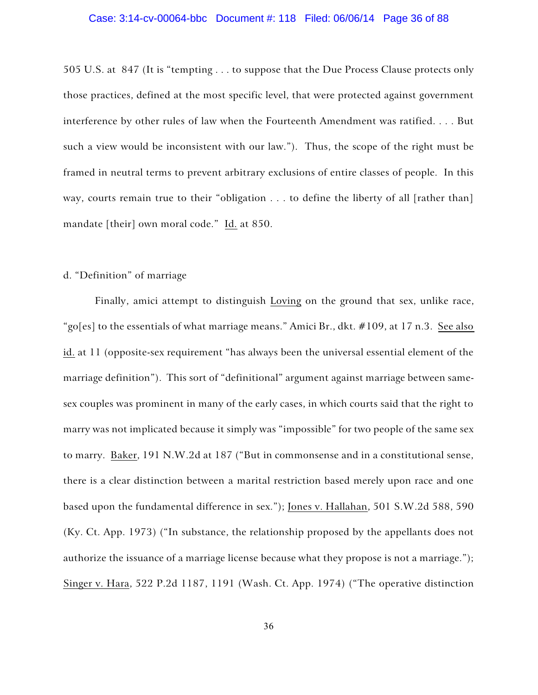### Case: 3:14-cv-00064-bbc Document #: 118 Filed: 06/06/14 Page 36 of 88

505 U.S. at 847 (It is "tempting . . . to suppose that the Due Process Clause protects only those practices, defined at the most specific level, that were protected against government interference by other rules of law when the Fourteenth Amendment was ratified. . . . But such a view would be inconsistent with our law."). Thus, the scope of the right must be framed in neutral terms to prevent arbitrary exclusions of entire classes of people. In this way, courts remain true to their "obligation . . . to define the liberty of all [rather than] mandate [their] own moral code." Id. at 850.

### d. "Definition" of marriage

Finally, amici attempt to distinguish Loving on the ground that sex, unlike race, "go[es] to the essentials of what marriage means." Amici Br., dkt. #109, at 17 n.3. See also id. at 11 (opposite-sex requirement "has always been the universal essential element of the marriage definition"). This sort of "definitional" argument against marriage between samesex couples was prominent in many of the early cases, in which courts said that the right to marry was not implicated because it simply was "impossible" for two people of the same sex to marry. Baker, 191 N.W.2d at 187 ("But in commonsense and in a constitutional sense, there is a clear distinction between a marital restriction based merely upon race and one based upon the fundamental difference in sex."); Jones v. Hallahan, 501 S.W.2d 588, 590 (Ky. Ct. App. 1973) ("In substance, the relationship proposed by the appellants does not authorize the issuance of a marriage license because what they propose is not a marriage."); Singer v. Hara, 522 P.2d 1187, 1191 (Wash. Ct. App. 1974) ("The operative distinction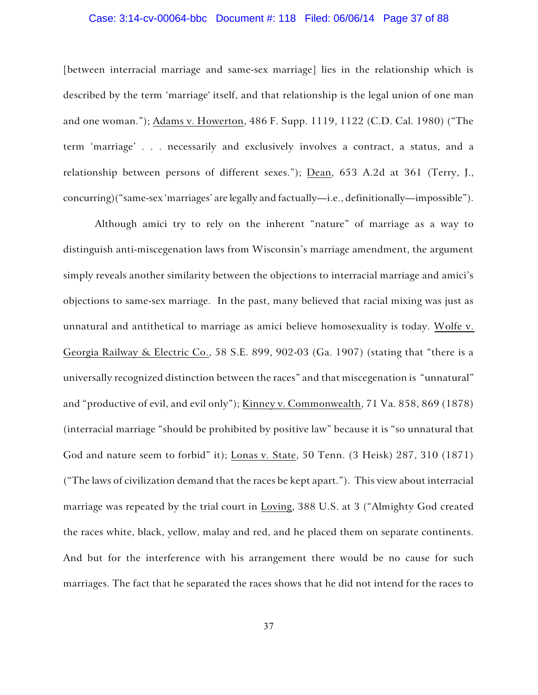## Case: 3:14-cv-00064-bbc Document #: 118 Filed: 06/06/14 Page 37 of 88

[between interracial marriage and same-sex marriage] lies in the relationship which is described by the term 'marriage' itself, and that relationship is the legal union of one man and one woman."); Adams v. Howerton, 486 F. Supp. 1119, 1122 (C.D. Cal. 1980) ("The term 'marriage' . . . necessarily and exclusively involves a contract, a status, and a relationship between persons of different sexes."); Dean, 653 A.2d at 361 (Terry, J., concurring)("same-sex 'marriages' are legally and factually—i.e., definitionally—impossible").

Although amici try to rely on the inherent "nature" of marriage as a way to distinguish anti-miscegenation laws from Wisconsin's marriage amendment, the argument simply reveals another similarity between the objections to interracial marriage and amici's objections to same-sex marriage. In the past, many believed that racial mixing was just as unnatural and antithetical to marriage as amici believe homosexuality is today. Wolfe v. Georgia Railway & Electric Co., 58 S.E. 899, 902-03 (Ga. 1907) (stating that "there is a universally recognized distinction between the races" and that miscegenation is "unnatural" and "productive of evil, and evil only"); Kinney v. Commonwealth, 71 Va. 858, 869 (1878) (interracial marriage "should be prohibited by positive law" because it is "so unnatural that God and nature seem to forbid" it); Lonas v. State, 50 Tenn. (3 Heisk) 287, 310 (1871) ("The laws of civilization demand that the races be kept apart."). This view about interracial marriage was repeated by the trial court in Loving, 388 U.S. at 3 ("Almighty God created the races white, black, yellow, malay and red, and he placed them on separate continents. And but for the interference with his arrangement there would be no cause for such marriages. The fact that he separated the races shows that he did not intend for the races to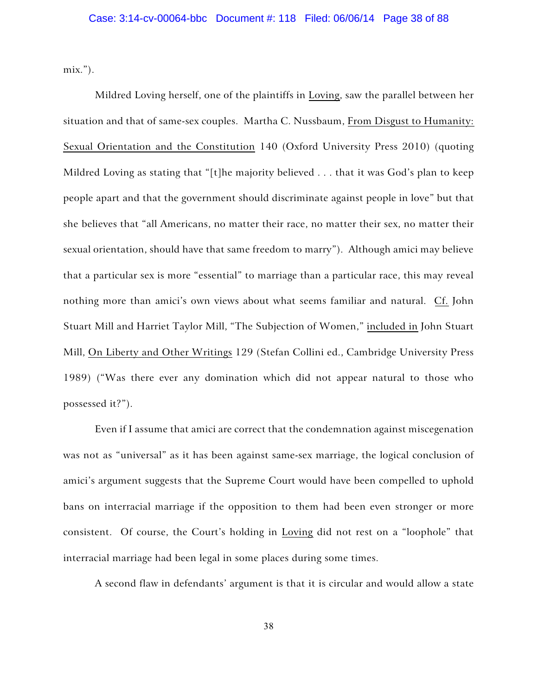mix.").

Mildred Loving herself, one of the plaintiffs in Loving, saw the parallel between her situation and that of same-sex couples. Martha C. Nussbaum, From Disgust to Humanity: Sexual Orientation and the Constitution 140 (Oxford University Press 2010) (quoting Mildred Loving as stating that "[t]he majority believed . . . that it was God's plan to keep people apart and that the government should discriminate against people in love" but that she believes that "all Americans, no matter their race, no matter their sex, no matter their sexual orientation, should have that same freedom to marry"). Although amici may believe that a particular sex is more "essential" to marriage than a particular race, this may reveal nothing more than amici's own views about what seems familiar and natural. Cf. John Stuart Mill and Harriet Taylor Mill, "The Subjection of Women," included in John Stuart Mill, On Liberty and Other Writings 129 (Stefan Collini ed., Cambridge University Press 1989) ("Was there ever any domination which did not appear natural to those who possessed it?").

Even if I assume that amici are correct that the condemnation against miscegenation was not as "universal" as it has been against same-sex marriage, the logical conclusion of amici's argument suggests that the Supreme Court would have been compelled to uphold bans on interracial marriage if the opposition to them had been even stronger or more consistent. Of course, the Court's holding in Loving did not rest on a "loophole" that interracial marriage had been legal in some places during some times.

A second flaw in defendants' argument is that it is circular and would allow a state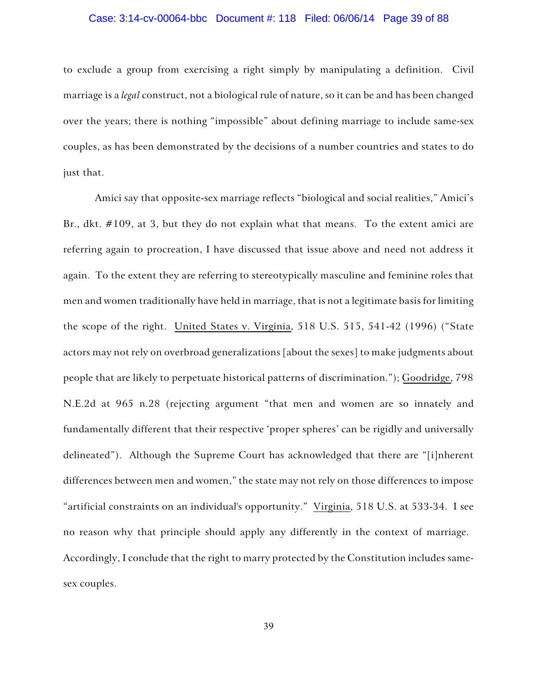## Case: 3:14-cv-00064-bbc Document #: 118 Filed: 06/06/14 Page 39 of 88

to exclude a group from exercising a right simply by manipulating a definition. Civil marriage is a *legal* construct, not a biological rule of nature, so it can be and has been changed over the years; there is nothing "impossible" about defining marriage to include same-sex couples, as has been demonstrated by the decisions of a number countries and states to do just that.

Amici say that opposite-sex marriage reflects "biological and social realities," Amici's Br., dkt. #109, at 3, but they do not explain what that means. To the extent amici are referring again to procreation, I have discussed that issue above and need not address it again. To the extent they are referring to stereotypically masculine and feminine roles that men and women traditionally have held in marriage, that is not a legitimate basis for limiting the scope of the right. United States v. Virginia, 518 U.S. 515, 541-42 (1996) ("State actors may not rely on overbroad generalizations [about the sexes] to make judgments about people that are likely to perpetuate historical patterns of discrimination."); Goodridge, 798 N.E.2d at 965 n.28 (rejecting argument "that men and women are so innately and fundamentally different that their respective 'proper spheres' can be rigidly and universally delineated"). Although the Supreme Court has acknowledged that there are "[i]nherent differences between men and women," the state may not rely on those differences to impose "artificial constraints on an individual's opportunity." Virginia, 518 U.S. at 533-34. I see no reason why that principle should apply any differently in the context of marriage. Accordingly, I conclude that the right to marry protected by the Constitution includes samesex couples.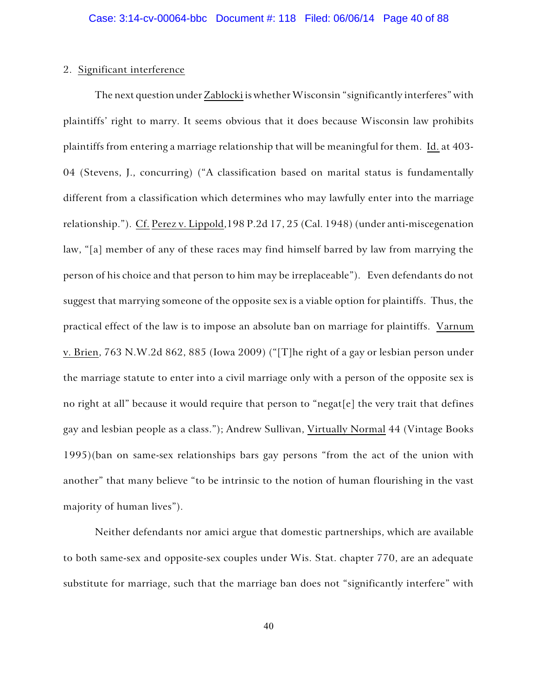## 2. Significant interference

The next question under Zablocki is whether Wisconsin "significantly interferes" with plaintiffs' right to marry. It seems obvious that it does because Wisconsin law prohibits plaintiffs from entering a marriage relationship that will be meaningful for them. Id. at 403- 04 (Stevens, J., concurring) ("A classification based on marital status is fundamentally different from a classification which determines who may lawfully enter into the marriage relationship."). Cf. Perez v. Lippold,198 P.2d 17, 25 (Cal. 1948) (under anti-miscegenation law, "[a] member of any of these races may find himself barred by law from marrying the person of his choice and that person to him may be irreplaceable"). Even defendants do not suggest that marrying someone of the opposite sex is a viable option for plaintiffs. Thus, the practical effect of the law is to impose an absolute ban on marriage for plaintiffs. Varnum v. Brien, 763 N.W.2d 862, 885 (Iowa 2009) ("[T]he right of a gay or lesbian person under the marriage statute to enter into a civil marriage only with a person of the opposite sex is no right at all" because it would require that person to "negat[e] the very trait that defines gay and lesbian people as a class."); Andrew Sullivan, Virtually Normal 44 (Vintage Books 1995)(ban on same-sex relationships bars gay persons "from the act of the union with another" that many believe "to be intrinsic to the notion of human flourishing in the vast majority of human lives").

Neither defendants nor amici argue that domestic partnerships, which are available to both same-sex and opposite-sex couples under Wis. Stat. chapter 770, are an adequate substitute for marriage, such that the marriage ban does not "significantly interfere" with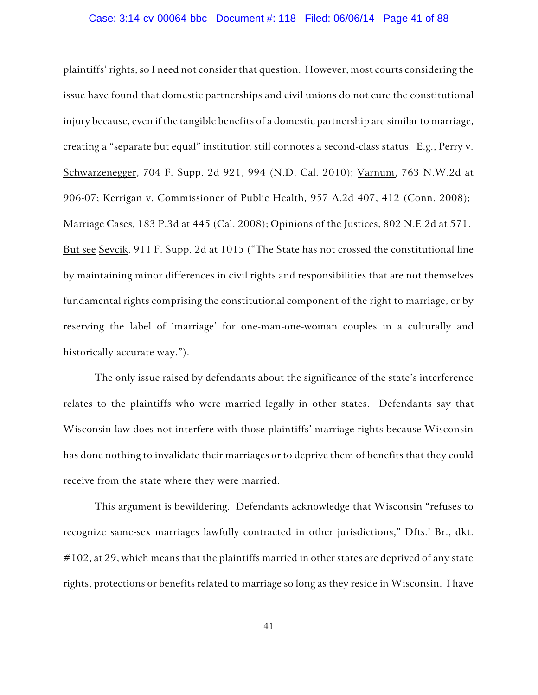## Case: 3:14-cv-00064-bbc Document #: 118 Filed: 06/06/14 Page 41 of 88

plaintiffs' rights, so I need not consider that question. However, most courts considering the issue have found that domestic partnerships and civil unions do not cure the constitutional injury because, even if the tangible benefits of a domestic partnership are similar to marriage, creating a "separate but equal" institution still connotes a second-class status. E.g., Perry v. Schwarzenegger, 704 F. Supp. 2d 921, 994 (N.D. Cal. 2010); Varnum, 763 N.W.2d at 906-07; Kerrigan v. Commissioner of Public Health, 957 A.2d 407, 412 (Conn. 2008); Marriage Cases, 183 P.3d at 445 (Cal. 2008); Opinions of the Justices, 802 N.E.2d at 571. But see Sevcik, 911 F. Supp. 2d at 1015 ("The State has not crossed the constitutional line by maintaining minor differences in civil rights and responsibilities that are not themselves fundamental rights comprising the constitutional component of the right to marriage, or by reserving the label of 'marriage' for one-man-one-woman couples in a culturally and historically accurate way.").

The only issue raised by defendants about the significance of the state's interference relates to the plaintiffs who were married legally in other states. Defendants say that Wisconsin law does not interfere with those plaintiffs' marriage rights because Wisconsin has done nothing to invalidate their marriages or to deprive them of benefits that they could receive from the state where they were married.

This argument is bewildering. Defendants acknowledge that Wisconsin "refuses to recognize same-sex marriages lawfully contracted in other jurisdictions," Dfts.' Br., dkt.  $\#102$ , at 29, which means that the plaintiffs married in other states are deprived of any state rights, protections or benefits related to marriage so long as they reside in Wisconsin. I have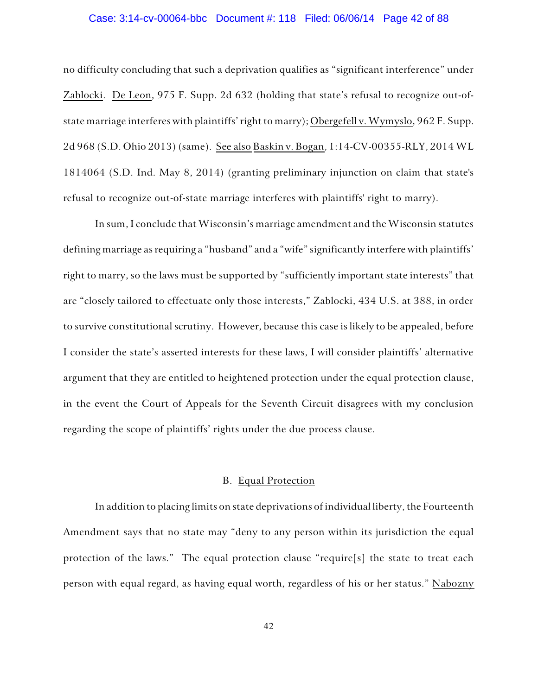#### Case: 3:14-cv-00064-bbc Document #: 118 Filed: 06/06/14 Page 42 of 88

no difficulty concluding that such a deprivation qualifies as "significant interference" under Zablocki. De Leon, 975 F. Supp. 2d 632 (holding that state's refusal to recognize out-ofstate marriage interferes with plaintiffs' right to marry); Obergefell v. Wymyslo, 962 F. Supp. 2d 968 (S.D. Ohio 2013) (same). See also Baskin v. Bogan, 1:14-CV-00355-RLY, 2014 WL 1814064 (S.D. Ind. May 8, 2014) (granting preliminary injunction on claim that state's refusal to recognize out-of-state marriage interferes with plaintiffs' right to marry).

In sum, I conclude that Wisconsin's marriage amendment and the Wisconsin statutes defining marriage as requiring a "husband" and a "wife" significantly interfere with plaintiffs' right to marry, so the laws must be supported by "sufficiently important state interests" that are "closely tailored to effectuate only those interests," Zablocki, 434 U.S. at 388, in order to survive constitutional scrutiny. However, because this case is likely to be appealed, before I consider the state's asserted interests for these laws, I will consider plaintiffs' alternative argument that they are entitled to heightened protection under the equal protection clause, in the event the Court of Appeals for the Seventh Circuit disagrees with my conclusion regarding the scope of plaintiffs' rights under the due process clause.

## B. Equal Protection

In addition to placing limits on state deprivations of individual liberty, the Fourteenth Amendment says that no state may "deny to any person within its jurisdiction the equal protection of the laws." The equal protection clause "require[s] the state to treat each person with equal regard, as having equal worth, regardless of his or her status." Nabozny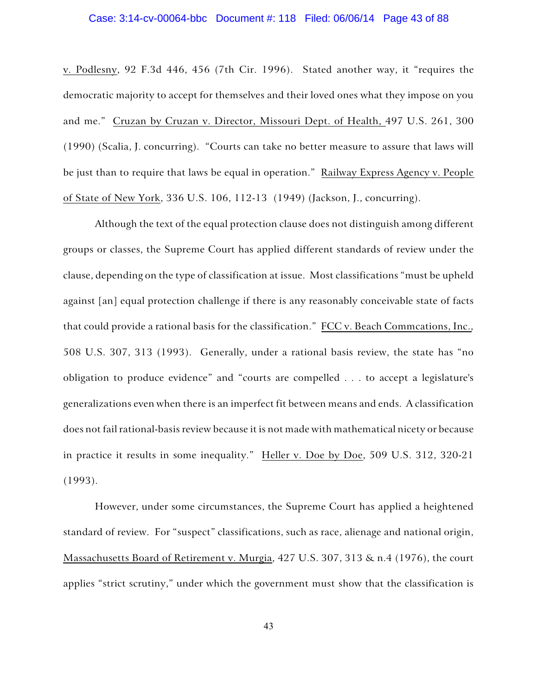## Case: 3:14-cv-00064-bbc Document #: 118 Filed: 06/06/14 Page 43 of 88

v. Podlesny, 92 F.3d 446, 456 (7th Cir. 1996). Stated another way, it "requires the democratic majority to accept for themselves and their loved ones what they impose on you and me." Cruzan by Cruzan v. Director, Missouri Dept. of Health, 497 U.S. 261, 300 (1990) (Scalia, J. concurring). "Courts can take no better measure to assure that laws will be just than to require that laws be equal in operation." Railway Express Agency v. People of State of New York, 336 U.S. 106, 112-13 (1949) (Jackson, J., concurring).

Although the text of the equal protection clause does not distinguish among different groups or classes, the Supreme Court has applied different standards of review under the clause, depending on the type of classification at issue. Most classifications "must be upheld against [an] equal protection challenge if there is any reasonably conceivable state of facts that could provide a rational basis for the classification." FCC v. Beach Commcations, Inc., 508 U.S. 307, 313 (1993). Generally, under a rational basis review, the state has "no obligation to produce evidence" and "courts are compelled . . . to accept a legislature's generalizations even when there is an imperfect fit between means and ends. A classification does not fail rational-basis review because it is not made with mathematical nicety or because in practice it results in some inequality." Heller v. Doe by Doe, 509 U.S. 312, 320-21 (1993).

However, under some circumstances, the Supreme Court has applied a heightened standard of review. For "suspect" classifications, such as race, alienage and national origin, Massachusetts Board of Retirement v. Murgia, 427 U.S. 307, 313 & n.4 (1976), the court applies "strict scrutiny," under which the government must show that the classification is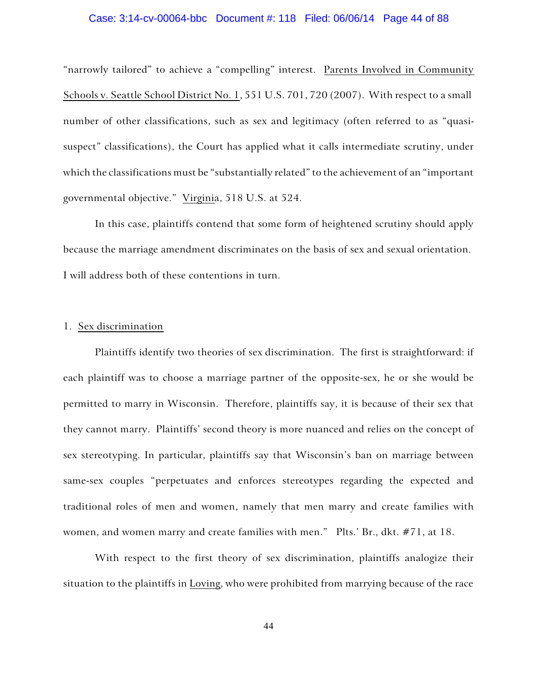# Case: 3:14-cv-00064-bbc Document #: 118 Filed: 06/06/14 Page 44 of 88

"narrowly tailored" to achieve a "compelling" interest. Parents Involved in Community Schools v. Seattle School District No. 1, 551 U.S. 701, 720 (2007). With respect to a small number of other classifications, such as sex and legitimacy (often referred to as "quasisuspect" classifications), the Court has applied what it calls intermediate scrutiny, under which the classifications must be "substantially related" to the achievement of an "important governmental objective." Virginia, 518 U.S. at 524.

In this case, plaintiffs contend that some form of heightened scrutiny should apply because the marriage amendment discriminates on the basis of sex and sexual orientation. I will address both of these contentions in turn.

## 1. Sex discrimination

Plaintiffs identify two theories of sex discrimination. The first is straightforward: if each plaintiff was to choose a marriage partner of the opposite-sex, he or she would be permitted to marry in Wisconsin. Therefore, plaintiffs say, it is because of their sex that they cannot marry. Plaintiffs' second theory is more nuanced and relies on the concept of sex stereotyping. In particular, plaintiffs say that Wisconsin's ban on marriage between same-sex couples "perpetuates and enforces stereotypes regarding the expected and traditional roles of men and women, namely that men marry and create families with women, and women marry and create families with men." Plts.' Br., dkt. #71, at 18.

With respect to the first theory of sex discrimination, plaintiffs analogize their situation to the plaintiffs in Loving, who were prohibited from marrying because of the race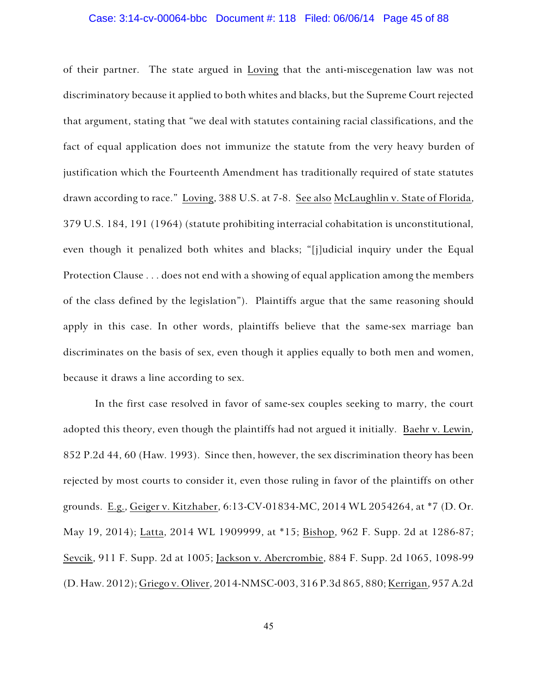# Case: 3:14-cv-00064-bbc Document #: 118 Filed: 06/06/14 Page 45 of 88

of their partner. The state argued in Loving that the anti-miscegenation law was not discriminatory because it applied to both whites and blacks, but the Supreme Court rejected that argument, stating that "we deal with statutes containing racial classifications, and the fact of equal application does not immunize the statute from the very heavy burden of justification which the Fourteenth Amendment has traditionally required of state statutes drawn according to race." Loving, 388 U.S. at 7-8. See also McLaughlin v. State of Florida, 379 U.S. 184, 191 (1964) (statute prohibiting interracial cohabitation is unconstitutional, even though it penalized both whites and blacks; "[j]udicial inquiry under the Equal Protection Clause . . . does not end with a showing of equal application among the members of the class defined by the legislation"). Plaintiffs argue that the same reasoning should apply in this case. In other words, plaintiffs believe that the same-sex marriage ban discriminates on the basis of sex, even though it applies equally to both men and women, because it draws a line according to sex.

In the first case resolved in favor of same-sex couples seeking to marry, the court adopted this theory, even though the plaintiffs had not argued it initially. Baehr v. Lewin, 852 P.2d 44, 60 (Haw. 1993). Since then, however, the sex discrimination theory has been rejected by most courts to consider it, even those ruling in favor of the plaintiffs on other grounds. E.g., Geiger v. Kitzhaber, 6:13-CV-01834-MC, 2014 WL 2054264, at \*7 (D. Or. May 19, 2014); Latta, 2014 WL 1909999, at \*15; Bishop, 962 F. Supp. 2d at 1286-87; Sevcik, 911 F. Supp. 2d at 1005; Jackson v. Abercrombie, 884 F. Supp. 2d 1065, 1098-99 (D. Haw. 2012); Griego v. Oliver, 2014-NMSC-003, 316 P.3d 865, 880; Kerrigan, 957 A.2d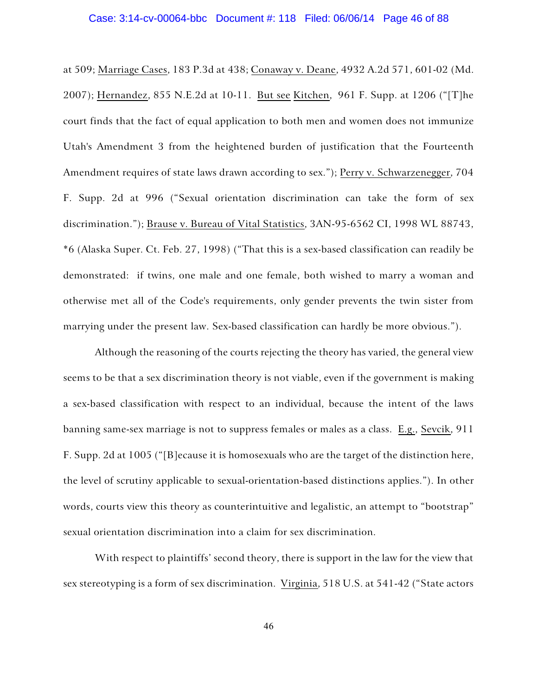# Case: 3:14-cv-00064-bbc Document #: 118 Filed: 06/06/14 Page 46 of 88

at 509; Marriage Cases, 183 P.3d at 438; Conaway v. Deane, 4932 A.2d 571, 601-02 (Md. 2007); Hernandez, 855 N.E.2d at 10-11. But see Kitchen, 961 F. Supp. at 1206 ("[T]he court finds that the fact of equal application to both men and women does not immunize Utah's Amendment 3 from the heightened burden of justification that the Fourteenth Amendment requires of state laws drawn according to sex."); Perry v. Schwarzenegger, 704 F. Supp. 2d at 996 ("Sexual orientation discrimination can take the form of sex discrimination."); Brause v. Bureau of Vital Statistics, 3AN-95-6562 CI, 1998 WL 88743, \*6 (Alaska Super. Ct. Feb. 27, 1998) ("That this is a sex-based classification can readily be demonstrated: if twins, one male and one female, both wished to marry a woman and otherwise met all of the Code's requirements, only gender prevents the twin sister from marrying under the present law. Sex-based classification can hardly be more obvious.").

Although the reasoning of the courts rejecting the theory has varied, the general view seems to be that a sex discrimination theory is not viable, even if the government is making a sex-based classification with respect to an individual, because the intent of the laws banning same-sex marriage is not to suppress females or males as a class. E.g., Sevcik, 911 F. Supp. 2d at 1005 ("[B]ecause it is homosexuals who are the target of the distinction here, the level of scrutiny applicable to sexual-orientation-based distinctions applies."). In other words, courts view this theory as counterintuitive and legalistic, an attempt to "bootstrap" sexual orientation discrimination into a claim for sex discrimination.

With respect to plaintiffs' second theory, there is support in the law for the view that sex stereotyping is a form of sex discrimination. Virginia, 518 U.S. at 541-42 ("State actors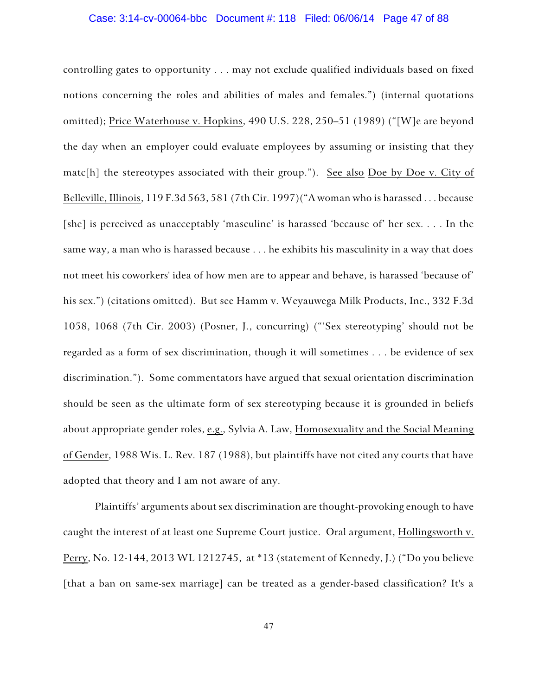# Case: 3:14-cv-00064-bbc Document #: 118 Filed: 06/06/14 Page 47 of 88

controlling gates to opportunity . . . may not exclude qualified individuals based on fixed notions concerning the roles and abilities of males and females.") (internal quotations omitted); Price Waterhouse v. Hopkins, 490 U.S. 228, 250–51 (1989) ("[W]e are beyond the day when an employer could evaluate employees by assuming or insisting that they matc[h] the stereotypes associated with their group."). See also Doe by Doe v. City of Belleville, Illinois, 119 F.3d 563, 581 (7th Cir. 1997)("A woman who is harassed . . . because [she] is perceived as unacceptably 'masculine' is harassed 'because of' her sex. . . . In the same way, a man who is harassed because . . . he exhibits his masculinity in a way that does not meet his coworkers' idea of how men are to appear and behave, is harassed 'because of' his sex.") (citations omitted). But see Hamm v. Weyauwega Milk Products, Inc., 332 F.3d 1058, 1068 (7th Cir. 2003) (Posner, J., concurring) ("'Sex stereotyping' should not be regarded as a form of sex discrimination, though it will sometimes . . . be evidence of sex discrimination."). Some commentators have argued that sexual orientation discrimination should be seen as the ultimate form of sex stereotyping because it is grounded in beliefs about appropriate gender roles, e.g., Sylvia A. Law, Homosexuality and the Social Meaning of Gender, 1988 Wis. L. Rev. 187 (1988), but plaintiffs have not cited any courts that have adopted that theory and I am not aware of any.

Plaintiffs' arguments about sex discrimination are thought-provoking enough to have caught the interest of at least one Supreme Court justice. Oral argument, Hollingsworth v. Perry, No. 12-144, 2013 WL 1212745, at \*13 (statement of Kennedy, J.) ("Do you believe [that a ban on same-sex marriage] can be treated as a gender-based classification? It's a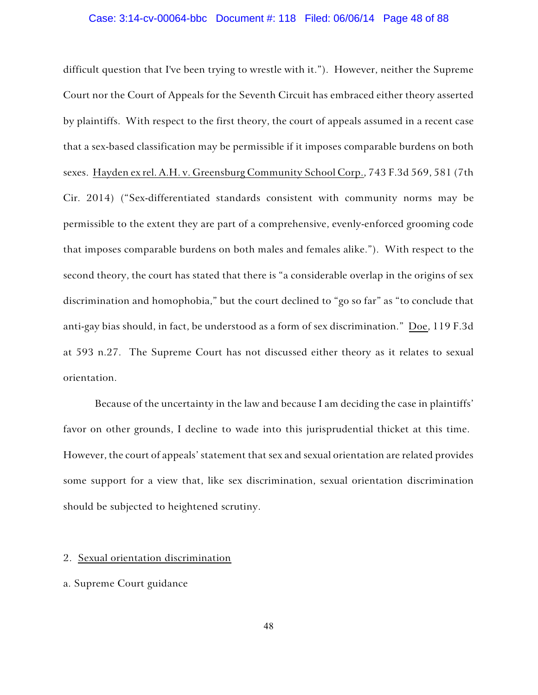#### Case: 3:14-cv-00064-bbc Document #: 118 Filed: 06/06/14 Page 48 of 88

difficult question that I've been trying to wrestle with it."). However, neither the Supreme Court nor the Court of Appeals for the Seventh Circuit has embraced either theory asserted by plaintiffs. With respect to the first theory, the court of appeals assumed in a recent case that a sex-based classification may be permissible if it imposes comparable burdens on both sexes. Hayden ex rel. A.H. v. Greensburg Community School Corp., 743 F.3d 569, 581 (7th Cir. 2014) ("Sex-differentiated standards consistent with community norms may be permissible to the extent they are part of a comprehensive, evenly-enforced grooming code that imposes comparable burdens on both males and females alike."). With respect to the second theory, the court has stated that there is "a considerable overlap in the origins of sex discrimination and homophobia," but the court declined to "go so far" as "to conclude that anti-gay bias should, in fact, be understood as a form of sex discrimination." Doe, 119 F.3d at 593 n.27. The Supreme Court has not discussed either theory as it relates to sexual orientation.

Because of the uncertainty in the law and because I am deciding the case in plaintiffs' favor on other grounds, I decline to wade into this jurisprudential thicket at this time. However, the court of appeals' statement that sex and sexual orientation are related provides some support for a view that, like sex discrimination, sexual orientation discrimination should be subjected to heightened scrutiny.

### 2. Sexual orientation discrimination

### a. Supreme Court guidance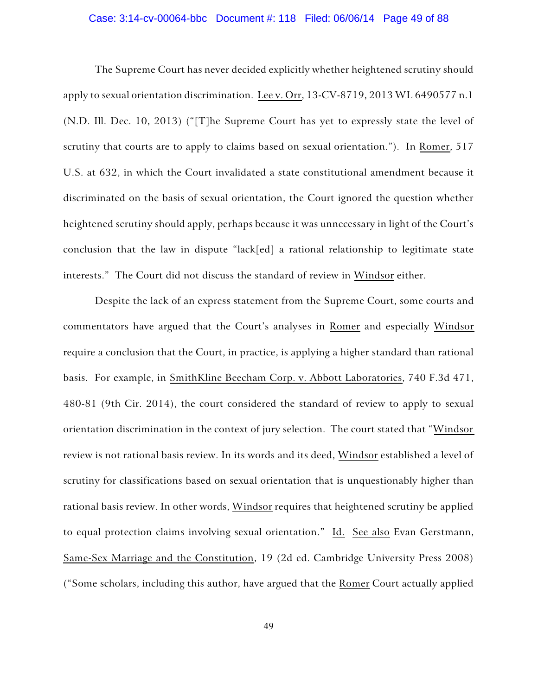# Case: 3:14-cv-00064-bbc Document #: 118 Filed: 06/06/14 Page 49 of 88

The Supreme Court has never decided explicitly whether heightened scrutiny should apply to sexual orientation discrimination. Lee v. Orr, 13-CV-8719, 2013 WL 6490577 n.1 (N.D. Ill. Dec. 10, 2013) ("[T]he Supreme Court has yet to expressly state the level of scrutiny that courts are to apply to claims based on sexual orientation."). In Romer, 517 U.S. at 632, in which the Court invalidated a state constitutional amendment because it discriminated on the basis of sexual orientation, the Court ignored the question whether heightened scrutiny should apply, perhaps because it was unnecessary in light of the Court's conclusion that the law in dispute "lack[ed] a rational relationship to legitimate state interests." The Court did not discuss the standard of review in Windsor either.

Despite the lack of an express statement from the Supreme Court, some courts and commentators have argued that the Court's analyses in Romer and especially Windsor require a conclusion that the Court, in practice, is applying a higher standard than rational basis. For example, in SmithKline Beecham Corp. v. Abbott Laboratories, 740 F.3d 471, 480-81 (9th Cir. 2014), the court considered the standard of review to apply to sexual orientation discrimination in the context of jury selection. The court stated that "Windsor review is not rational basis review. In its words and its deed, Windsor established a level of scrutiny for classifications based on sexual orientation that is unquestionably higher than rational basis review. In other words, Windsor requires that heightened scrutiny be applied to equal protection claims involving sexual orientation." Id. See also Evan Gerstmann, Same-Sex Marriage and the Constitution, 19 (2d ed. Cambridge University Press 2008) ("Some scholars, including this author, have argued that the Romer Court actually applied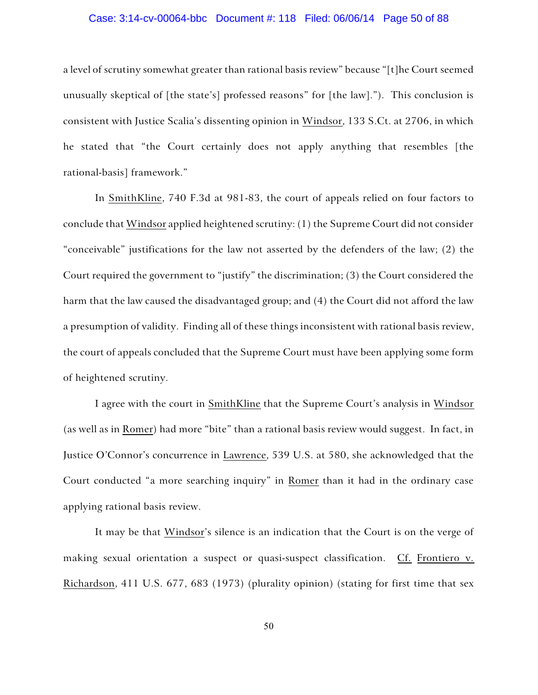## Case: 3:14-cv-00064-bbc Document #: 118 Filed: 06/06/14 Page 50 of 88

a level of scrutiny somewhat greater than rational basis review" because "[t]he Court seemed unusually skeptical of [the state's] professed reasons" for [the law]."). This conclusion is consistent with Justice Scalia's dissenting opinion in Windsor, 133 S.Ct. at 2706, in which he stated that "the Court certainly does not apply anything that resembles [the rational-basis] framework."

In SmithKline, 740 F.3d at 981-83, the court of appeals relied on four factors to conclude that Windsor applied heightened scrutiny: (1) the Supreme Court did not consider "conceivable" justifications for the law not asserted by the defenders of the law; (2) the Court required the government to "justify" the discrimination; (3) the Court considered the harm that the law caused the disadvantaged group; and (4) the Court did not afford the law a presumption of validity. Finding all of these things inconsistent with rational basis review, the court of appeals concluded that the Supreme Court must have been applying some form of heightened scrutiny.

I agree with the court in SmithKline that the Supreme Court's analysis in Windsor (as well as in Romer) had more "bite" than a rational basis review would suggest. In fact, in Justice O'Connor's concurrence in Lawrence, 539 U.S. at 580, she acknowledged that the Court conducted "a more searching inquiry" in Romer than it had in the ordinary case applying rational basis review.

It may be that Windsor's silence is an indication that the Court is on the verge of making sexual orientation a suspect or quasi-suspect classification. Cf. Frontiero v. Richardson, 411 U.S. 677, 683 (1973) (plurality opinion) (stating for first time that sex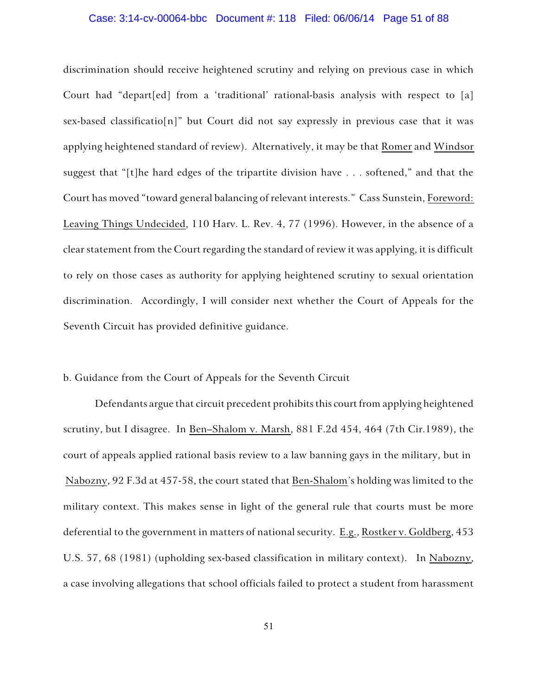#### Case: 3:14-cv-00064-bbc Document #: 118 Filed: 06/06/14 Page 51 of 88

discrimination should receive heightened scrutiny and relying on previous case in which Court had "depart[ed] from a 'traditional' rational-basis analysis with respect to [a] sex-based classificatio[n]" but Court did not say expressly in previous case that it was applying heightened standard of review). Alternatively, it may be that Romer and Windsor suggest that "[t]he hard edges of the tripartite division have . . . softened," and that the Court has moved "toward general balancing of relevant interests." Cass Sunstein, Foreword: Leaving Things Undecided, 110 Harv. L. Rev. 4, 77 (1996). However, in the absence of a clear statement from the Court regarding the standard of review it was applying, it is difficult to rely on those cases as authority for applying heightened scrutiny to sexual orientation discrimination. Accordingly, I will consider next whether the Court of Appeals for the Seventh Circuit has provided definitive guidance.

## b. Guidance from the Court of Appeals for the Seventh Circuit

Defendants argue that circuit precedent prohibits this court from applying heightened scrutiny, but I disagree. In Ben–Shalom v. Marsh, 881 F.2d 454, 464 (7th Cir.1989), the court of appeals applied rational basis review to a law banning gays in the military, but in Nabozny, 92 F.3d at 457-58, the court stated that Ben-Shalom's holding was limited to the military context. This makes sense in light of the general rule that courts must be more deferential to the government in matters of national security. E.g., Rostker v. Goldberg, 453 U.S. 57, 68 (1981) (upholding sex-based classification in military context). In Nabozny, a case involving allegations that school officials failed to protect a student from harassment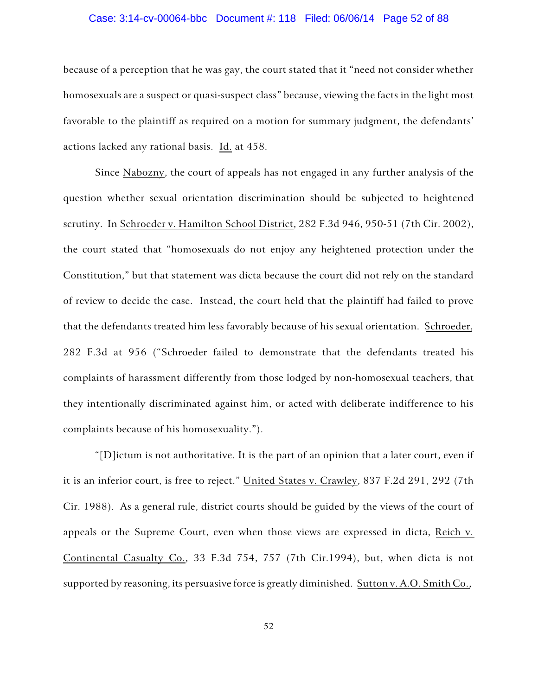## Case: 3:14-cv-00064-bbc Document #: 118 Filed: 06/06/14 Page 52 of 88

because of a perception that he was gay, the court stated that it "need not consider whether homosexuals are a suspect or quasi-suspect class" because, viewing the facts in the light most favorable to the plaintiff as required on a motion for summary judgment, the defendants' actions lacked any rational basis. Id. at 458.

Since Nabozny, the court of appeals has not engaged in any further analysis of the question whether sexual orientation discrimination should be subjected to heightened scrutiny. In Schroeder v. Hamilton School District, 282 F.3d 946, 950-51 (7th Cir. 2002), the court stated that "homosexuals do not enjoy any heightened protection under the Constitution," but that statement was dicta because the court did not rely on the standard of review to decide the case. Instead, the court held that the plaintiff had failed to prove that the defendants treated him less favorably because of his sexual orientation. Schroeder, 282 F.3d at 956 ("Schroeder failed to demonstrate that the defendants treated his complaints of harassment differently from those lodged by non-homosexual teachers, that they intentionally discriminated against him, or acted with deliberate indifference to his complaints because of his homosexuality.").

"[D]ictum is not authoritative. It is the part of an opinion that a later court, even if it is an inferior court, is free to reject." United States v. Crawley, 837 F.2d 291, 292 (7th Cir. 1988). As a general rule, district courts should be guided by the views of the court of appeals or the Supreme Court, even when those views are expressed in dicta, Reich v. Continental Casualty Co., 33 F.3d 754, 757 (7th Cir.1994), but, when dicta is not supported by reasoning, its persuasive force is greatly diminished. Sutton v. A.O. Smith Co.,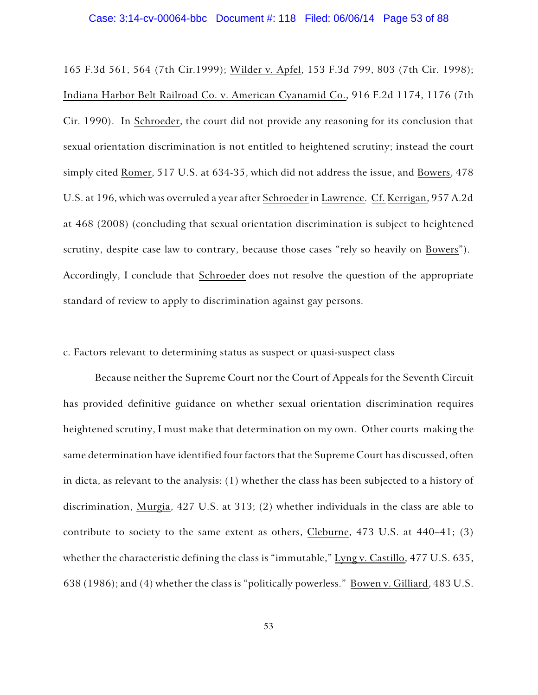#### Case: 3:14-cv-00064-bbc Document #: 118 Filed: 06/06/14 Page 53 of 88

165 F.3d 561, 564 (7th Cir.1999); Wilder v. Apfel, 153 F.3d 799, 803 (7th Cir. 1998); Indiana Harbor Belt Railroad Co. v. American Cyanamid Co., 916 F.2d 1174, 1176 (7th Cir. 1990). In Schroeder, the court did not provide any reasoning for its conclusion that sexual orientation discrimination is not entitled to heightened scrutiny; instead the court simply cited Romer, 517 U.S. at 634-35, which did not address the issue, and Bowers, 478 U.S. at 196, which was overruled a year after Schroeder in Lawrence. Cf. Kerrigan, 957 A.2d at 468 (2008) (concluding that sexual orientation discrimination is subject to heightened scrutiny, despite case law to contrary, because those cases "rely so heavily on Bowers"). Accordingly, I conclude that Schroeder does not resolve the question of the appropriate standard of review to apply to discrimination against gay persons.

## c. Factors relevant to determining status as suspect or quasi-suspect class

Because neither the Supreme Court nor the Court of Appeals for the Seventh Circuit has provided definitive guidance on whether sexual orientation discrimination requires heightened scrutiny, I must make that determination on my own. Other courts making the same determination have identified four factors that the Supreme Court has discussed, often in dicta, as relevant to the analysis: (1) whether the class has been subjected to a history of discrimination, Murgia, 427 U.S. at 313; (2) whether individuals in the class are able to contribute to society to the same extent as others, Cleburne, 473 U.S. at 440–41; (3) whether the characteristic defining the class is "immutable," Lyng v. Castillo, 477 U.S. 635, 638 (1986); and (4) whether the class is "politically powerless." Bowen v. Gilliard, 483 U.S.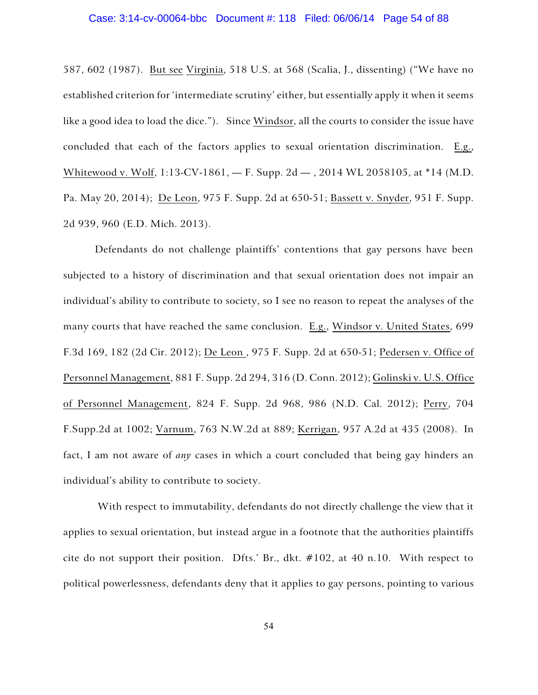587, 602 (1987). But see Virginia, 518 U.S. at 568 (Scalia, J., dissenting) ("We have no established criterion for 'intermediate scrutiny' either, but essentially apply it when it seems like a good idea to load the dice."). Since Windsor, all the courts to consider the issue have concluded that each of the factors applies to sexual orientation discrimination. E.g., Whitewood v. Wolf, 1:13-CV-1861, — F. Supp. 2d — , 2014 WL 2058105, at \*14 (M.D. Pa. May 20, 2014); De Leon, 975 F. Supp. 2d at 650-51; Bassett v. Snyder, 951 F. Supp. 2d 939, 960 (E.D. Mich. 2013).

Defendants do not challenge plaintiffs' contentions that gay persons have been subjected to a history of discrimination and that sexual orientation does not impair an individual's ability to contribute to society, so I see no reason to repeat the analyses of the many courts that have reached the same conclusion. E.g., Windsor v. United States, 699 F.3d 169, 182 (2d Cir. 2012); De Leon , 975 F. Supp. 2d at 650-51; Pedersen v. Office of Personnel Management, 881 F. Supp. 2d 294, 316 (D. Conn. 2012); Golinski v. U.S. Office of Personnel Management, 824 F. Supp. 2d 968, 986 (N.D. Cal. 2012); Perry, 704 F.Supp.2d at 1002; Varnum, 763 N.W.2d at 889; Kerrigan, 957 A.2d at 435 (2008). In fact, I am not aware of *any* cases in which a court concluded that being gay hinders an individual's ability to contribute to society.

 With respect to immutability, defendants do not directly challenge the view that it applies to sexual orientation, but instead argue in a footnote that the authorities plaintiffs cite do not support their position. Dfts.' Br., dkt.  $\#102$ , at 40 n.10. With respect to political powerlessness, defendants deny that it applies to gay persons, pointing to various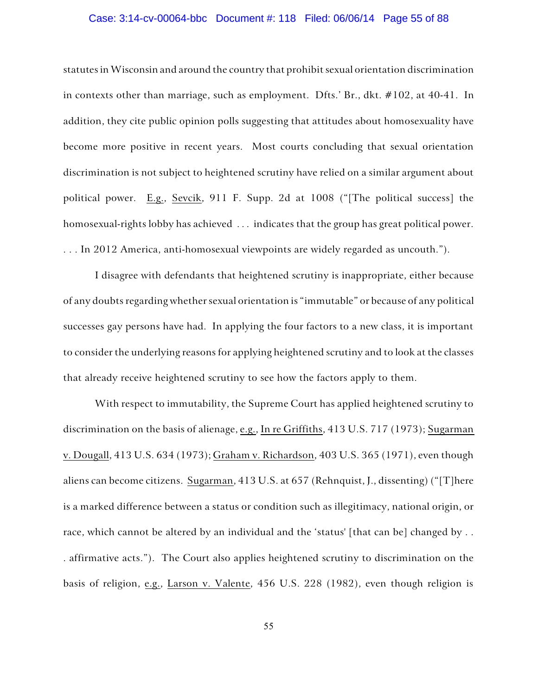## Case: 3:14-cv-00064-bbc Document #: 118 Filed: 06/06/14 Page 55 of 88

statutes in Wisconsin and around the country that prohibit sexual orientation discrimination in contexts other than marriage, such as employment. Dfts.' Br., dkt. #102, at 40-41. In addition, they cite public opinion polls suggesting that attitudes about homosexuality have become more positive in recent years. Most courts concluding that sexual orientation discrimination is not subject to heightened scrutiny have relied on a similar argument about political power. E.g., Sevcik, 911 F. Supp. 2d at 1008 ("[The political success] the homosexual-rights lobby has achieved . . . indicates that the group has great political power. . . . In 2012 America, anti-homosexual viewpoints are widely regarded as uncouth.").

I disagree with defendants that heightened scrutiny is inappropriate, either because of any doubts regarding whether sexual orientation is "immutable" or because of any political successes gay persons have had. In applying the four factors to a new class, it is important to consider the underlying reasons for applying heightened scrutiny and to look at the classes that already receive heightened scrutiny to see how the factors apply to them.

With respect to immutability, the Supreme Court has applied heightened scrutiny to discrimination on the basis of alienage, e.g., In re Griffiths, 413 U.S. 717 (1973); Sugarman v. Dougall, 413 U.S. 634 (1973); Graham v. Richardson, 403 U.S. 365 (1971), even though aliens can become citizens. Sugarman, 413 U.S. at 657 (Rehnquist, J., dissenting) ("[T]here is a marked difference between a status or condition such as illegitimacy, national origin, or race, which cannot be altered by an individual and the 'status' [that can be] changed by . . . affirmative acts."). The Court also applies heightened scrutiny to discrimination on the basis of religion, e.g., Larson v. Valente, 456 U.S. 228 (1982), even though religion is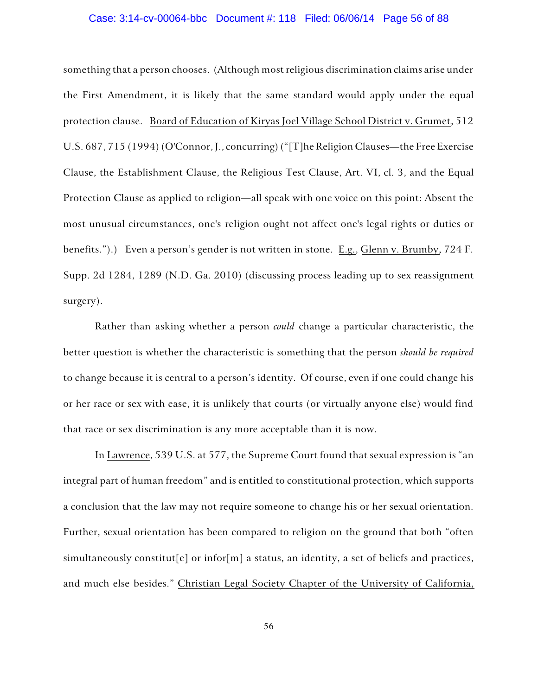## Case: 3:14-cv-00064-bbc Document #: 118 Filed: 06/06/14 Page 56 of 88

something that a person chooses. (Although most religious discrimination claims arise under the First Amendment, it is likely that the same standard would apply under the equal protection clause. Board of Education of Kiryas Joel Village School District v. Grumet, 512 U.S. 687, 715 (1994) (O'Connor, J., concurring) ("[T]he Religion Clauses—the Free Exercise Clause, the Establishment Clause, the Religious Test Clause, Art. VI, cl. 3, and the Equal Protection Clause as applied to religion—all speak with one voice on this point: Absent the most unusual circumstances, one's religion ought not affect one's legal rights or duties or benefits.").) Even a person's gender is not written in stone. E.g., Glenn v. Brumby, 724 F. Supp. 2d 1284, 1289 (N.D. Ga. 2010) (discussing process leading up to sex reassignment surgery).

Rather than asking whether a person *could* change a particular characteristic, the better question is whether the characteristic is something that the person *should be required* to change because it is central to a person's identity. Of course, even if one could change his or her race or sex with ease, it is unlikely that courts (or virtually anyone else) would find that race or sex discrimination is any more acceptable than it is now.

In Lawrence, 539 U.S. at 577, the Supreme Court found that sexual expression is "an integral part of human freedom" and is entitled to constitutional protection, which supports a conclusion that the law may not require someone to change his or her sexual orientation. Further, sexual orientation has been compared to religion on the ground that both "often simultaneously constitut [e] or infor  $[m]$  a status, an identity, a set of beliefs and practices, and much else besides." Christian Legal Society Chapter of the University of California,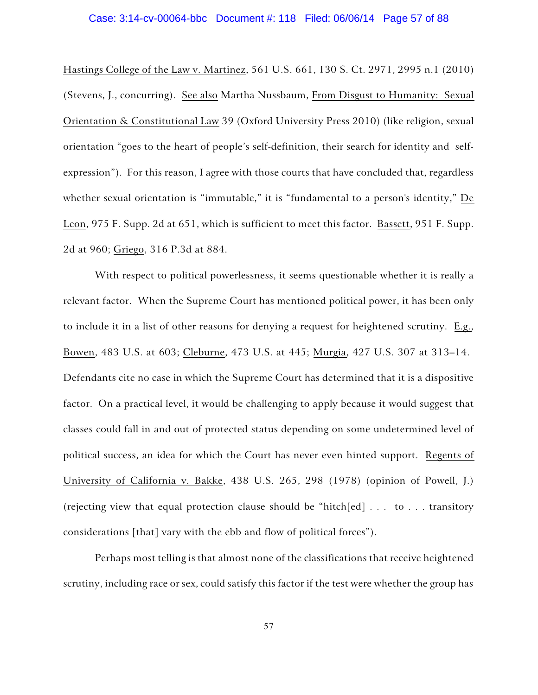# Case: 3:14-cv-00064-bbc Document #: 118 Filed: 06/06/14 Page 57 of 88

Hastings College of the Law v. Martinez, 561 U.S. 661, 130 S. Ct. 2971, 2995 n.1 (2010) (Stevens, J., concurring). See also Martha Nussbaum, From Disgust to Humanity: Sexual Orientation & Constitutional Law 39 (Oxford University Press 2010) (like religion, sexual orientation "goes to the heart of people's self-definition, their search for identity and selfexpression"). For this reason, I agree with those courts that have concluded that, regardless whether sexual orientation is "immutable," it is "fundamental to a person's identity," De Leon, 975 F. Supp. 2d at 651, which is sufficient to meet this factor. Bassett, 951 F. Supp. 2d at 960; Griego, 316 P.3d at 884.

With respect to political powerlessness, it seems questionable whether it is really a relevant factor. When the Supreme Court has mentioned political power, it has been only to include it in a list of other reasons for denying a request for heightened scrutiny. E.g., Bowen, 483 U.S. at 603; Cleburne, 473 U.S. at 445; Murgia, 427 U.S. 307 at 313–14. Defendants cite no case in which the Supreme Court has determined that it is a dispositive factor. On a practical level, it would be challenging to apply because it would suggest that classes could fall in and out of protected status depending on some undetermined level of political success, an idea for which the Court has never even hinted support. Regents of University of California v. Bakke, 438 U.S. 265, 298 (1978) (opinion of Powell, J.) (rejecting view that equal protection clause should be "hitch[ed] . . . to . . . transitory considerations [that] vary with the ebb and flow of political forces").

Perhaps most telling is that almost none of the classifications that receive heightened scrutiny, including race or sex, could satisfy this factor if the test were whether the group has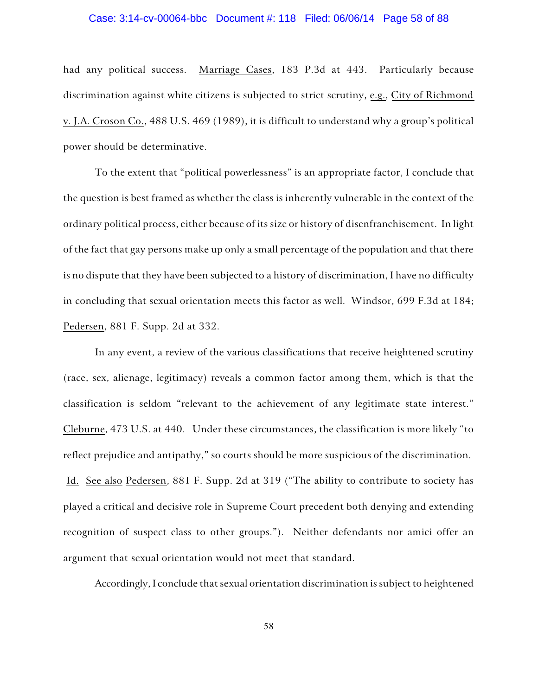## Case: 3:14-cv-00064-bbc Document #: 118 Filed: 06/06/14 Page 58 of 88

had any political success. Marriage Cases, 183 P.3d at 443. Particularly because discrimination against white citizens is subjected to strict scrutiny, e.g., City of Richmond v. J.A. Croson Co., 488 U.S. 469 (1989), it is difficult to understand why a group's political power should be determinative.

To the extent that "political powerlessness" is an appropriate factor, I conclude that the question is best framed as whether the class is inherently vulnerable in the context of the ordinary political process, either because of its size or history of disenfranchisement. In light of the fact that gay persons make up only a small percentage of the population and that there is no dispute that they have been subjected to a history of discrimination, I have no difficulty in concluding that sexual orientation meets this factor as well. Windsor, 699 F.3d at 184; Pedersen, 881 F. Supp. 2d at 332.

In any event, a review of the various classifications that receive heightened scrutiny (race, sex, alienage, legitimacy) reveals a common factor among them, which is that the classification is seldom "relevant to the achievement of any legitimate state interest." Cleburne, 473 U.S. at 440. Under these circumstances, the classification is more likely "to reflect prejudice and antipathy," so courts should be more suspicious of the discrimination. Id. See also Pedersen, 881 F. Supp. 2d at 319 ("The ability to contribute to society has played a critical and decisive role in Supreme Court precedent both denying and extending recognition of suspect class to other groups."). Neither defendants nor amici offer an argument that sexual orientation would not meet that standard.

Accordingly, I conclude that sexual orientation discrimination is subject to heightened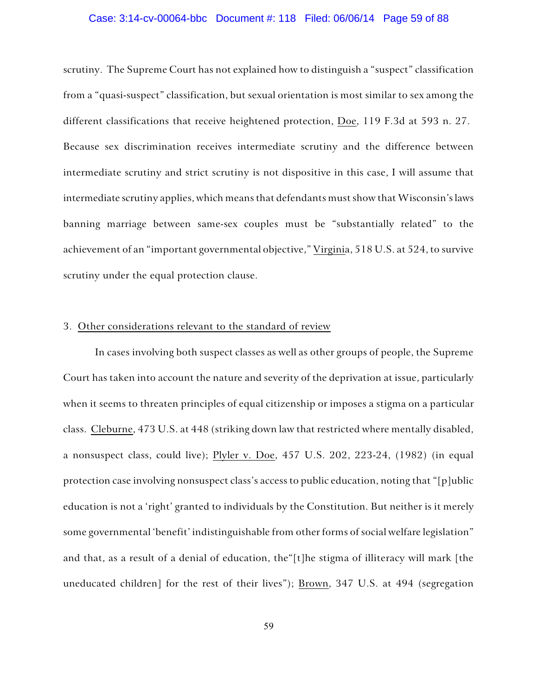#### Case: 3:14-cv-00064-bbc Document #: 118 Filed: 06/06/14 Page 59 of 88

scrutiny. The Supreme Court has not explained how to distinguish a "suspect" classification from a "quasi-suspect" classification, but sexual orientation is most similar to sex among the different classifications that receive heightened protection, Doe, 119 F.3d at 593 n. 27. Because sex discrimination receives intermediate scrutiny and the difference between intermediate scrutiny and strict scrutiny is not dispositive in this case, I will assume that intermediate scrutiny applies, which means that defendants must show that Wisconsin's laws banning marriage between same-sex couples must be "substantially related" to the achievement of an "important governmental objective," Virginia, 518 U.S. at 524, to survive scrutiny under the equal protection clause.

#### 3. Other considerations relevant to the standard of review

In cases involving both suspect classes as well as other groups of people, the Supreme Court has taken into account the nature and severity of the deprivation at issue, particularly when it seems to threaten principles of equal citizenship or imposes a stigma on a particular class. Cleburne, 473 U.S. at 448 (striking down law that restricted where mentally disabled, a nonsuspect class, could live); Plyler v. Doe, 457 U.S. 202, 223-24, (1982) (in equal protection case involving nonsuspect class's access to public education, noting that "[p]ublic education is not a 'right' granted to individuals by the Constitution. But neither is it merely some governmental 'benefit' indistinguishable from other forms of social welfare legislation" and that, as a result of a denial of education, the"[t]he stigma of illiteracy will mark [the uneducated children] for the rest of their lives"); Brown, 347 U.S. at 494 (segregation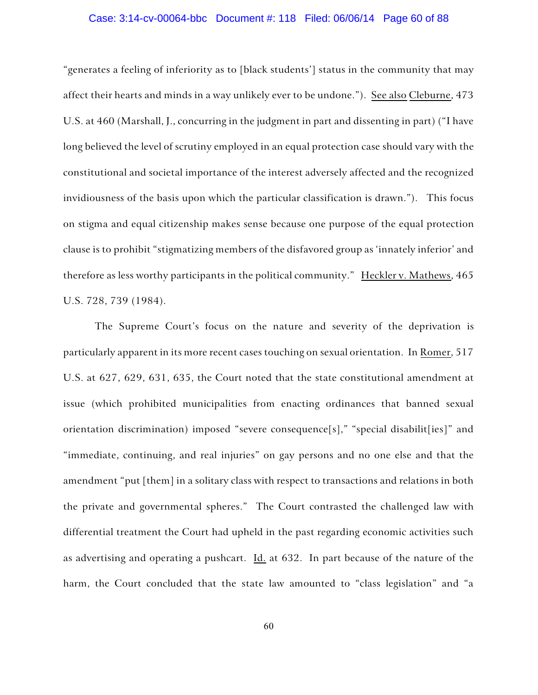## Case: 3:14-cv-00064-bbc Document #: 118 Filed: 06/06/14 Page 60 of 88

"generates a feeling of inferiority as to [black students'] status in the community that may affect their hearts and minds in a way unlikely ever to be undone."). See also Cleburne, 473 U.S. at 460 (Marshall, J., concurring in the judgment in part and dissenting in part) ("I have long believed the level of scrutiny employed in an equal protection case should vary with the constitutional and societal importance of the interest adversely affected and the recognized invidiousness of the basis upon which the particular classification is drawn."). This focus on stigma and equal citizenship makes sense because one purpose of the equal protection clause is to prohibit "stigmatizing members of the disfavored group as 'innately inferior' and therefore as less worthy participants in the political community." Heckler v. Mathews, 465 U.S. 728, 739 (1984).

The Supreme Court's focus on the nature and severity of the deprivation is particularly apparent in its more recent cases touching on sexual orientation. In Romer, 517 U.S. at 627, 629, 631, 635, the Court noted that the state constitutional amendment at issue (which prohibited municipalities from enacting ordinances that banned sexual orientation discrimination) imposed "severe consequence[s]," "special disabilit[ies]" and "immediate, continuing, and real injuries" on gay persons and no one else and that the amendment "put [them] in a solitary class with respect to transactions and relations in both the private and governmental spheres." The Court contrasted the challenged law with differential treatment the Court had upheld in the past regarding economic activities such as advertising and operating a pushcart. Id. at 632. In part because of the nature of the harm, the Court concluded that the state law amounted to "class legislation" and "a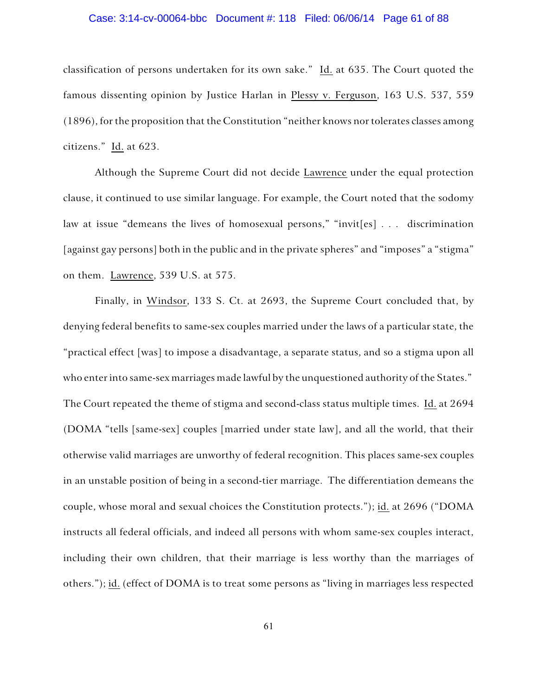# Case: 3:14-cv-00064-bbc Document #: 118 Filed: 06/06/14 Page 61 of 88

classification of persons undertaken for its own sake." Id. at 635. The Court quoted the famous dissenting opinion by Justice Harlan in Plessy v. Ferguson, 163 U.S. 537, 559 (1896), for the proposition that the Constitution "neither knows nor tolerates classes among citizens." Id. at 623.

Although the Supreme Court did not decide Lawrence under the equal protection clause, it continued to use similar language. For example, the Court noted that the sodomy law at issue "demeans the lives of homosexual persons," "invit[es] . . . discrimination [against gay persons] both in the public and in the private spheres" and "imposes" a "stigma" on them. Lawrence, 539 U.S. at 575.

Finally, in Windsor, 133 S. Ct. at 2693, the Supreme Court concluded that, by denying federal benefits to same-sex couples married under the laws of a particular state, the "practical effect [was] to impose a disadvantage, a separate status, and so a stigma upon all who enter into same-sex marriages made lawful by the unquestioned authority of the States." The Court repeated the theme of stigma and second-class status multiple times. Id. at 2694 (DOMA "tells [same-sex] couples [married under state law], and all the world, that their otherwise valid marriages are unworthy of federal recognition. This places same-sex couples in an unstable position of being in a second-tier marriage. The differentiation demeans the couple, whose moral and sexual choices the Constitution protects."); id. at 2696 ("DOMA instructs all federal officials, and indeed all persons with whom same-sex couples interact, including their own children, that their marriage is less worthy than the marriages of others."); id. (effect of DOMA is to treat some persons as "living in marriages less respected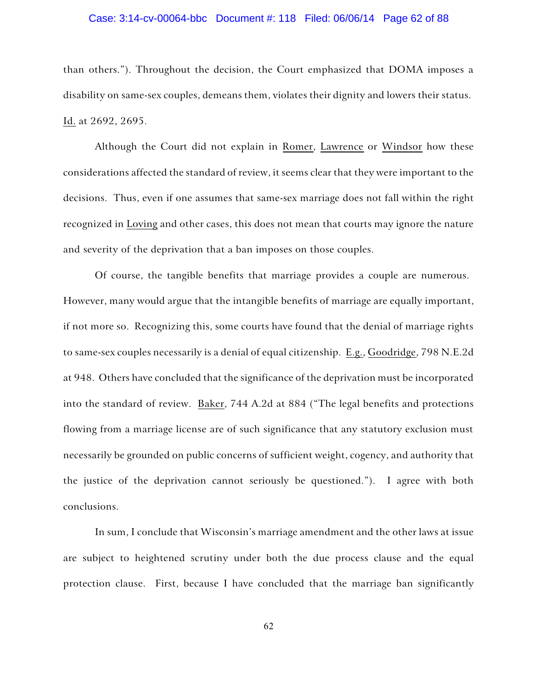#### Case: 3:14-cv-00064-bbc Document #: 118 Filed: 06/06/14 Page 62 of 88

than others."). Throughout the decision, the Court emphasized that DOMA imposes a disability on same-sex couples, demeans them, violates their dignity and lowers their status. Id. at 2692, 2695.

Although the Court did not explain in Romer, Lawrence or Windsor how these considerations affected the standard of review, it seems clear that they were important to the decisions. Thus, even if one assumes that same-sex marriage does not fall within the right recognized in Loving and other cases, this does not mean that courts may ignore the nature and severity of the deprivation that a ban imposes on those couples.

Of course, the tangible benefits that marriage provides a couple are numerous. However, many would argue that the intangible benefits of marriage are equally important, if not more so. Recognizing this, some courts have found that the denial of marriage rights to same-sex couples necessarily is a denial of equal citizenship. E.g., Goodridge, 798 N.E.2d at 948. Others have concluded that the significance of the deprivation must be incorporated into the standard of review. Baker, 744 A.2d at 884 ("The legal benefits and protections flowing from a marriage license are of such significance that any statutory exclusion must necessarily be grounded on public concerns of sufficient weight, cogency, and authority that the justice of the deprivation cannot seriously be questioned."). I agree with both conclusions.

In sum, I conclude that Wisconsin's marriage amendment and the other laws at issue are subject to heightened scrutiny under both the due process clause and the equal protection clause. First, because I have concluded that the marriage ban significantly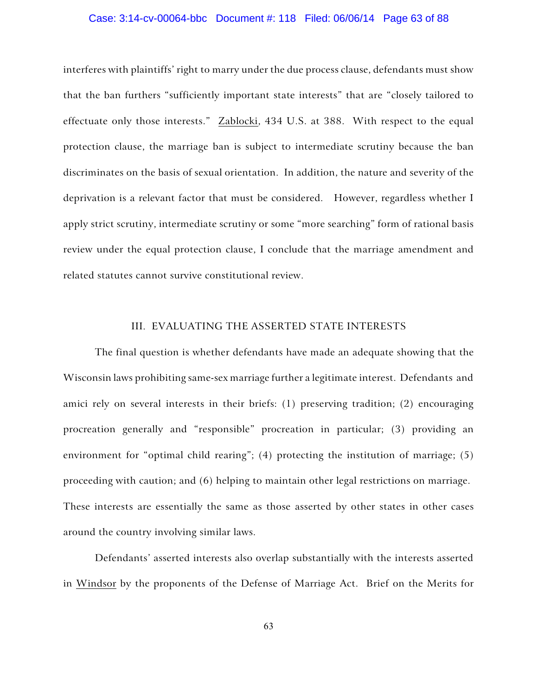## Case: 3:14-cv-00064-bbc Document #: 118 Filed: 06/06/14 Page 63 of 88

interferes with plaintiffs' right to marry under the due process clause, defendants must show that the ban furthers "sufficiently important state interests" that are "closely tailored to effectuate only those interests." Zablocki, 434 U.S. at 388. With respect to the equal protection clause, the marriage ban is subject to intermediate scrutiny because the ban discriminates on the basis of sexual orientation. In addition, the nature and severity of the deprivation is a relevant factor that must be considered. However, regardless whether I apply strict scrutiny, intermediate scrutiny or some "more searching" form of rational basis review under the equal protection clause, I conclude that the marriage amendment and related statutes cannot survive constitutional review.

## III. EVALUATING THE ASSERTED STATE INTERESTS

The final question is whether defendants have made an adequate showing that the Wisconsin laws prohibiting same-sex marriage further a legitimate interest. Defendants and amici rely on several interests in their briefs: (1) preserving tradition; (2) encouraging procreation generally and "responsible" procreation in particular; (3) providing an environment for "optimal child rearing"; (4) protecting the institution of marriage; (5) proceeding with caution; and (6) helping to maintain other legal restrictions on marriage. These interests are essentially the same as those asserted by other states in other cases around the country involving similar laws.

Defendants' asserted interests also overlap substantially with the interests asserted in Windsor by the proponents of the Defense of Marriage Act. Brief on the Merits for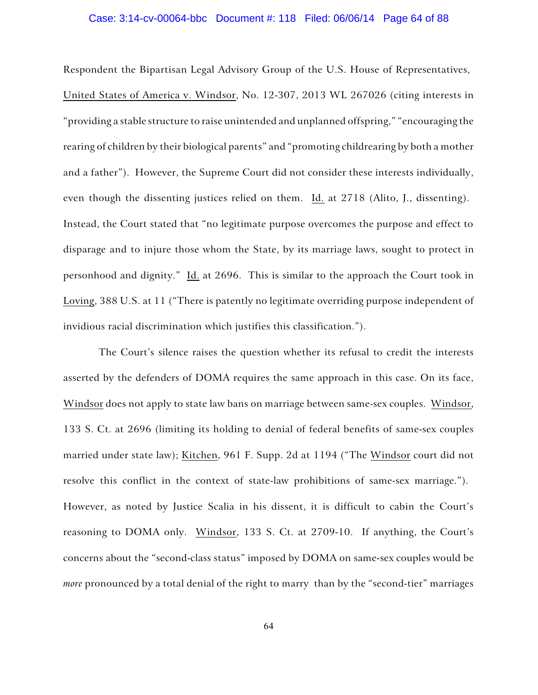#### Case: 3:14-cv-00064-bbc Document #: 118 Filed: 06/06/14 Page 64 of 88

Respondent the Bipartisan Legal Advisory Group of the U.S. House of Representatives, United States of America v. Windsor, No. 12-307, 2013 WL 267026 (citing interests in "providing a stable structure to raise unintended and unplanned offspring," "encouraging the rearing of children by their biological parents" and "promoting childrearing by both a mother and a father"). However, the Supreme Court did not consider these interests individually, even though the dissenting justices relied on them. Id. at 2718 (Alito, J., dissenting). Instead, the Court stated that "no legitimate purpose overcomes the purpose and effect to disparage and to injure those whom the State, by its marriage laws, sought to protect in personhood and dignity." Id. at 2696. This is similar to the approach the Court took in Loving, 388 U.S. at 11 ("There is patently no legitimate overriding purpose independent of invidious racial discrimination which justifies this classification.").

The Court's silence raises the question whether its refusal to credit the interests asserted by the defenders of DOMA requires the same approach in this case. On its face, Windsor does not apply to state law bans on marriage between same-sex couples. Windsor, 133 S. Ct. at 2696 (limiting its holding to denial of federal benefits of same-sex couples married under state law); Kitchen, 961 F. Supp. 2d at 1194 ("The Windsor court did not resolve this conflict in the context of state-law prohibitions of same-sex marriage."). However, as noted by Justice Scalia in his dissent, it is difficult to cabin the Court's reasoning to DOMA only. Windsor, 133 S. Ct. at 2709-10. If anything, the Court's concerns about the "second-class status" imposed by DOMA on same-sex couples would be *more* pronounced by a total denial of the right to marry than by the "second-tier" marriages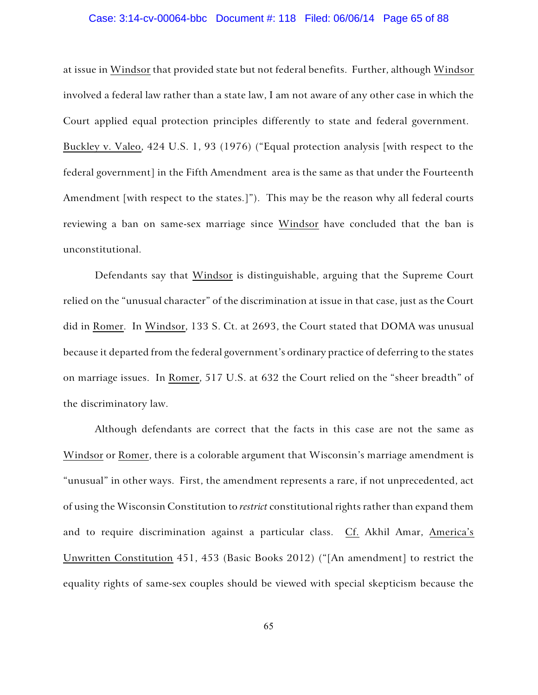# Case: 3:14-cv-00064-bbc Document #: 118 Filed: 06/06/14 Page 65 of 88

at issue in Windsor that provided state but not federal benefits. Further, although Windsor involved a federal law rather than a state law, I am not aware of any other case in which the Court applied equal protection principles differently to state and federal government. Buckley v. Valeo, 424 U.S. 1, 93 (1976) ("Equal protection analysis [with respect to the federal government] in the Fifth Amendment area is the same as that under the Fourteenth Amendment [with respect to the states.]"). This may be the reason why all federal courts reviewing a ban on same-sex marriage since Windsor have concluded that the ban is unconstitutional.

Defendants say that Windsor is distinguishable, arguing that the Supreme Court relied on the "unusual character" of the discrimination at issue in that case, just as the Court did in Romer. In Windsor, 133 S. Ct. at 2693, the Court stated that DOMA was unusual because it departed from the federal government's ordinary practice of deferring to the states on marriage issues. In Romer, 517 U.S. at 632 the Court relied on the "sheer breadth" of the discriminatory law.

Although defendants are correct that the facts in this case are not the same as Windsor or Romer, there is a colorable argument that Wisconsin's marriage amendment is "unusual" in other ways. First, the amendment represents a rare, if not unprecedented, act of using the Wisconsin Constitution to *restrict* constitutional rights rather than expand them and to require discrimination against a particular class. Cf. Akhil Amar, America's Unwritten Constitution 451, 453 (Basic Books 2012) ("[An amendment] to restrict the equality rights of same-sex couples should be viewed with special skepticism because the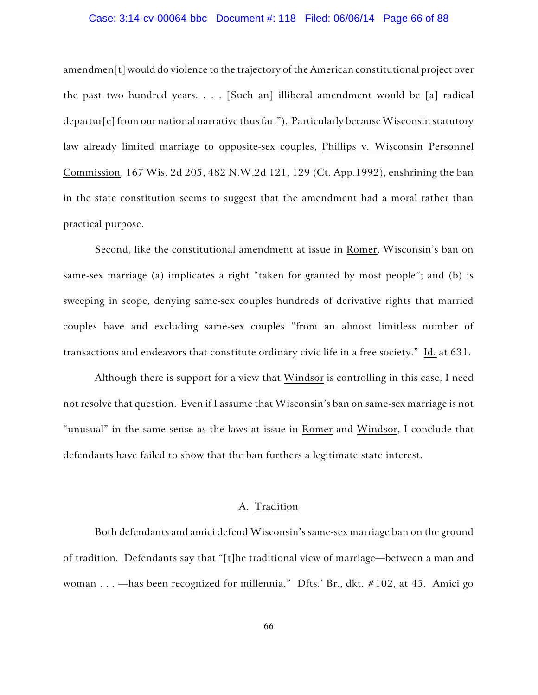## Case: 3:14-cv-00064-bbc Document #: 118 Filed: 06/06/14 Page 66 of 88

amendmen[t] would do violence to the trajectory of the American constitutional project over the past two hundred years. . . . [Such an] illiberal amendment would be [a] radical departur[e] from our national narrative thus far."). Particularly because Wisconsin statutory law already limited marriage to opposite-sex couples, Phillips v. Wisconsin Personnel Commission, 167 Wis. 2d 205, 482 N.W.2d 121, 129 (Ct. App.1992), enshrining the ban in the state constitution seems to suggest that the amendment had a moral rather than practical purpose.

Second, like the constitutional amendment at issue in Romer, Wisconsin's ban on same-sex marriage (a) implicates a right "taken for granted by most people"; and (b) is sweeping in scope, denying same-sex couples hundreds of derivative rights that married couples have and excluding same-sex couples "from an almost limitless number of transactions and endeavors that constitute ordinary civic life in a free society." Id. at 631.

Although there is support for a view that Windsor is controlling in this case, I need not resolve that question. Even if I assume that Wisconsin's ban on same-sex marriage is not "unusual" in the same sense as the laws at issue in Romer and Windsor, I conclude that defendants have failed to show that the ban furthers a legitimate state interest.

## A. Tradition

Both defendants and amici defend Wisconsin's same-sex marriage ban on the ground of tradition. Defendants say that "[t]he traditional view of marriage—between a man and woman . . . —has been recognized for millennia." Dfts.' Br., dkt. #102, at 45. Amici go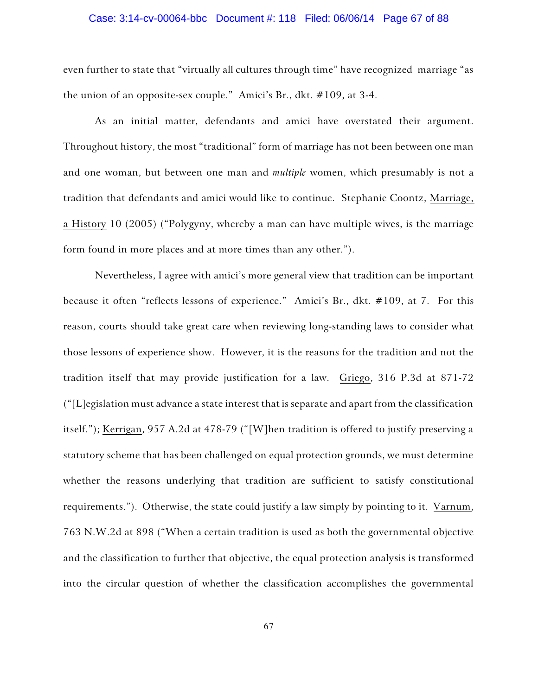# Case: 3:14-cv-00064-bbc Document #: 118 Filed: 06/06/14 Page 67 of 88

even further to state that "virtually all cultures through time" have recognized marriage "as the union of an opposite-sex couple." Amici's Br., dkt. #109, at 3-4.

As an initial matter, defendants and amici have overstated their argument. Throughout history, the most "traditional" form of marriage has not been between one man and one woman, but between one man and *multiple* women, which presumably is not a tradition that defendants and amici would like to continue. Stephanie Coontz, Marriage, a History 10 (2005) ("Polygyny, whereby a man can have multiple wives, is the marriage form found in more places and at more times than any other.").

Nevertheless, I agree with amici's more general view that tradition can be important because it often "reflects lessons of experience." Amici's Br., dkt. #109, at 7. For this reason, courts should take great care when reviewing long-standing laws to consider what those lessons of experience show. However, it is the reasons for the tradition and not the tradition itself that may provide justification for a law. Griego, 316 P.3d at 871-72  $"$ [L]egislation must advance a state interest that is separate and apart from the classification itself."); Kerrigan, 957 A.2d at 478-79 ("[W]hen tradition is offered to justify preserving a statutory scheme that has been challenged on equal protection grounds, we must determine whether the reasons underlying that tradition are sufficient to satisfy constitutional requirements."). Otherwise, the state could justify a law simply by pointing to it. Varnum, 763 N.W.2d at 898 ("When a certain tradition is used as both the governmental objective and the classification to further that objective, the equal protection analysis is transformed into the circular question of whether the classification accomplishes the governmental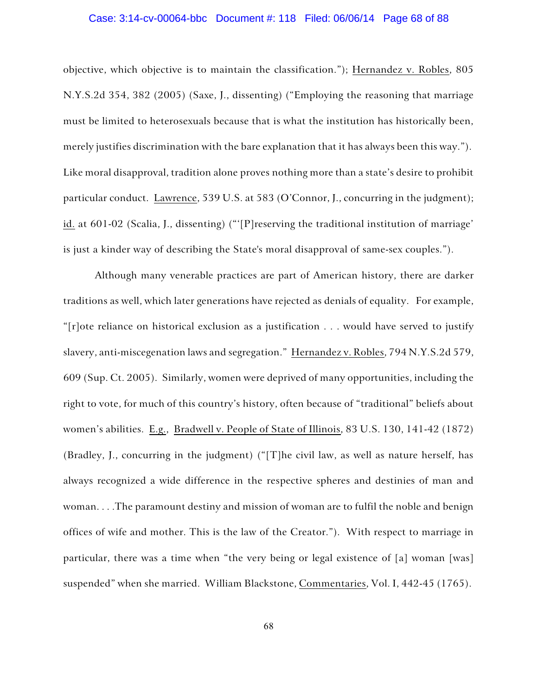## Case: 3:14-cv-00064-bbc Document #: 118 Filed: 06/06/14 Page 68 of 88

objective, which objective is to maintain the classification."); Hernandez v. Robles, 805 N.Y.S.2d 354, 382 (2005) (Saxe, J., dissenting) ("Employing the reasoning that marriage must be limited to heterosexuals because that is what the institution has historically been, merely justifies discrimination with the bare explanation that it has always been this way."). Like moral disapproval, tradition alone proves nothing more than a state's desire to prohibit particular conduct. Lawrence, 539 U.S. at 583 (O'Connor, J., concurring in the judgment); id. at 601-02 (Scalia, J., dissenting) ("'[P]reserving the traditional institution of marriage' is just a kinder way of describing the State's moral disapproval of same-sex couples.").

Although many venerable practices are part of American history, there are darker traditions as well, which later generations have rejected as denials of equality. For example, "[r]ote reliance on historical exclusion as a justification . . . would have served to justify slavery, anti-miscegenation laws and segregation." Hernandez v. Robles, 794 N.Y.S.2d 579, 609 (Sup. Ct. 2005). Similarly, women were deprived of many opportunities, including the right to vote, for much of this country's history, often because of "traditional" beliefs about women's abilities. E.g., Bradwell v. People of State of Illinois, 83 U.S. 130, 141-42 (1872) (Bradley, J., concurring in the judgment) ("[T]he civil law, as well as nature herself, has always recognized a wide difference in the respective spheres and destinies of man and woman. . . .The paramount destiny and mission of woman are to fulfil the noble and benign offices of wife and mother. This is the law of the Creator."). With respect to marriage in particular, there was a time when "the very being or legal existence of [a] woman [was] suspended" when she married. William Blackstone, Commentaries, Vol. I, 442-45 (1765).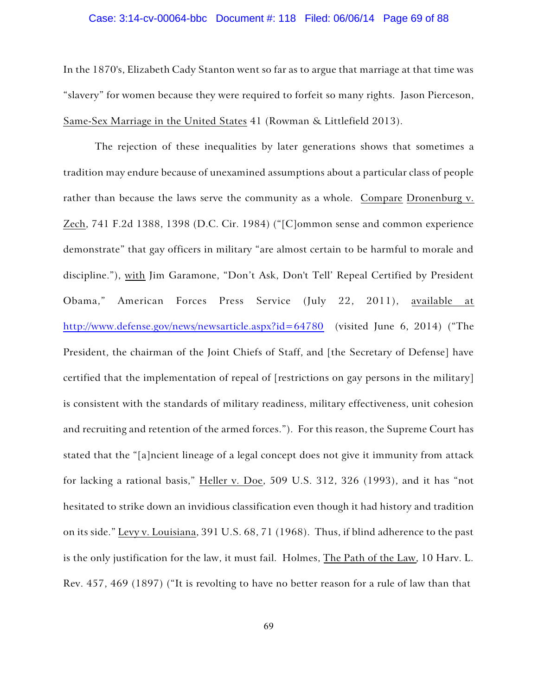#### Case: 3:14-cv-00064-bbc Document #: 118 Filed: 06/06/14 Page 69 of 88

In the 1870's, Elizabeth Cady Stanton went so far as to argue that marriage at that time was "slavery" for women because they were required to forfeit so many rights. Jason Pierceson, Same-Sex Marriage in the United States 41 (Rowman & Littlefield 2013).

The rejection of these inequalities by later generations shows that sometimes a tradition may endure because of unexamined assumptions about a particular class of people rather than because the laws serve the community as a whole. Compare Dronenburg v. Zech, 741 F.2d 1388, 1398 (D.C. Cir. 1984) ("[C]ommon sense and common experience demonstrate" that gay officers in military "are almost certain to be harmful to morale and discipline."), with Jim Garamone, "Don't Ask, Don't Tell' Repeal Certified by President Obama," American Forces Press Service (July 22, 2011), available at http://www.defense.gov/news/newsarticle.aspx?id=64780 (visited June 6, 2014) ("The President, the chairman of the Joint Chiefs of Staff, and [the Secretary of Defense] have certified that the implementation of repeal of [restrictions on gay persons in the military] is consistent with the standards of military readiness, military effectiveness, unit cohesion and recruiting and retention of the armed forces."). For this reason, the Supreme Court has stated that the "[a]ncient lineage of a legal concept does not give it immunity from attack for lacking a rational basis," Heller v. Doe, 509 U.S. 312, 326 (1993), and it has "not hesitated to strike down an invidious classification even though it had history and tradition on its side." Levy v. Louisiana, 391 U.S. 68, 71 (1968). Thus, if blind adherence to the past is the only justification for the law, it must fail. Holmes, The Path of the Law, 10 Harv. L. Rev. 457, 469 (1897) ("It is revolting to have no better reason for a rule of law than that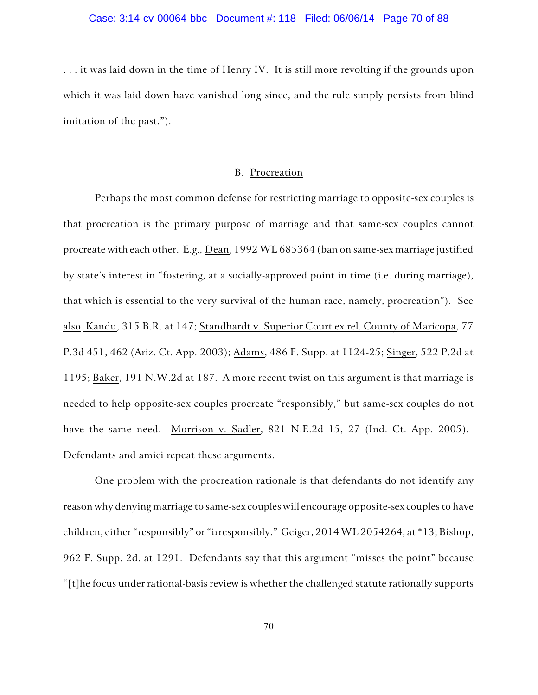#### Case: 3:14-cv-00064-bbc Document #: 118 Filed: 06/06/14 Page 70 of 88

. . . it was laid down in the time of Henry IV. It is still more revolting if the grounds upon which it was laid down have vanished long since, and the rule simply persists from blind imitation of the past.").

### B. Procreation

Perhaps the most common defense for restricting marriage to opposite-sex couples is that procreation is the primary purpose of marriage and that same-sex couples cannot procreate with each other. E.g.*,* Dean, 1992 WL 685364 (ban on same-sex marriage justified by state's interest in "fostering, at a socially-approved point in time (i.e. during marriage), that which is essential to the very survival of the human race, namely, procreation"). See also Kandu, 315 B.R. at 147; Standhardt v. Superior Court ex rel. County of Maricopa, 77 P.3d 451, 462 (Ariz. Ct. App. 2003); Adams, 486 F. Supp. at 1124-25; Singer, 522 P.2d at 1195; Baker, 191 N.W.2d at 187. A more recent twist on this argument is that marriage is needed to help opposite-sex couples procreate "responsibly," but same-sex couples do not have the same need. Morrison v. Sadler, 821 N.E.2d 15, 27 (Ind. Ct. App. 2005). Defendants and amici repeat these arguments.

One problem with the procreation rationale is that defendants do not identify any reason why denying marriage to same-sex couples will encourage opposite-sex couples to have children, either "responsibly" or "irresponsibly." Geiger, 2014 WL 2054264, at \*13; Bishop, 962 F. Supp. 2d. at 1291. Defendants say that this argument "misses the point" because "[t]he focus under rational-basis review is whether the challenged statute rationally supports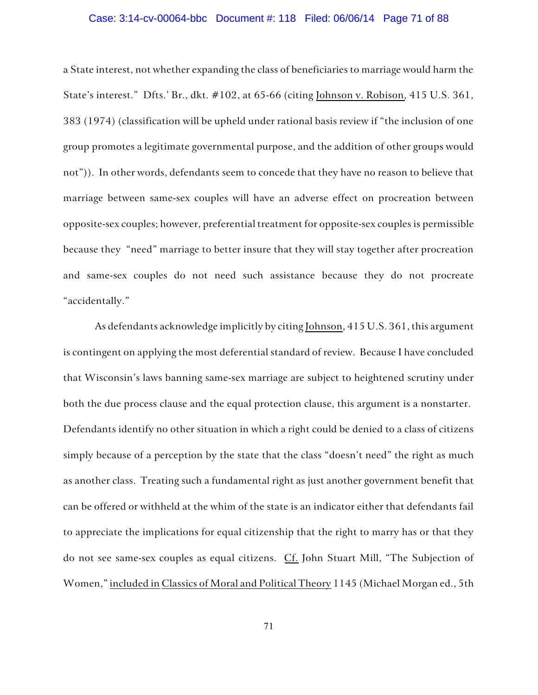# Case: 3:14-cv-00064-bbc Document #: 118 Filed: 06/06/14 Page 71 of 88

a State interest, not whether expanding the class of beneficiaries to marriage would harm the State's interest." Dfts.' Br., dkt. #102, at 65-66 (citing Johnson v. Robison, 415 U.S. 361, 383 (1974) (classification will be upheld under rational basis review if "the inclusion of one group promotes a legitimate governmental purpose, and the addition of other groups would not")). In other words, defendants seem to concede that they have no reason to believe that marriage between same-sex couples will have an adverse effect on procreation between opposite-sex couples; however, preferential treatment for opposite-sex couples is permissible because they "need" marriage to better insure that they will stay together after procreation and same-sex couples do not need such assistance because they do not procreate "accidentally."

As defendants acknowledge implicitly by citing Johnson, 415 U.S. 361, this argument is contingent on applying the most deferential standard of review. Because I have concluded that Wisconsin's laws banning same-sex marriage are subject to heightened scrutiny under both the due process clause and the equal protection clause, this argument is a nonstarter. Defendants identify no other situation in which a right could be denied to a class of citizens simply because of a perception by the state that the class "doesn't need" the right as much as another class. Treating such a fundamental right as just another government benefit that can be offered or withheld at the whim of the state is an indicator either that defendants fail to appreciate the implications for equal citizenship that the right to marry has or that they do not see same-sex couples as equal citizens. Cf. John Stuart Mill, "The Subjection of Women," included in Classics of Moral and Political Theory 1145 (Michael Morgan ed., 5th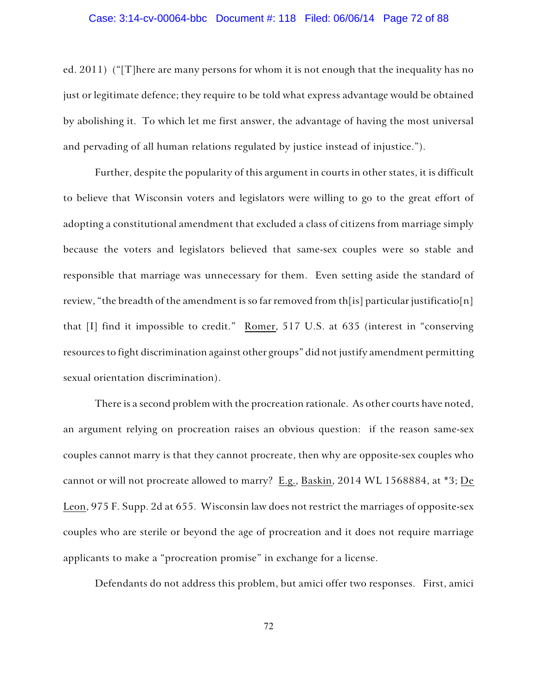## Case: 3:14-cv-00064-bbc Document #: 118 Filed: 06/06/14 Page 72 of 88

ed. 2011) ("[T]here are many persons for whom it is not enough that the inequality has no just or legitimate defence; they require to be told what express advantage would be obtained by abolishing it. To which let me first answer, the advantage of having the most universal and pervading of all human relations regulated by justice instead of injustice.").

Further, despite the popularity of this argument in courts in other states, it is difficult to believe that Wisconsin voters and legislators were willing to go to the great effort of adopting a constitutional amendment that excluded a class of citizens from marriage simply because the voters and legislators believed that same-sex couples were so stable and responsible that marriage was unnecessary for them. Even setting aside the standard of review, "the breadth of the amendment is so far removed from th[is] particular justificatio[n] that [I] find it impossible to credit." Romer, 517 U.S. at 635 (interest in "conserving resources to fight discrimination against other groups" did not justify amendment permitting sexual orientation discrimination).

There is a second problem with the procreation rationale. As other courts have noted, an argument relying on procreation raises an obvious question: if the reason same-sex couples cannot marry is that they cannot procreate, then why are opposite-sex couples who cannot or will not procreate allowed to marry? E.g., Baskin, 2014 WL 1568884, at \*3; De Leon, 975 F. Supp. 2d at 655. Wisconsin law does not restrict the marriages of opposite-sex couples who are sterile or beyond the age of procreation and it does not require marriage applicants to make a "procreation promise" in exchange for a license.

Defendants do not address this problem, but amici offer two responses. First, amici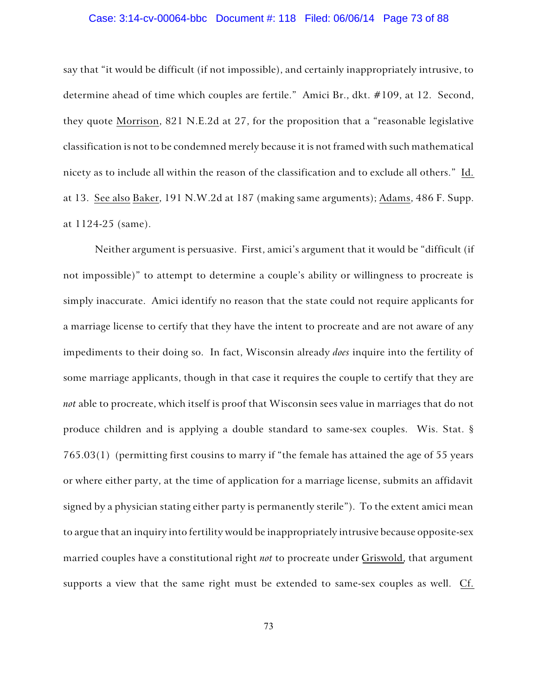#### Case: 3:14-cv-00064-bbc Document #: 118 Filed: 06/06/14 Page 73 of 88

say that "it would be difficult (if not impossible), and certainly inappropriately intrusive, to determine ahead of time which couples are fertile." Amici Br., dkt. #109, at 12. Second, they quote Morrison, 821 N.E.2d at 27, for the proposition that a "reasonable legislative classification is not to be condemned merely because it is not framed with such mathematical nicety as to include all within the reason of the classification and to exclude all others." Id. at 13. See also Baker, 191 N.W.2d at 187 (making same arguments); Adams, 486 F. Supp. at 1124-25 (same).

Neither argument is persuasive. First, amici's argument that it would be "difficult (if not impossible)" to attempt to determine a couple's ability or willingness to procreate is simply inaccurate. Amici identify no reason that the state could not require applicants for a marriage license to certify that they have the intent to procreate and are not aware of any impediments to their doing so. In fact, Wisconsin already *does* inquire into the fertility of some marriage applicants, though in that case it requires the couple to certify that they are *not* able to procreate, which itself is proof that Wisconsin sees value in marriages that do not produce children and is applying a double standard to same-sex couples. Wis. Stat. § 765.03(1) (permitting first cousins to marry if "the female has attained the age of 55 years or where either party, at the time of application for a marriage license, submits an affidavit signed by a physician stating either party is permanently sterile"). To the extent amici mean to argue that an inquiry into fertility would be inappropriately intrusive because opposite-sex married couples have a constitutional right *not* to procreate under Griswold, that argument supports a view that the same right must be extended to same-sex couples as well. Cf.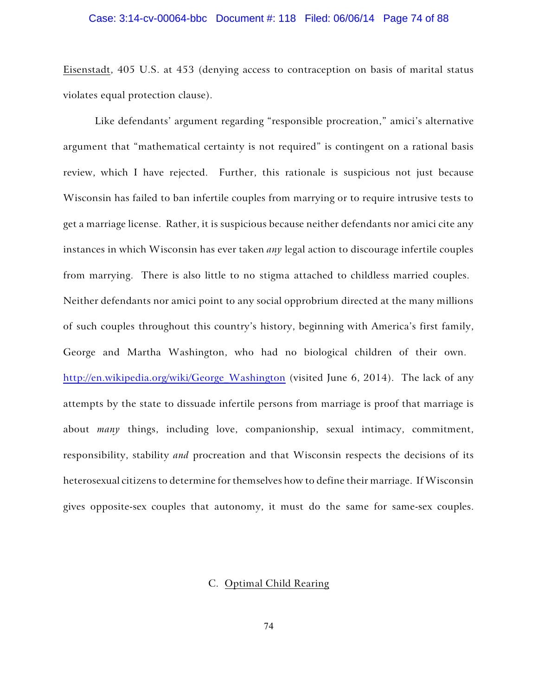#### Case: 3:14-cv-00064-bbc Document #: 118 Filed: 06/06/14 Page 74 of 88

Eisenstadt, 405 U.S. at 453 (denying access to contraception on basis of marital status violates equal protection clause).

Like defendants' argument regarding "responsible procreation," amici's alternative argument that "mathematical certainty is not required" is contingent on a rational basis review, which I have rejected. Further, this rationale is suspicious not just because Wisconsin has failed to ban infertile couples from marrying or to require intrusive tests to get a marriage license. Rather, it is suspicious because neither defendants nor amici cite any instances in which Wisconsin has ever taken *any* legal action to discourage infertile couples from marrying. There is also little to no stigma attached to childless married couples. Neither defendants nor amici point to any social opprobrium directed at the many millions of such couples throughout this country's history, beginning with America's first family, George and Martha Washington, who had no biological children of their own. http://en.wikipedia.org/wiki/George Washington (visited June 6, 2014). The lack of any attempts by the state to dissuade infertile persons from marriage is proof that marriage is about *many* things, including love, companionship, sexual intimacy, commitment, responsibility, stability *and* procreation and that Wisconsin respects the decisions of its heterosexual citizens to determine for themselves how to define their marriage. If Wisconsin gives opposite-sex couples that autonomy, it must do the same for same-sex couples.

## C. Optimal Child Rearing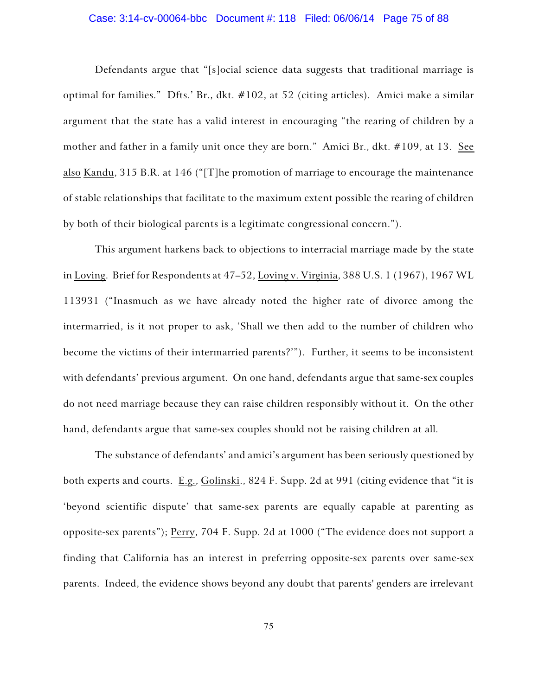## Case: 3:14-cv-00064-bbc Document #: 118 Filed: 06/06/14 Page 75 of 88

Defendants argue that "[s]ocial science data suggests that traditional marriage is optimal for families." Dfts.' Br., dkt. #102, at 52 (citing articles). Amici make a similar argument that the state has a valid interest in encouraging "the rearing of children by a mother and father in a family unit once they are born." Amici Br., dkt. #109, at 13. See also Kandu, 315 B.R. at 146 ("[T]he promotion of marriage to encourage the maintenance of stable relationships that facilitate to the maximum extent possible the rearing of children by both of their biological parents is a legitimate congressional concern.").

This argument harkens back to objections to interracial marriage made by the state in Loving. Brief for Respondents at 47–52, Loving v. Virginia, 388 U.S. 1 (1967), 1967 WL 113931 ("Inasmuch as we have already noted the higher rate of divorce among the intermarried, is it not proper to ask, 'Shall we then add to the number of children who become the victims of their intermarried parents?'"). Further, it seems to be inconsistent with defendants' previous argument. On one hand, defendants argue that same-sex couples do not need marriage because they can raise children responsibly without it. On the other hand, defendants argue that same-sex couples should not be raising children at all.

The substance of defendants' and amici's argument has been seriously questioned by both experts and courts. E.g., Golinski., 824 F. Supp. 2d at 991 (citing evidence that "it is 'beyond scientific dispute' that same-sex parents are equally capable at parenting as opposite-sex parents"); Perry, 704 F. Supp. 2d at 1000 ("The evidence does not support a finding that California has an interest in preferring opposite-sex parents over same-sex parents. Indeed, the evidence shows beyond any doubt that parents' genders are irrelevant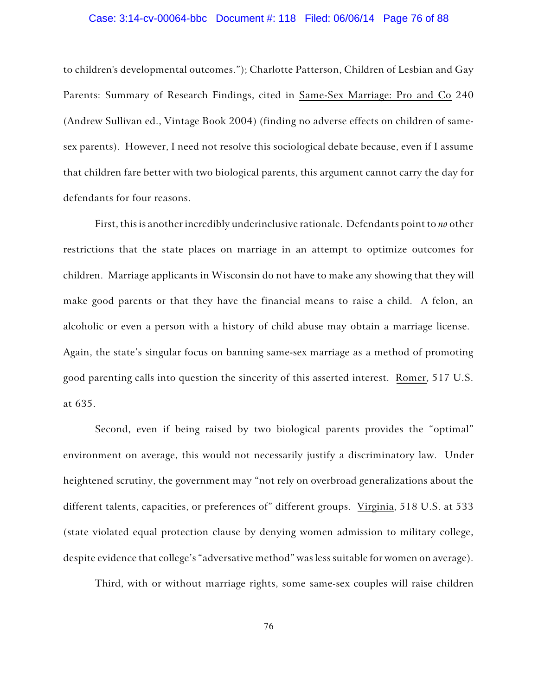## Case: 3:14-cv-00064-bbc Document #: 118 Filed: 06/06/14 Page 76 of 88

to children's developmental outcomes."); Charlotte Patterson, Children of Lesbian and Gay Parents: Summary of Research Findings, cited in Same-Sex Marriage: Pro and Co 240 (Andrew Sullivan ed., Vintage Book 2004) (finding no adverse effects on children of samesex parents). However, I need not resolve this sociological debate because, even if I assume that children fare better with two biological parents, this argument cannot carry the day for defendants for four reasons.

First, this is another incredibly underinclusive rationale. Defendants point to *no* other restrictions that the state places on marriage in an attempt to optimize outcomes for children. Marriage applicants in Wisconsin do not have to make any showing that they will make good parents or that they have the financial means to raise a child. A felon, an alcoholic or even a person with a history of child abuse may obtain a marriage license. Again, the state's singular focus on banning same-sex marriage as a method of promoting good parenting calls into question the sincerity of this asserted interest. Romer, 517 U.S. at 635.

Second, even if being raised by two biological parents provides the "optimal" environment on average, this would not necessarily justify a discriminatory law. Under heightened scrutiny, the government may "not rely on overbroad generalizations about the different talents, capacities, or preferences of" different groups. Virginia, 518 U.S. at 533 (state violated equal protection clause by denying women admission to military college, despite evidence that college's "adversative method" was less suitable for women on average).

Third, with or without marriage rights, some same-sex couples will raise children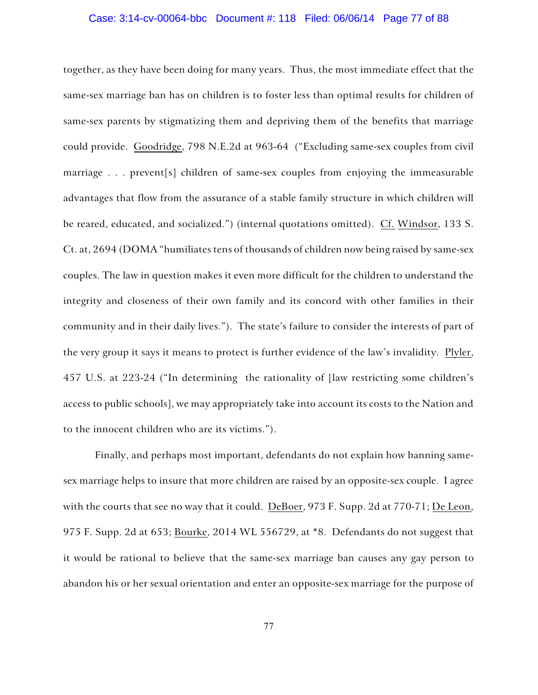#### Case: 3:14-cv-00064-bbc Document #: 118 Filed: 06/06/14 Page 77 of 88

together, as they have been doing for many years. Thus, the most immediate effect that the same-sex marriage ban has on children is to foster less than optimal results for children of same-sex parents by stigmatizing them and depriving them of the benefits that marriage could provide. Goodridge, 798 N.E.2d at 963-64 ("Excluding same-sex couples from civil marriage . . . prevent[s] children of same-sex couples from enjoying the immeasurable advantages that flow from the assurance of a stable family structure in which children will be reared, educated, and socialized.") (internal quotations omitted). Cf. Windsor, 133 S. Ct. at, 2694 (DOMA "humiliates tens of thousands of children now being raised by same-sex couples. The law in question makes it even more difficult for the children to understand the integrity and closeness of their own family and its concord with other families in their community and in their daily lives."). The state's failure to consider the interests of part of the very group it says it means to protect is further evidence of the law's invalidity. Plyler, 457 U.S. at 223-24 ("In determining the rationality of [law restricting some children's access to public schools], we may appropriately take into account its costs to the Nation and to the innocent children who are its victims.").

Finally, and perhaps most important, defendants do not explain how banning samesex marriage helps to insure that more children are raised by an opposite-sex couple. I agree with the courts that see no way that it could. DeBoer, 973 F. Supp. 2d at 770-71; De Leon, 975 F. Supp. 2d at 653; Bourke, 2014 WL 556729, at \*8. Defendants do not suggest that it would be rational to believe that the same-sex marriage ban causes any gay person to abandon his or her sexual orientation and enter an opposite-sex marriage for the purpose of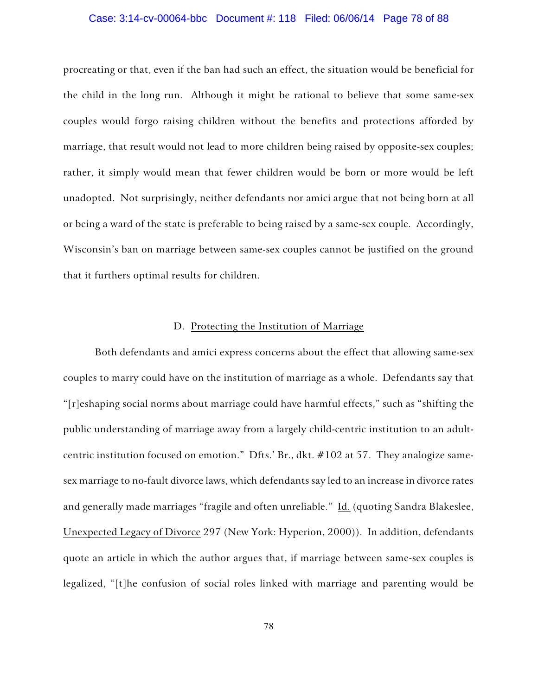#### Case: 3:14-cv-00064-bbc Document #: 118 Filed: 06/06/14 Page 78 of 88

procreating or that, even if the ban had such an effect, the situation would be beneficial for the child in the long run. Although it might be rational to believe that some same-sex couples would forgo raising children without the benefits and protections afforded by marriage, that result would not lead to more children being raised by opposite-sex couples; rather, it simply would mean that fewer children would be born or more would be left unadopted. Not surprisingly, neither defendants nor amici argue that not being born at all or being a ward of the state is preferable to being raised by a same-sex couple. Accordingly, Wisconsin's ban on marriage between same-sex couples cannot be justified on the ground that it furthers optimal results for children.

## D. Protecting the Institution of Marriage

Both defendants and amici express concerns about the effect that allowing same-sex couples to marry could have on the institution of marriage as a whole. Defendants say that "[r]eshaping social norms about marriage could have harmful effects," such as "shifting the public understanding of marriage away from a largely child-centric institution to an adultcentric institution focused on emotion." Dfts.' Br., dkt. #102 at 57. They analogize samesex marriage to no-fault divorce laws, which defendants say led to an increase in divorce rates and generally made marriages "fragile and often unreliable." Id. (quoting Sandra Blakeslee, Unexpected Legacy of Divorce 297 (New York: Hyperion, 2000)). In addition, defendants quote an article in which the author argues that, if marriage between same-sex couples is legalized, "[t]he confusion of social roles linked with marriage and parenting would be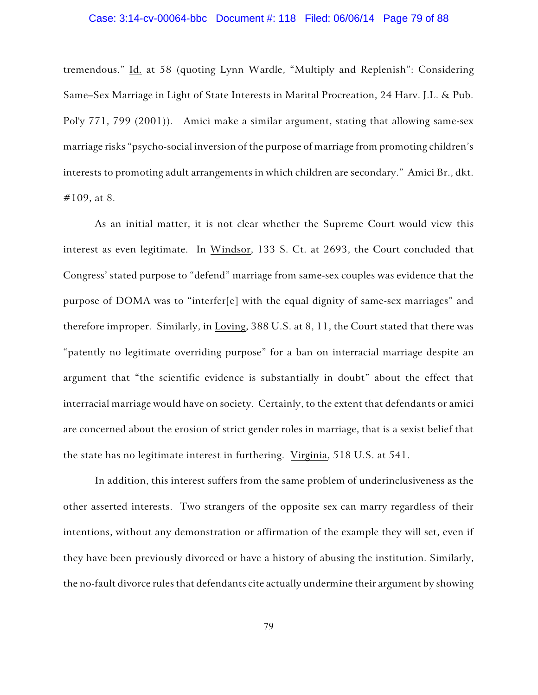## Case: 3:14-cv-00064-bbc Document #: 118 Filed: 06/06/14 Page 79 of 88

tremendous." Id. at 58 (quoting Lynn Wardle, "Multiply and Replenish": Considering Same–Sex Marriage in Light of State Interests in Marital Procreation, 24 Harv. J.L. & Pub. Pol'y 771, 799 (2001)). Amici make a similar argument, stating that allowing same-sex marriage risks "psycho-social inversion of the purpose of marriage from promoting children's interests to promoting adult arrangements in which children are secondary." Amici Br., dkt. #109, at 8.

As an initial matter, it is not clear whether the Supreme Court would view this interest as even legitimate. In Windsor, 133 S. Ct. at 2693, the Court concluded that Congress' stated purpose to "defend" marriage from same-sex couples was evidence that the purpose of DOMA was to "interfer[e] with the equal dignity of same-sex marriages" and therefore improper. Similarly, in Loving, 388 U.S. at 8, 11, the Court stated that there was "patently no legitimate overriding purpose" for a ban on interracial marriage despite an argument that "the scientific evidence is substantially in doubt" about the effect that interracial marriage would have on society. Certainly, to the extent that defendants or amici are concerned about the erosion of strict gender roles in marriage, that is a sexist belief that the state has no legitimate interest in furthering. Virginia, 518 U.S. at 541.

In addition, this interest suffers from the same problem of underinclusiveness as the other asserted interests. Two strangers of the opposite sex can marry regardless of their intentions, without any demonstration or affirmation of the example they will set, even if they have been previously divorced or have a history of abusing the institution. Similarly, the no-fault divorce rules that defendants cite actually undermine their argument by showing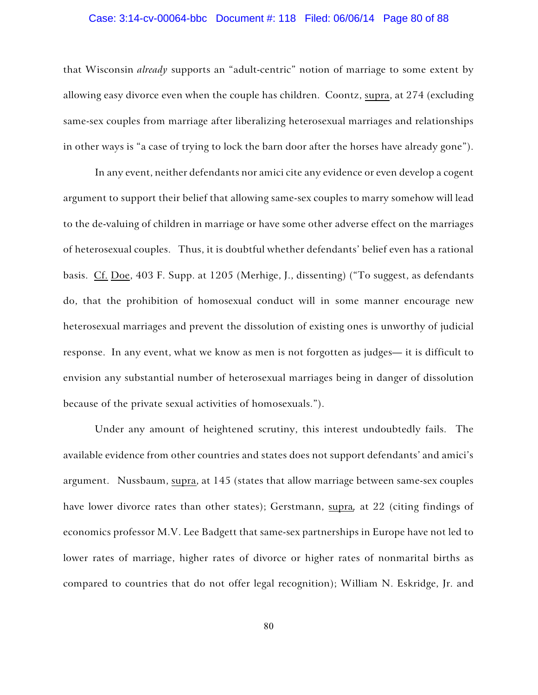## Case: 3:14-cv-00064-bbc Document #: 118 Filed: 06/06/14 Page 80 of 88

that Wisconsin *already* supports an "adult-centric" notion of marriage to some extent by allowing easy divorce even when the couple has children. Coontz, supra, at 274 (excluding same-sex couples from marriage after liberalizing heterosexual marriages and relationships in other ways is "a case of trying to lock the barn door after the horses have already gone").

In any event, neither defendants nor amici cite any evidence or even develop a cogent argument to support their belief that allowing same-sex couples to marry somehow will lead to the de-valuing of children in marriage or have some other adverse effect on the marriages of heterosexual couples. Thus, it is doubtful whether defendants' belief even has a rational basis. Cf. Doe, 403 F. Supp. at 1205 (Merhige, J., dissenting) ("To suggest, as defendants do, that the prohibition of homosexual conduct will in some manner encourage new heterosexual marriages and prevent the dissolution of existing ones is unworthy of judicial response. In any event, what we know as men is not forgotten as judges— it is difficult to envision any substantial number of heterosexual marriages being in danger of dissolution because of the private sexual activities of homosexuals.").

Under any amount of heightened scrutiny, this interest undoubtedly fails. The available evidence from other countries and states does not support defendants' and amici's argument. Nussbaum, supra, at 145 (states that allow marriage between same-sex couples have lower divorce rates than other states); Gerstmann, supra*,* at 22 (citing findings of economics professor M.V. Lee Badgett that same-sex partnerships in Europe have not led to lower rates of marriage, higher rates of divorce or higher rates of nonmarital births as compared to countries that do not offer legal recognition); William N. Eskridge, Jr. and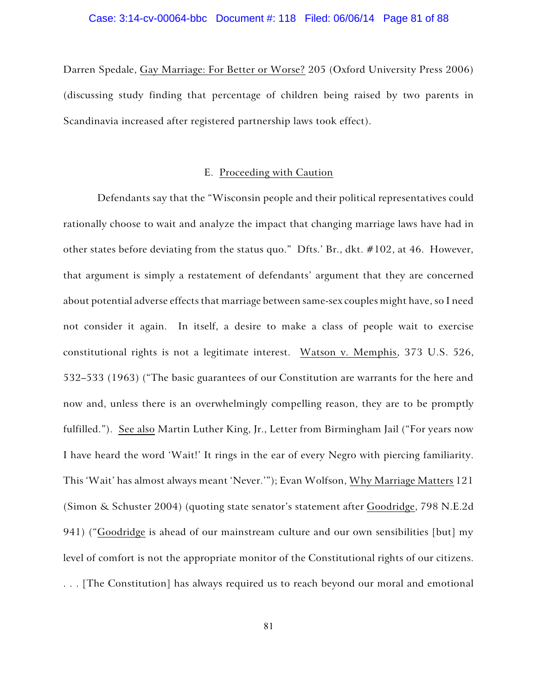## Case: 3:14-cv-00064-bbc Document #: 118 Filed: 06/06/14 Page 81 of 88

Darren Spedale, Gay Marriage: For Better or Worse? 205 (Oxford University Press 2006) (discussing study finding that percentage of children being raised by two parents in Scandinavia increased after registered partnership laws took effect).

## E. Proceeding with Caution

Defendants say that the "Wisconsin people and their political representatives could rationally choose to wait and analyze the impact that changing marriage laws have had in other states before deviating from the status quo." Dfts.' Br., dkt. #102, at 46. However, that argument is simply a restatement of defendants' argument that they are concerned about potential adverse effects that marriage between same-sex couples might have, so I need not consider it again. In itself, a desire to make a class of people wait to exercise constitutional rights is not a legitimate interest. Watson v. Memphis, 373 U.S. 526, 532–533 (1963) ("The basic guarantees of our Constitution are warrants for the here and now and, unless there is an overwhelmingly compelling reason, they are to be promptly fulfilled."). See also Martin Luther King, Jr., Letter from Birmingham Jail ("For years now I have heard the word 'Wait!' It rings in the ear of every Negro with piercing familiarity. This 'Wait' has almost always meant 'Never.'"); Evan Wolfson, Why Marriage Matters 121 (Simon & Schuster 2004) (quoting state senator's statement after Goodridge, 798 N.E.2d 941) ("Goodridge is ahead of our mainstream culture and our own sensibilities [but] my level of comfort is not the appropriate monitor of the Constitutional rights of our citizens. . . . [The Constitution] has always required us to reach beyond our moral and emotional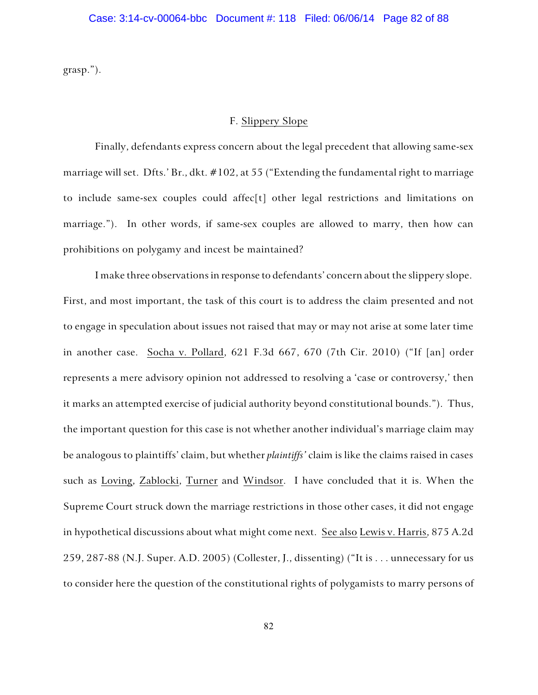grasp.").

## F. Slippery Slope

Finally, defendants express concern about the legal precedent that allowing same-sex marriage will set. Dfts.' Br., dkt. #102, at 55 ("Extending the fundamental right to marriage to include same-sex couples could affec[t] other legal restrictions and limitations on marriage."). In other words, if same-sex couples are allowed to marry, then how can prohibitions on polygamy and incest be maintained?

I make three observations in response to defendants' concern about the slippery slope. First, and most important, the task of this court is to address the claim presented and not to engage in speculation about issues not raised that may or may not arise at some later time in another case. Socha v. Pollard, 621 F.3d 667, 670 (7th Cir. 2010) ("If [an] order represents a mere advisory opinion not addressed to resolving a 'case or controversy,' then it marks an attempted exercise of judicial authority beyond constitutional bounds."). Thus, the important question for this case is not whether another individual's marriage claim may be analogous to plaintiffs' claim, but whether *plaintiffs'* claim is like the claims raised in cases such as Loving, Zablocki, Turner and Windsor. I have concluded that it is. When the Supreme Court struck down the marriage restrictions in those other cases, it did not engage in hypothetical discussions about what might come next. See also Lewis v. Harris, 875 A.2d 259, 287-88 (N.J. Super. A.D. 2005) (Collester, J., dissenting) ("It is . . . unnecessary for us to consider here the question of the constitutional rights of polygamists to marry persons of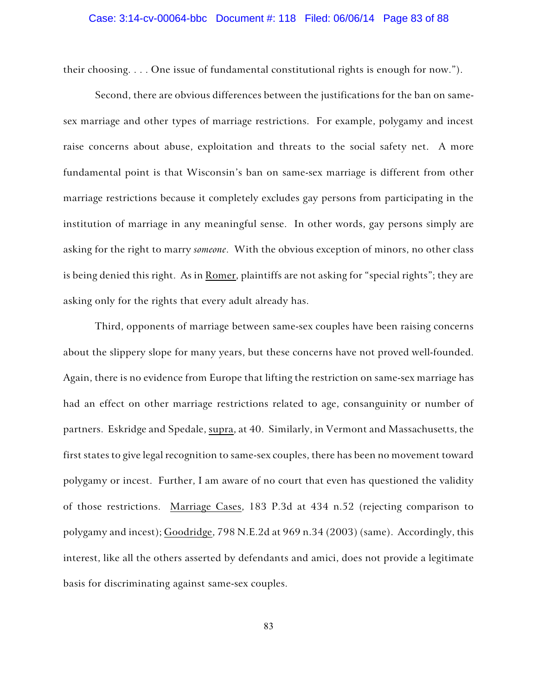## Case: 3:14-cv-00064-bbc Document #: 118 Filed: 06/06/14 Page 83 of 88

their choosing. . . . One issue of fundamental constitutional rights is enough for now.").

Second, there are obvious differences between the justifications for the ban on samesex marriage and other types of marriage restrictions. For example, polygamy and incest raise concerns about abuse, exploitation and threats to the social safety net. A more fundamental point is that Wisconsin's ban on same-sex marriage is different from other marriage restrictions because it completely excludes gay persons from participating in the institution of marriage in any meaningful sense. In other words, gay persons simply are asking for the right to marry *someone*. With the obvious exception of minors, no other class is being denied this right. As in Romer, plaintiffs are not asking for "special rights"; they are asking only for the rights that every adult already has.

Third, opponents of marriage between same-sex couples have been raising concerns about the slippery slope for many years, but these concerns have not proved well-founded. Again, there is no evidence from Europe that lifting the restriction on same-sex marriage has had an effect on other marriage restrictions related to age, consanguinity or number of partners. Eskridge and Spedale, supra, at 40. Similarly, in Vermont and Massachusetts, the first states to give legal recognition to same-sex couples, there has been no movement toward polygamy or incest. Further, I am aware of no court that even has questioned the validity of those restrictions. Marriage Cases, 183 P.3d at 434 n.52 (rejecting comparison to polygamy and incest); Goodridge, 798 N.E.2d at 969 n.34 (2003) (same). Accordingly, this interest, like all the others asserted by defendants and amici, does not provide a legitimate basis for discriminating against same-sex couples.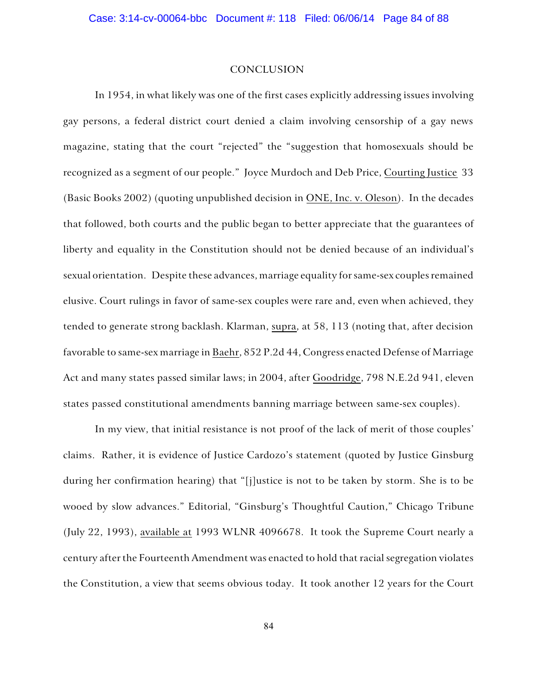#### CONCLUSION

In 1954, in what likely was one of the first cases explicitly addressing issues involving gay persons, a federal district court denied a claim involving censorship of a gay news magazine, stating that the court "rejected" the "suggestion that homosexuals should be recognized as a segment of our people." Joyce Murdoch and Deb Price, Courting Justice 33 (Basic Books 2002) (quoting unpublished decision in ONE, Inc. v. Oleson). In the decades that followed, both courts and the public began to better appreciate that the guarantees of liberty and equality in the Constitution should not be denied because of an individual's sexual orientation. Despite these advances, marriage equality for same-sex couples remained elusive. Court rulings in favor of same-sex couples were rare and, even when achieved, they tended to generate strong backlash. Klarman, supra, at 58, 113 (noting that, after decision favorable to same-sex marriage in Baehr, 852 P.2d 44, Congress enacted Defense of Marriage Act and many states passed similar laws; in 2004, after Goodridge, 798 N.E.2d 941, eleven states passed constitutional amendments banning marriage between same-sex couples).

In my view, that initial resistance is not proof of the lack of merit of those couples' claims. Rather, it is evidence of Justice Cardozo's statement (quoted by Justice Ginsburg during her confirmation hearing) that "[j]ustice is not to be taken by storm. She is to be wooed by slow advances." Editorial, "Ginsburg's Thoughtful Caution," Chicago Tribune (July 22, 1993), available at 1993 WLNR 4096678. It took the Supreme Court nearly a century after the Fourteenth Amendment was enacted to hold that racial segregation violates the Constitution, a view that seems obvious today. It took another 12 years for the Court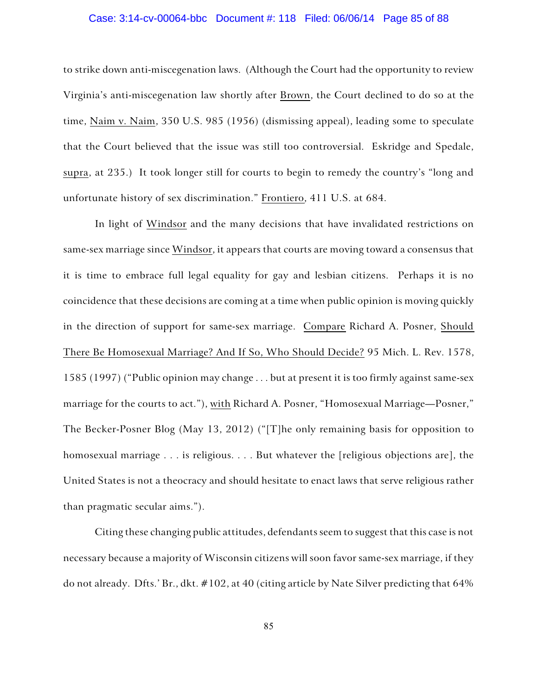#### Case: 3:14-cv-00064-bbc Document #: 118 Filed: 06/06/14 Page 85 of 88

to strike down anti-miscegenation laws. (Although the Court had the opportunity to review Virginia's anti-miscegenation law shortly after Brown, the Court declined to do so at the time, Naim v. Naim, 350 U.S. 985 (1956) (dismissing appeal), leading some to speculate that the Court believed that the issue was still too controversial. Eskridge and Spedale, supra, at 235.) It took longer still for courts to begin to remedy the country's "long and unfortunate history of sex discrimination." Frontiero, 411 U.S. at 684.

In light of Windsor and the many decisions that have invalidated restrictions on same-sex marriage since Windsor, it appears that courts are moving toward a consensus that it is time to embrace full legal equality for gay and lesbian citizens. Perhaps it is no coincidence that these decisions are coming at a time when public opinion is moving quickly in the direction of support for same-sex marriage. Compare Richard A. Posner, Should There Be Homosexual Marriage? And If So, Who Should Decide? 95 Mich. L. Rev. 1578, 1585 (1997) ("Public opinion may change . . . but at present it is too firmly against same-sex marriage for the courts to act."), with Richard A. Posner, "Homosexual Marriage—Posner," The Becker-Posner Blog (May 13, 2012) ("[T]he only remaining basis for opposition to homosexual marriage . . . is religious. . . . But whatever the [religious objections are], the United States is not a theocracy and should hesitate to enact laws that serve religious rather than pragmatic secular aims.").

Citing these changing public attitudes, defendants seem to suggest that this case is not necessary because a majority of Wisconsin citizens will soon favor same-sex marriage, if they do not already. Dfts.' Br., dkt. #102, at 40 (citing article by Nate Silver predicting that 64%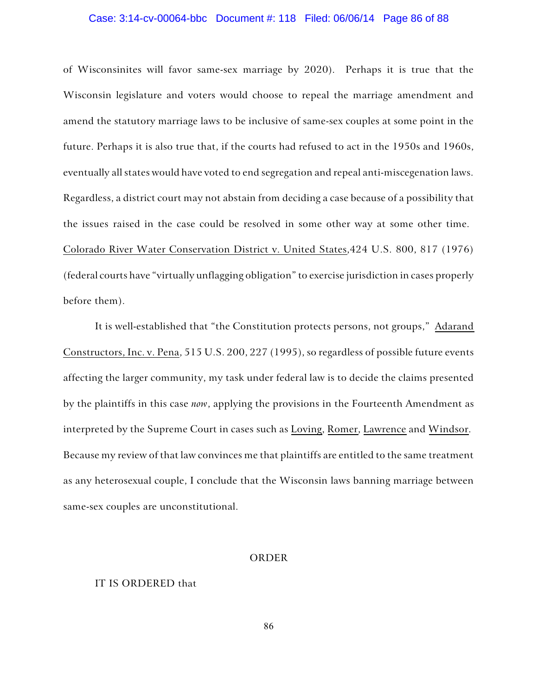## Case: 3:14-cv-00064-bbc Document #: 118 Filed: 06/06/14 Page 86 of 88

of Wisconsinites will favor same-sex marriage by 2020). Perhaps it is true that the Wisconsin legislature and voters would choose to repeal the marriage amendment and amend the statutory marriage laws to be inclusive of same-sex couples at some point in the future. Perhaps it is also true that, if the courts had refused to act in the 1950s and 1960s, eventually all states would have voted to end segregation and repeal anti-miscegenation laws. Regardless, a district court may not abstain from deciding a case because of a possibility that the issues raised in the case could be resolved in some other way at some other time. Colorado River Water Conservation District v. United States,424 U.S. 800, 817 (1976) (federal courts have "virtually unflagging obligation" to exercise jurisdiction in cases properly before them).

It is well-established that "the Constitution protects persons, not groups," Adarand Constructors, Inc. v. Pena, 515 U.S. 200, 227 (1995), so regardless of possible future events affecting the larger community, my task under federal law is to decide the claims presented by the plaintiffs in this case *now*, applying the provisions in the Fourteenth Amendment as interpreted by the Supreme Court in cases such as Loving, Romer, Lawrence and Windsor. Because my review of that law convinces me that plaintiffs are entitled to the same treatment as any heterosexual couple, I conclude that the Wisconsin laws banning marriage between same-sex couples are unconstitutional.

#### ORDER

## IT IS ORDERED that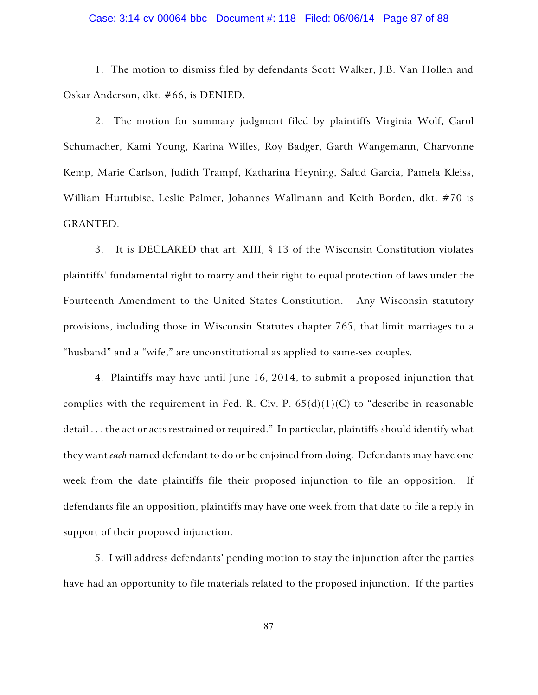## Case: 3:14-cv-00064-bbc Document #: 118 Filed: 06/06/14 Page 87 of 88

1. The motion to dismiss filed by defendants Scott Walker, J.B. Van Hollen and Oskar Anderson, dkt. #66, is DENIED.

2. The motion for summary judgment filed by plaintiffs Virginia Wolf, Carol Schumacher, Kami Young, Karina Willes, Roy Badger, Garth Wangemann, Charvonne Kemp, Marie Carlson, Judith Trampf, Katharina Heyning, Salud Garcia, Pamela Kleiss, William Hurtubise, Leslie Palmer, Johannes Wallmann and Keith Borden, dkt. #70 is GRANTED.

3. It is DECLARED that art. XIII, § 13 of the Wisconsin Constitution violates plaintiffs' fundamental right to marry and their right to equal protection of laws under the Fourteenth Amendment to the United States Constitution. Any Wisconsin statutory provisions, including those in Wisconsin Statutes chapter 765, that limit marriages to a "husband" and a "wife," are unconstitutional as applied to same-sex couples.

4. Plaintiffs may have until June 16, 2014, to submit a proposed injunction that complies with the requirement in Fed. R. Civ. P.  $65(d)(1)(C)$  to "describe in reasonable detail . . . the act or acts restrained or required." In particular, plaintiffs should identify what they want *each* named defendant to do or be enjoined from doing. Defendants may have one week from the date plaintiffs file their proposed injunction to file an opposition. If defendants file an opposition, plaintiffs may have one week from that date to file a reply in support of their proposed injunction.

5. I will address defendants' pending motion to stay the injunction after the parties have had an opportunity to file materials related to the proposed injunction. If the parties